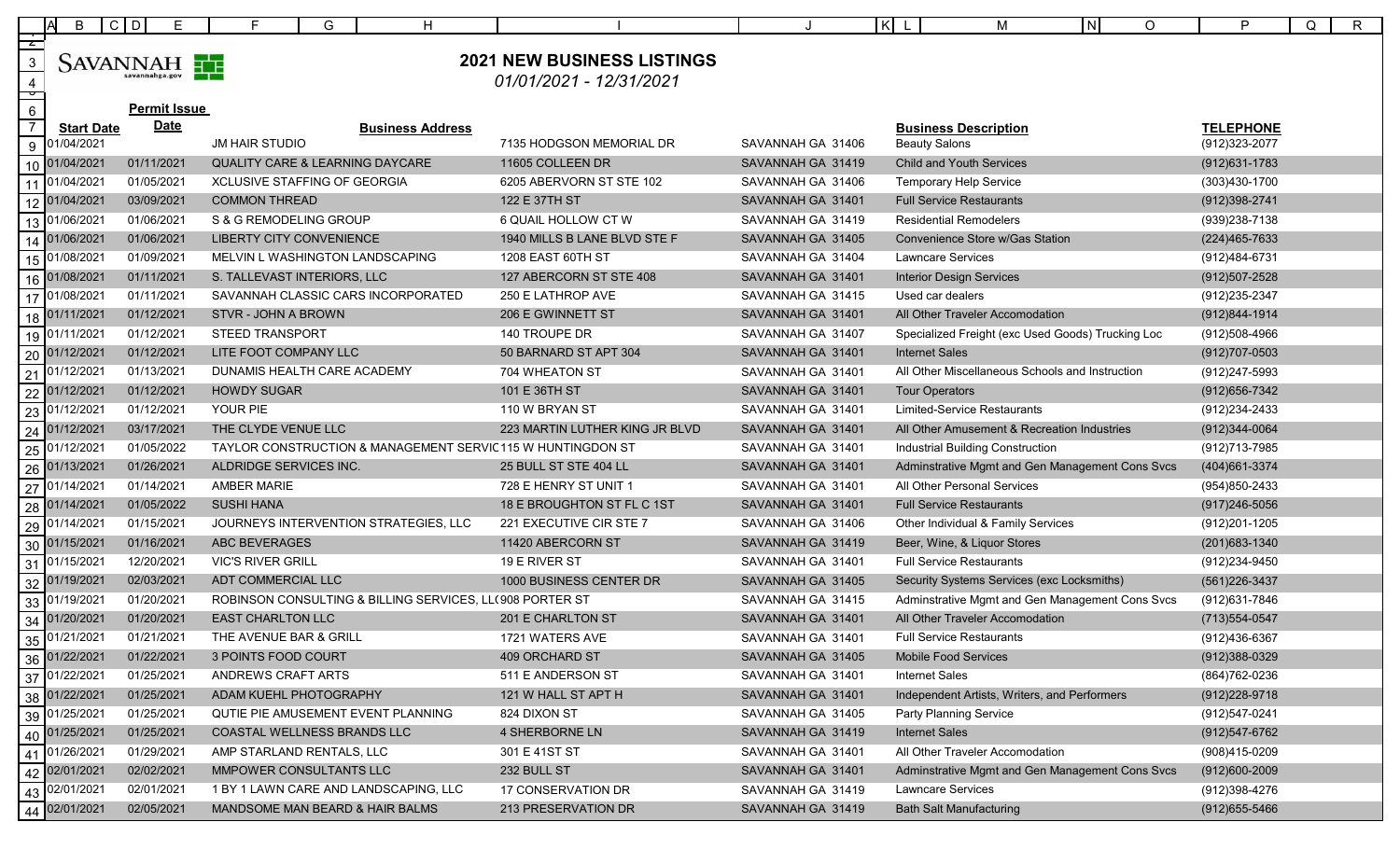|                     | B                 | $C$ D<br>E.         | G<br>F.                                                  | H                       |                                                            |                   | $ K $ L<br>м                                      | IN.<br>$\circ$ | P                 | $\mathsf{R}$<br>Q |
|---------------------|-------------------|---------------------|----------------------------------------------------------|-------------------------|------------------------------------------------------------|-------------------|---------------------------------------------------|----------------|-------------------|-------------------|
| $\overline{z}$      |                   |                     |                                                          |                         |                                                            |                   |                                                   |                |                   |                   |
| $\sqrt{3}$          |                   | SAVANNAH            |                                                          |                         | <b>2021 NEW BUSINESS LISTINGS</b>                          |                   |                                                   |                |                   |                   |
| $\overline{4}$      |                   | savannahga.gov      |                                                          |                         | 01/01/2021 - 12/31/2021                                    |                   |                                                   |                |                   |                   |
| þ<br>$6\phantom{.}$ |                   | <b>Permit Issue</b> |                                                          |                         |                                                            |                   |                                                   |                |                   |                   |
| $\overline{7}$      | <b>Start Date</b> | <b>Date</b>         |                                                          | <b>Business Address</b> |                                                            |                   | <b>Business Description</b>                       |                | <b>TELEPHONE</b>  |                   |
| 9                   | 01/04/2021        |                     | <b>JM HAIR STUDIO</b>                                    |                         | 7135 HODGSON MEMORIAL DR                                   | SAVANNAH GA 31406 | <b>Beauty Salons</b>                              |                | (912)323-2077     |                   |
| 10                  | 01/04/2021        | 01/11/2021          | <b>QUALITY CARE &amp; LEARNING DAYCARE</b>               |                         | 11605 COLLEEN DR                                           | SAVANNAH GA 31419 | <b>Child and Youth Services</b>                   |                | $(912)631 - 1783$ |                   |
|                     | 01/04/2021        | 01/05/2021          | XCLUSIVE STAFFING OF GEORGIA                             |                         | 6205 ABERVORN ST STE 102                                   | SAVANNAH GA 31406 | <b>Temporary Help Service</b>                     |                | (303)430-1700     |                   |
|                     | 12 01/04/2021     | 03/09/2021          | <b>COMMON THREAD</b>                                     |                         | 122 E 37TH ST                                              | SAVANNAH GA 31401 | <b>Full Service Restaurants</b>                   |                | (912) 398-2741    |                   |
| 13                  | 01/06/2021        | 01/06/2021          | S & G REMODELING GROUP                                   |                         | 6 QUAIL HOLLOW CT W                                        | SAVANNAH GA 31419 | <b>Residential Remodelers</b>                     |                | (939)238-7138     |                   |
|                     | 01/06/2021        | 01/06/2021          | LIBERTY CITY CONVENIENCE                                 |                         | 1940 MILLS B LANE BLVD STE F                               | SAVANNAH GA 31405 | Convenience Store w/Gas Station                   |                | (224) 465-7633    |                   |
| 15 <sub>1</sub>     | 01/08/2021        | 01/09/2021          | MELVIN L WASHINGTON LANDSCAPING                          |                         | 1208 EAST 60TH ST                                          | SAVANNAH GA 31404 | <b>Lawncare Services</b>                          |                | (912)484-6731     |                   |
| 16                  | 01/08/2021        | 01/11/2021          | S. TALLEVAST INTERIORS, LLC                              |                         | 127 ABERCORN ST STE 408                                    | SAVANNAH GA 31401 | <b>Interior Design Services</b>                   |                | (912)507-2528     |                   |
| 17                  | 01/08/2021        | 01/11/2021          | SAVANNAH CLASSIC CARS INCORPORATED                       |                         | 250 E LATHROP AVE                                          | SAVANNAH GA 31415 | Used car dealers                                  |                | (912) 235-2347    |                   |
| 18                  | 01/11/2021        | 01/12/2021          | STVR - JOHN A BROWN                                      |                         | 206 E GWINNETT ST                                          | SAVANNAH GA 31401 | All Other Traveler Accomodation                   |                | (912)844-1914     |                   |
|                     | 19 01/11/2021     | 01/12/2021          | <b>STEED TRANSPORT</b>                                   |                         | 140 TROUPE DR                                              | SAVANNAH GA 31407 | Specialized Freight (exc Used Goods) Trucking Loc |                | (912)508-4966     |                   |
| 20                  | 01/12/2021        | 01/12/2021          | LITE FOOT COMPANY LLC                                    |                         | 50 BARNARD ST APT 304                                      | SAVANNAH GA 31401 | <b>Internet Sales</b>                             |                | $(912)707 - 0503$ |                   |
| 21                  | 01/12/2021        | 01/13/2021          | DUNAMIS HEALTH CARE ACADEMY                              |                         | 704 WHEATON ST                                             | SAVANNAH GA 31401 | All Other Miscellaneous Schools and Instruction   |                | (912) 247-5993    |                   |
| 22                  | 01/12/2021        | 01/12/2021          | <b>HOWDY SUGAR</b>                                       |                         | 101 E 36TH ST                                              | SAVANNAH GA 31401 | <b>Tour Operators</b>                             |                | (912) 656-7342    |                   |
| 23                  | 01/12/2021        | 01/12/2021          | YOUR PIE                                                 |                         | 110 W BRYAN ST                                             | SAVANNAH GA 31401 | <b>Limited-Service Restaurants</b>                |                | (912) 234-2433    |                   |
| 24                  | 01/12/2021        | 03/17/2021          | THE CLYDE VENUE LLC                                      |                         | 223 MARTIN LUTHER KING JR BLVD                             | SAVANNAH GA 31401 | All Other Amusement & Recreation Industries       |                | $(912)344 - 0064$ |                   |
| 25                  | 01/12/2021        | 01/05/2022          |                                                          |                         | TAYLOR CONSTRUCTION & MANAGEMENT SERVIC115 W HUNTINGDON ST | SAVANNAH GA 31401 | Industrial Building Construction                  |                | (912)713-7985     |                   |
| 26                  | 01/13/2021        | 01/26/2021          | ALDRIDGE SERVICES INC.                                   |                         | 25 BULL ST STE 404 LL                                      | SAVANNAH GA 31401 | Adminstrative Mgmt and Gen Management Cons Svcs   |                | (404) 661-3374    |                   |
| 27                  | 01/14/2021        | 01/14/2021          | <b>AMBER MARIE</b>                                       |                         | 728 E HENRY ST UNIT 1                                      | SAVANNAH GA 31401 | All Other Personal Services                       |                | (954)850-2433     |                   |
| 28                  | 01/14/2021        | 01/05/2022          | <b>SUSHI HANA</b>                                        |                         | 18 E BROUGHTON ST FL C 1ST                                 | SAVANNAH GA 31401 | <b>Full Service Restaurants</b>                   |                | $(917)246 - 5056$ |                   |
| 29                  | 01/14/2021        | 01/15/2021          | JOURNEYS INTERVENTION STRATEGIES, LLC                    |                         | 221 EXECUTIVE CIR STE 7                                    | SAVANNAH GA 31406 | Other Individual & Family Services                |                | (912) 201-1205    |                   |
|                     | 30 01/15/2021     | 01/16/2021          | ABC BEVERAGES                                            |                         | 11420 ABERCORN ST                                          | SAVANNAH GA 31419 | Beer, Wine, & Liquor Stores                       |                | (201) 683-1340    |                   |
| 31                  | 01/15/2021        | 12/20/2021          | <b>VIC'S RIVER GRILL</b>                                 |                         | 19 E RIVER ST                                              | SAVANNAH GA 31401 | <b>Full Service Restaurants</b>                   |                | (912)234-9450     |                   |
| 32                  | 01/19/2021        | 02/03/2021          | ADT COMMERCIAL LLC                                       |                         | 1000 BUSINESS CENTER DR                                    | SAVANNAH GA 31405 | Security Systems Services (exc Locksmiths)        |                | $(561)226 - 3437$ |                   |
|                     | 33 01/19/2021     | 01/20/2021          | ROBINSON CONSULTING & BILLING SERVICES, LL(908 PORTER ST |                         |                                                            | SAVANNAH GA 31415 | Adminstrative Mgmt and Gen Management Cons Svcs   |                | (912)631-7846     |                   |
| 34                  | 01/20/2021        | 01/20/2021          | <b>EAST CHARLTON LLC</b>                                 |                         | 201 E CHARLTON ST                                          | SAVANNAH GA 31401 | All Other Traveler Accomodation                   |                | (713) 554-0547    |                   |
|                     | 35 01/21/2021     | 01/21/2021          | THE AVENUE BAR & GRILL                                   |                         | 1721 WATERS AVE                                            | SAVANNAH GA 31401 | <b>Full Service Restaurants</b>                   |                | (912)436-6367     |                   |
|                     | 36 01/22/2021     | 01/22/2021          | 3 POINTS FOOD COURT                                      |                         | 409 ORCHARD ST                                             | SAVANNAH GA 31405 | Mobile Food Services                              |                | $(912)388-0329$   |                   |
|                     | 37 01/22/2021     | 01/25/2021          | ANDREWS CRAFT ARTS                                       |                         | 511 E ANDERSON ST                                          | SAVANNAH GA 31401 | Internet Sales                                    |                | (864) 762-0236    |                   |
|                     | 38 01/22/2021     | 01/25/2021          | ADAM KUEHL PHOTOGRAPHY                                   |                         | 121 W HALL ST APT H                                        | SAVANNAH GA 31401 | Independent Artists, Writers, and Performers      |                | (912) 228-9718    |                   |
| 39                  | 01/25/2021        | 01/25/2021          | QUTIE PIE AMUSEMENT EVENT PLANNING                       |                         | 824 DIXON ST                                               | SAVANNAH GA 31405 | Party Planning Service                            |                | (912)547-0241     |                   |
|                     | 40 01/25/2021     | 01/25/2021          | COASTAL WELLNESS BRANDS LLC                              |                         | 4 SHERBORNE LN                                             | SAVANNAH GA 31419 | <b>Internet Sales</b>                             |                | (912) 547-6762    |                   |
| 41                  | 01/26/2021        | 01/29/2021          | AMP STARLAND RENTALS, LLC                                |                         | 301 E 41ST ST                                              | SAVANNAH GA 31401 | All Other Traveler Accomodation                   |                | (908)415-0209     |                   |
| 42                  | 02/01/2021        | 02/02/2021          | MMPOWER CONSULTANTS LLC                                  |                         | 232 BULL ST                                                | SAVANNAH GA 31401 | Adminstrative Mgmt and Gen Management Cons Svcs   |                | $(912)600 - 2009$ |                   |
| 43                  | 02/01/2021        | 02/01/2021          | 1 BY 1 LAWN CARE AND LANDSCAPING, LLC                    |                         | 17 CONSERVATION DR                                         | SAVANNAH GA 31419 | Lawncare Services                                 |                | (912)398-4276     |                   |
|                     | 44 02/01/2021     | 02/05/2021          | MANDSOME MAN BEARD & HAIR BALMS                          |                         | 213 PRESERVATION DR                                        | SAVANNAH GA 31419 | <b>Bath Salt Manufacturing</b>                    |                | $(912)655 - 5466$ |                   |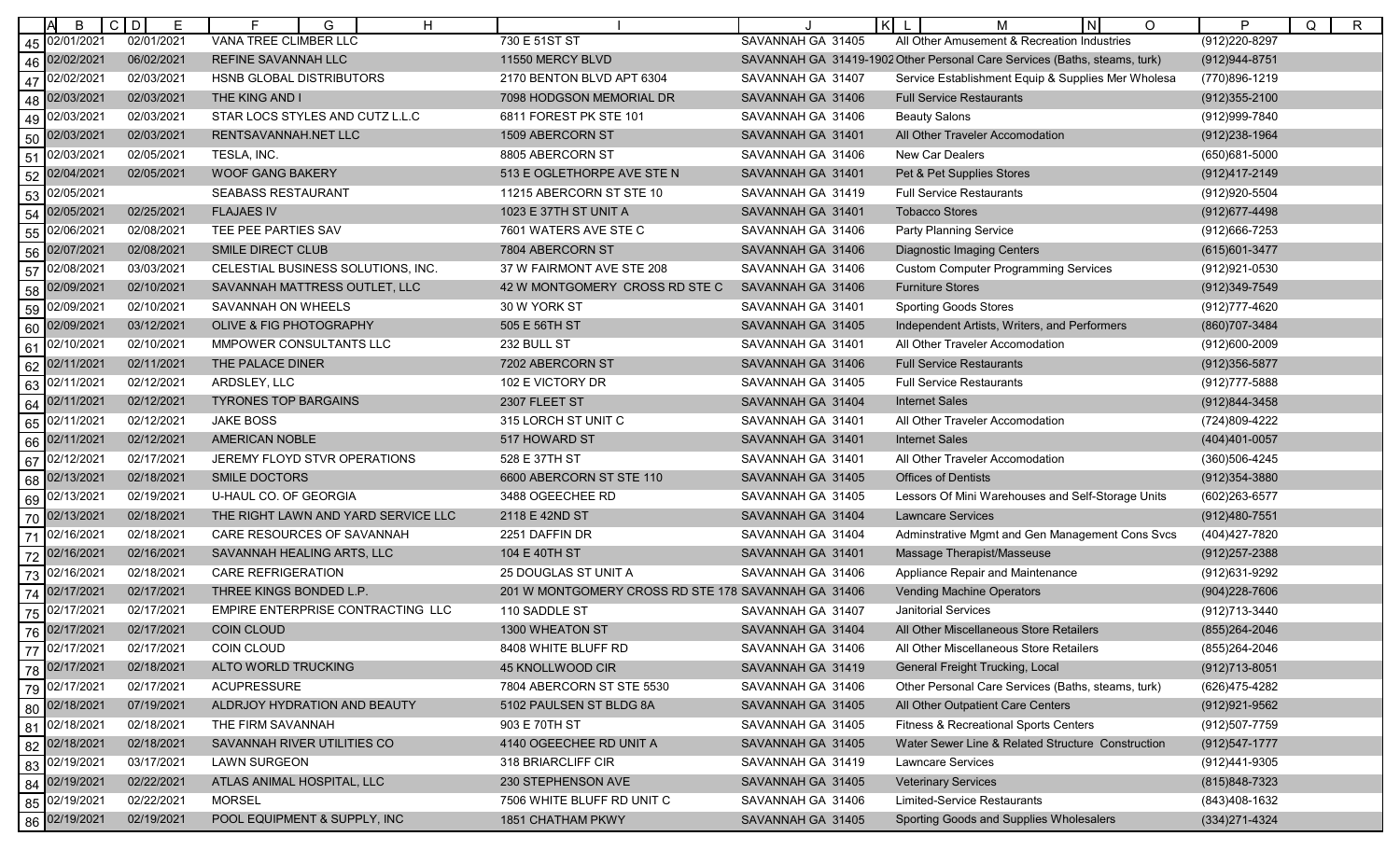|    | B             | C D<br>E   | H<br>G                              |                                                     |                   | K<br>N<br>O<br>М                                                          | P<br>$\mathsf{R}$<br>Q |
|----|---------------|------------|-------------------------------------|-----------------------------------------------------|-------------------|---------------------------------------------------------------------------|------------------------|
| 45 | 02/01/2021    | 02/01/2021 | VANA TREE CLIMBER LLC               | 730 E 51ST ST                                       | SAVANNAH GA 31405 | All Other Amusement & Recreation Industries                               | (912) 220-8297         |
| 46 | 02/02/2021    | 06/02/2021 | REFINE SAVANNAH LLC                 | 11550 MERCY BLVD                                    |                   | SAVANNAH GA 31419-1902 Other Personal Care Services (Baths, steams, turk) | (912) 944-8751         |
| 47 | 02/02/2021    | 02/03/2021 | HSNB GLOBAL DISTRIBUTORS            | 2170 BENTON BLVD APT 6304                           | SAVANNAH GA 31407 | Service Establishment Equip & Supplies Mer Wholesa                        | (770)896-1219          |
| 48 | 02/03/2021    | 02/03/2021 | THE KING AND I                      | 7098 HODGSON MEMORIAL DR                            | SAVANNAH GA 31406 | <b>Full Service Restaurants</b>                                           | $(912)355 - 2100$      |
| 49 | 02/03/2021    | 02/03/2021 | STAR LOCS STYLES AND CUTZ L.L.C     | 6811 FOREST PK STE 101                              | SAVANNAH GA 31406 | <b>Beauty Salons</b>                                                      | (912) 999-7840         |
| 50 | 02/03/2021    | 02/03/2021 | RENTSAVANNAH.NET LLC                | 1509 ABERCORN ST                                    | SAVANNAH GA 31401 | All Other Traveler Accomodation                                           | (912) 238-1964         |
| 51 | 02/03/2021    | 02/05/2021 | TESLA, INC.                         | 8805 ABERCORN ST                                    | SAVANNAH GA 31406 | New Car Dealers                                                           | (650)681-5000          |
| 52 | 02/04/2021    | 02/05/2021 | <b>WOOF GANG BAKERY</b>             | 513 E OGLETHORPE AVE STE N                          | SAVANNAH GA 31401 | Pet & Pet Supplies Stores                                                 | (912)417-2149          |
| 53 | 02/05/2021    |            | <b>SEABASS RESTAURANT</b>           | 11215 ABERCORN ST STE 10                            | SAVANNAH GA 31419 | <b>Full Service Restaurants</b>                                           | (912) 920-5504         |
| 54 | 02/05/2021    | 02/25/2021 | <b>FLAJAES IV</b>                   | 1023 E 37TH ST UNIT A                               | SAVANNAH GA 31401 | <b>Tobacco Stores</b>                                                     | (912) 677-4498         |
| 55 | 02/06/2021    | 02/08/2021 | TEE PEE PARTIES SAV                 | 7601 WATERS AVE STE C                               | SAVANNAH GA 31406 | <b>Party Planning Service</b>                                             | (912) 666-7253         |
| 56 | 02/07/2021    | 02/08/2021 | SMILE DIRECT CLUB                   | 7804 ABERCORN ST                                    | SAVANNAH GA 31406 | <b>Diagnostic Imaging Centers</b>                                         | (615) 601-3477         |
| 57 | 02/08/2021    | 03/03/2021 | CELESTIAL BUSINESS SOLUTIONS, INC.  | 37 W FAIRMONT AVE STE 208                           | SAVANNAH GA 31406 | <b>Custom Computer Programming Services</b>                               | (912) 921-0530         |
| 58 | 02/09/2021    | 02/10/2021 | SAVANNAH MATTRESS OUTLET, LLC       | 42 W MONTGOMERY CROSS RD STE C                      | SAVANNAH GA 31406 | <b>Furniture Stores</b>                                                   | (912)349-7549          |
| 59 | 02/09/2021    | 02/10/2021 | SAVANNAH ON WHEELS                  | 30 W YORK ST                                        | SAVANNAH GA 31401 | <b>Sporting Goods Stores</b>                                              | (912) 777-4620         |
| 60 | 02/09/2021    | 03/12/2021 | <b>OLIVE &amp; FIG PHOTOGRAPHY</b>  | 505 E 56TH ST                                       | SAVANNAH GA 31405 | Independent Artists, Writers, and Performers                              | (860) 707-3484         |
| 61 | 02/10/2021    | 02/10/2021 | MMPOWER CONSULTANTS LLC             | 232 BULL ST                                         | SAVANNAH GA 31401 | All Other Traveler Accomodation                                           | (912)600-2009          |
| 62 | 02/11/2021    | 02/11/2021 | THE PALACE DINER                    | 7202 ABERCORN ST                                    | SAVANNAH GA 31406 | <b>Full Service Restaurants</b>                                           | (912) 356-5877         |
| 63 | 02/11/2021    | 02/12/2021 | ARDSLEY, LLC                        | 102 E VICTORY DR                                    | SAVANNAH GA 31405 | <b>Full Service Restaurants</b>                                           | (912) 777-5888         |
| 64 | 02/11/2021    | 02/12/2021 | <b>TYRONES TOP BARGAINS</b>         | 2307 FLEET ST                                       | SAVANNAH GA 31404 | <b>Internet Sales</b>                                                     | (912)844-3458          |
| 65 | 02/11/2021    | 02/12/2021 | <b>JAKE BOSS</b>                    | 315 LORCH ST UNIT C                                 | SAVANNAH GA 31401 | All Other Traveler Accomodation                                           | (724)809-4222          |
| 66 | 02/11/2021    | 02/12/2021 | <b>AMERICAN NOBLE</b>               | 517 HOWARD ST                                       | SAVANNAH GA 31401 | <b>Internet Sales</b>                                                     | (404)401-0057          |
| 67 | 02/12/2021    | 02/17/2021 | JEREMY FLOYD STVR OPERATIONS        | 528 E 37TH ST                                       | SAVANNAH GA 31401 | All Other Traveler Accomodation                                           | (360)506-4245          |
| 68 | 02/13/2021    | 02/18/2021 | <b>SMILE DOCTORS</b>                | 6600 ABERCORN ST STE 110                            | SAVANNAH GA 31405 | <b>Offices of Dentists</b>                                                | (912) 354-3880         |
| 69 | 02/13/2021    | 02/19/2021 | U-HAUL CO. OF GEORGIA               | 3488 OGEECHEE RD                                    | SAVANNAH GA 31405 | Lessors Of Mini Warehouses and Self-Storage Units                         | (602) 263-6577         |
| 70 | 02/13/2021    | 02/18/2021 | THE RIGHT LAWN AND YARD SERVICE LLC | 2118 E 42ND ST                                      | SAVANNAH GA 31404 | <b>Lawncare Services</b>                                                  | (912)480-7551          |
| 71 | 02/16/2021    | 02/18/2021 | CARE RESOURCES OF SAVANNAH          | 2251 DAFFIN DR                                      | SAVANNAH GA 31404 | Adminstrative Mgmt and Gen Management Cons Svcs                           | (404) 427-7820         |
| 72 | 02/16/2021    | 02/16/2021 | SAVANNAH HEALING ARTS, LLC          | 104 E 40TH ST                                       | SAVANNAH GA 31401 | Massage Therapist/Masseuse                                                | (912) 257-2388         |
| 73 | 02/16/2021    | 02/18/2021 | <b>CARE REFRIGERATION</b>           | 25 DOUGLAS ST UNIT A                                | SAVANNAH GA 31406 | Appliance Repair and Maintenance                                          | (912)631-9292          |
| 74 | 02/17/2021    | 02/17/2021 | THREE KINGS BONDED L.P.             | 201 W MONTGOMERY CROSS RD STE 178 SAVANNAH GA 31406 |                   | <b>Vending Machine Operators</b>                                          | (904) 228-7606         |
| 75 | 02/17/2021    | 02/17/2021 | EMPIRE ENTERPRISE CONTRACTING LLC   | 110 SADDLE ST                                       | SAVANNAH GA 31407 | <b>Janitorial Services</b>                                                | (912)713-3440          |
| 76 | 02/17/2021    | 02/17/2021 | <b>COIN CLOUD</b>                   | 1300 WHEATON ST                                     | SAVANNAH GA 31404 | All Other Miscellaneous Store Retailers                                   | (855) 264-2046         |
|    | 77 02/17/2021 | 02/17/2021 | COIN CLOUD                          | 8408 WHITE BLUFF RD                                 | SAVANNAH GA 31406 | All Other Miscellaneous Store Retailers                                   | (855) 264-2046         |
| 78 | 02/17/2021    | 02/18/2021 | ALTO WORLD TRUCKING                 | 45 KNOLLWOOD CIR                                    | SAVANNAH GA 31419 | <b>General Freight Trucking, Local</b>                                    | $(912)713 - 8051$      |
| 79 | 02/17/2021    | 02/17/2021 | <b>ACUPRESSURE</b>                  | 7804 ABERCORN ST STE 5530                           | SAVANNAH GA 31406 | Other Personal Care Services (Baths, steams, turk)                        | (626)475-4282          |
| 80 | 02/18/2021    | 07/19/2021 | ALDRJOY HYDRATION AND BEAUTY        | 5102 PAULSEN ST BLDG 8A                             | SAVANNAH GA 31405 | All Other Outpatient Care Centers                                         | (912) 921-9562         |
| 81 | 02/18/2021    | 02/18/2021 | THE FIRM SAVANNAH                   | 903 E 70TH ST                                       | SAVANNAH GA 31405 | Fitness & Recreational Sports Centers                                     | (912)507-7759          |
| 82 | 02/18/2021    | 02/18/2021 | SAVANNAH RIVER UTILITIES CO         | 4140 OGEECHEE RD UNIT A                             | SAVANNAH GA 31405 | Water Sewer Line & Related Structure Construction                         | (912) 547-1777         |
| 83 | 02/19/2021    | 03/17/2021 | <b>LAWN SURGEON</b>                 | 318 BRIARCLIFF CIR                                  | SAVANNAH GA 31419 | <b>Lawncare Services</b>                                                  | (912)441-9305          |
| 84 | 02/19/2021    | 02/22/2021 | ATLAS ANIMAL HOSPITAL, LLC          | 230 STEPHENSON AVE                                  | SAVANNAH GA 31405 | <b>Veterinary Services</b>                                                | (815) 848-7323         |
| 85 | 02/19/2021    | 02/22/2021 | <b>MORSEL</b>                       | 7506 WHITE BLUFF RD UNIT C                          | SAVANNAH GA 31406 | Limited-Service Restaurants                                               | (843)408-1632          |
|    | 86 02/19/2021 | 02/19/2021 | POOL EQUIPMENT & SUPPLY, INC        | 1851 CHATHAM PKWY                                   | SAVANNAH GA 31405 | Sporting Goods and Supplies Wholesalers                                   | $(334)271 - 4324$      |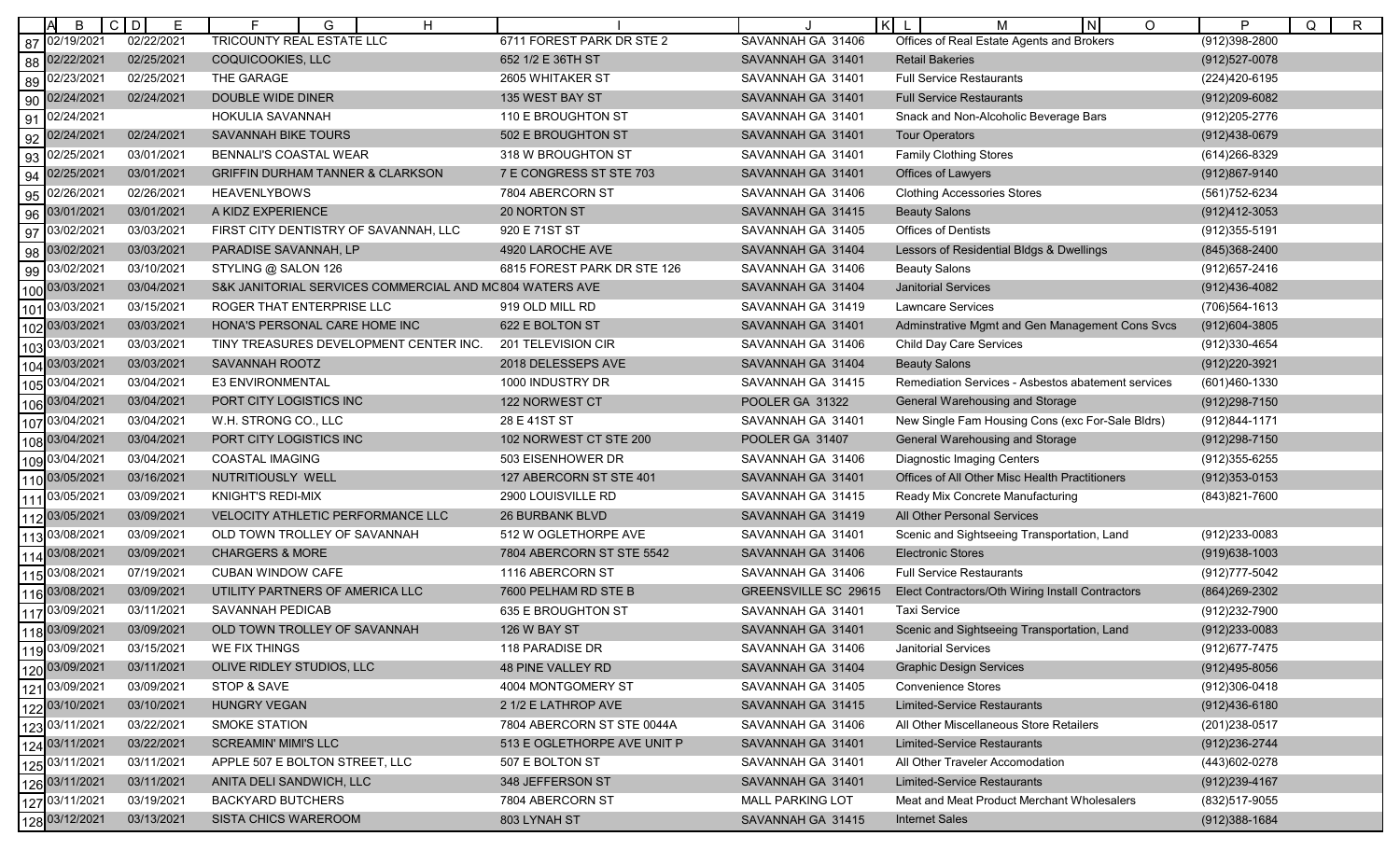| B                 | $C$ $D$<br>E | F.<br>G<br>H                                            |                             |                         | lĸl<br>IN.<br>O<br>M                               | P<br>Q<br>R       |
|-------------------|--------------|---------------------------------------------------------|-----------------------------|-------------------------|----------------------------------------------------|-------------------|
| 87 02/19/2021     | 02/22/2021   | <b>TRICOUNTY REAL ESTATE LLC</b>                        | 6711 FOREST PARK DR STE 2   | SAVANNAH GA 31406       | Offices of Real Estate Agents and Brokers          | $(912)398 - 2800$ |
| 02/22/2021<br>88  | 02/25/2021   | COQUICOOKIES, LLC                                       | 652 1/2 E 36TH ST           | SAVANNAH GA 31401       | <b>Retail Bakeries</b>                             | (912) 527-0078    |
| 02/23/2021<br>89  | 02/25/2021   | THE GARAGE                                              | 2605 WHITAKER ST            | SAVANNAH GA 31401       | <b>Full Service Restaurants</b>                    | (224)420-6195     |
| 02/24/2021<br>90  | 02/24/2021   | DOUBLE WIDE DINER                                       | 135 WEST BAY ST             | SAVANNAH GA 31401       | <b>Full Service Restaurants</b>                    | $(912)209-6082$   |
| 91<br>02/24/2021  |              | HOKULIA SAVANNAH                                        | 110 E BROUGHTON ST          | SAVANNAH GA 31401       | Snack and Non-Alcoholic Beverage Bars              | (912) 205-2776    |
| 92 02/24/2021     | 02/24/2021   | SAVANNAH BIKE TOURS                                     | 502 E BROUGHTON ST          | SAVANNAH GA 31401       | <b>Tour Operators</b>                              | (912)438-0679     |
| 02/25/2021<br>93  | 03/01/2021   | BENNALI'S COASTAL WEAR                                  | 318 W BROUGHTON ST          | SAVANNAH GA 31401       | <b>Family Clothing Stores</b>                      | (614) 266-8329    |
| 02/25/2021<br>94  | 03/01/2021   | <b>GRIFFIN DURHAM TANNER &amp; CLARKSON</b>             | 7 E CONGRESS ST STE 703     | SAVANNAH GA 31401       | Offices of Lawyers                                 | (912)867-9140     |
| 02/26/2021<br>95  | 02/26/2021   | <b>HEAVENLYBOWS</b>                                     | 7804 ABERCORN ST            | SAVANNAH GA 31406       | <b>Clothing Accessories Stores</b>                 | (561) 752-6234    |
| 03/01/2021<br>96  | 03/01/2021   | A KIDZ EXPERIENCE                                       | <b>20 NORTON ST</b>         | SAVANNAH GA 31415       | <b>Beauty Salons</b>                               | (912)412-3053     |
| 03/02/2021<br>97  | 03/03/202    | FIRST CITY DENTISTRY OF SAVANNAH, LLC                   | 920 E 71ST ST               | SAVANNAH GA 31405       | Offices of Dentists                                | (912) 355-5191    |
| 03/02/2021<br>98  | 03/03/2021   | PARADISE SAVANNAH, LP                                   | 4920 LAROCHE AVE            | SAVANNAH GA 31404       | Lessors of Residential Bldgs & Dwellings           | (845)368-2400     |
| 03/02/2021<br>99  | 03/10/2021   | STYLING @ SALON 126                                     | 6815 FOREST PARK DR STE 126 | SAVANNAH GA 31406       | <b>Beauty Salons</b>                               | (912) 657-2416    |
| 100 03/03/2021    | 03/04/2021   | S&K JANITORIAL SERVICES COMMERCIAL AND MC804 WATERS AVE |                             | SAVANNAH GA 31404       | <b>Janitorial Services</b>                         | (912)436-4082     |
| 03/03/2021<br>101 | 03/15/2021   | ROGER THAT ENTERPRISE LLC                               | 919 OLD MILL RD             | SAVANNAH GA 31419       | <b>Lawncare Services</b>                           | (706) 564-1613    |
| 102 03/03/2021    | 03/03/2021   | HONA'S PERSONAL CARE HOME INC                           | 622 E BOLTON ST             | SAVANNAH GA 31401       | Adminstrative Mgmt and Gen Management Cons Svcs    | (912) 604-3805    |
| 103 03/03/2021    | 03/03/2021   | TINY TREASURES DEVELOPMENT CENTER INC.                  | 201 TELEVISION CIR          | SAVANNAH GA 31406       | Child Day Care Services                            | (912)330-4654     |
| 104 03/03/2021    | 03/03/2021   | <b>SAVANNAH ROOTZ</b>                                   | 2018 DELESSEPS AVE          | SAVANNAH GA 31404       | <b>Beauty Salons</b>                               | (912) 220-3921    |
| 03/04/2021<br>105 | 03/04/2021   | <b>E3 ENVIRONMENTAL</b>                                 | 1000 INDUSTRY DR            | SAVANNAH GA 31415       | Remediation Services - Asbestos abatement services | (601)460-1330     |
| 106 03/04/2021    | 03/04/2021   | PORT CITY LOGISTICS INC                                 | 122 NORWEST CT              | POOLER GA 31322         | General Warehousing and Storage                    | (912) 298-7150    |
| 107 03/04/2021    | 03/04/2021   | W.H. STRONG CO., LLC                                    | 28 E 41ST ST                | SAVANNAH GA 31401       | New Single Fam Housing Cons (exc For-Sale Bldrs)   | (912)844-1171     |
| 03/04/2021        | 03/04/2021   | PORT CITY LOGISTICS INC                                 | 102 NORWEST CT STE 200      | POOLER GA 31407         | General Warehousing and Storage                    | (912) 298-7150    |
| 109 03/04/2021    | 03/04/2021   | COASTAL IMAGING                                         | 503 EISENHOWER DR           | SAVANNAH GA 31406       | <b>Diagnostic Imaging Centers</b>                  | (912) 355-6255    |
| 110 03/05/2021    | 03/16/2021   | NUTRITIOUSLY WELL                                       | 127 ABERCORN ST STE 401     | SAVANNAH GA 31401       | Offices of All Other Misc Health Practitioners     | $(912)353 - 0153$ |
| 03/05/2021        | 03/09/2021   | KNIGHT'S REDI-MIX                                       | 2900 LOUISVILLE RD          | SAVANNAH GA 31415       | Ready Mix Concrete Manufacturing                   | (843) 821-7600    |
| 112 03/05/2021    | 03/09/2021   | VELOCITY ATHLETIC PERFORMANCE LLC                       | <b>26 BURBANK BLVD</b>      | SAVANNAH GA 31419       | All Other Personal Services                        |                   |
| 113 03/08/2021    | 03/09/2021   | OLD TOWN TROLLEY OF SAVANNAH                            | 512 W OGLETHORPE AVE        | SAVANNAH GA 31401       | Scenic and Sightseeing Transportation, Land        | (912)233-0083     |
| 114 03/08/2021    | 03/09/2021   | <b>CHARGERS &amp; MORE</b>                              | 7804 ABERCORN ST STE 5542   | SAVANNAH GA 31406       | <b>Electronic Stores</b>                           | $(919)638 - 1003$ |
| 03/08/2021<br>115 | 07/19/202    | <b>CUBAN WINDOW CAFE</b>                                | 1116 ABERCORN ST            | SAVANNAH GA 31406       | <b>Full Service Restaurants</b>                    | (912) 777-5042    |
| 116 03/08/2021    | 03/09/2021   | UTILITY PARTNERS OF AMERICA LLC                         | 7600 PELHAM RD STE B        | GREENSVILLE SC 29615    | Elect Contractors/Oth Wiring Install Contractors   | (864) 269-2302    |
| 117 03/09/2021    | 03/11/2021   | SAVANNAH PEDICAB                                        | 635 E BROUGHTON ST          | SAVANNAH GA 31401       | <b>Taxi Service</b>                                | (912) 232-7900    |
| 118 03/09/2021    | 03/09/2021   | OLD TOWN TROLLEY OF SAVANNAH                            | 126 W BAY ST                | SAVANNAH GA 31401       | Scenic and Sightseeing Transportation, Land        | $(912)233 - 0083$ |
| 119 03/09/2021    | 03/15/2021   | WE FIX THINGS                                           | 118 PARADISE DR             | SAVANNAH GA 31406       | Janitorial Services                                | (912) 677-7475    |
| 120 03/09/2021    | 03/11/2021   | OLIVE RIDLEY STUDIOS, LLC                               | 48 PINE VALLEY RD           | SAVANNAH GA 31404       | <b>Graphic Design Services</b>                     | $(912)495 - 8056$ |
| 121 03/09/2021    | 03/09/2021   | STOP & SAVE                                             | 4004 MONTGOMERY ST          | SAVANNAH GA 31405       | <b>Convenience Stores</b>                          | (912)306-0418     |
| 122 03/10/2021    | 03/10/2021   | <b>HUNGRY VEGAN</b>                                     | 2 1/2 E LATHROP AVE         | SAVANNAH GA 31415       | <b>Limited-Service Restaurants</b>                 | $(912)436 - 6180$ |
| 123 03/11/2021    | 03/22/2021   | <b>SMOKE STATION</b>                                    | 7804 ABERCORN ST STE 0044A  | SAVANNAH GA 31406       | All Other Miscellaneous Store Retailers            | (201) 238-0517    |
| 124 03/11/2021    | 03/22/2021   | <b>SCREAMIN' MIMI'S LLC</b>                             | 513 E OGLETHORPE AVE UNIT P | SAVANNAH GA 31401       | <b>Limited-Service Restaurants</b>                 | (912) 236-2744    |
| 125 03/11/2021    | 03/11/2021   | APPLE 507 E BOLTON STREET, LLC                          | 507 E BOLTON ST             | SAVANNAH GA 31401       | All Other Traveler Accomodation                    | (443) 602-0278    |
| 126 03/11/2021    | 03/11/2021   | ANITA DELI SANDWICH, LLC                                | 348 JEFFERSON ST            | SAVANNAH GA 31401       | <b>Limited-Service Restaurants</b>                 | $(912)239 - 4167$ |
| 127 03/11/2021    | 03/19/2021   | <b>BACKYARD BUTCHERS</b>                                | 7804 ABERCORN ST            | <b>MALL PARKING LOT</b> | Meat and Meat Product Merchant Wholesalers         | (832) 517-9055    |
| 128 03/12/2021    | 03/13/2021   | SISTA CHICS WAREROOM                                    | 803 LYNAH ST                | SAVANNAH GA 31415       | <b>Internet Sales</b>                              | $(912)388 - 1684$ |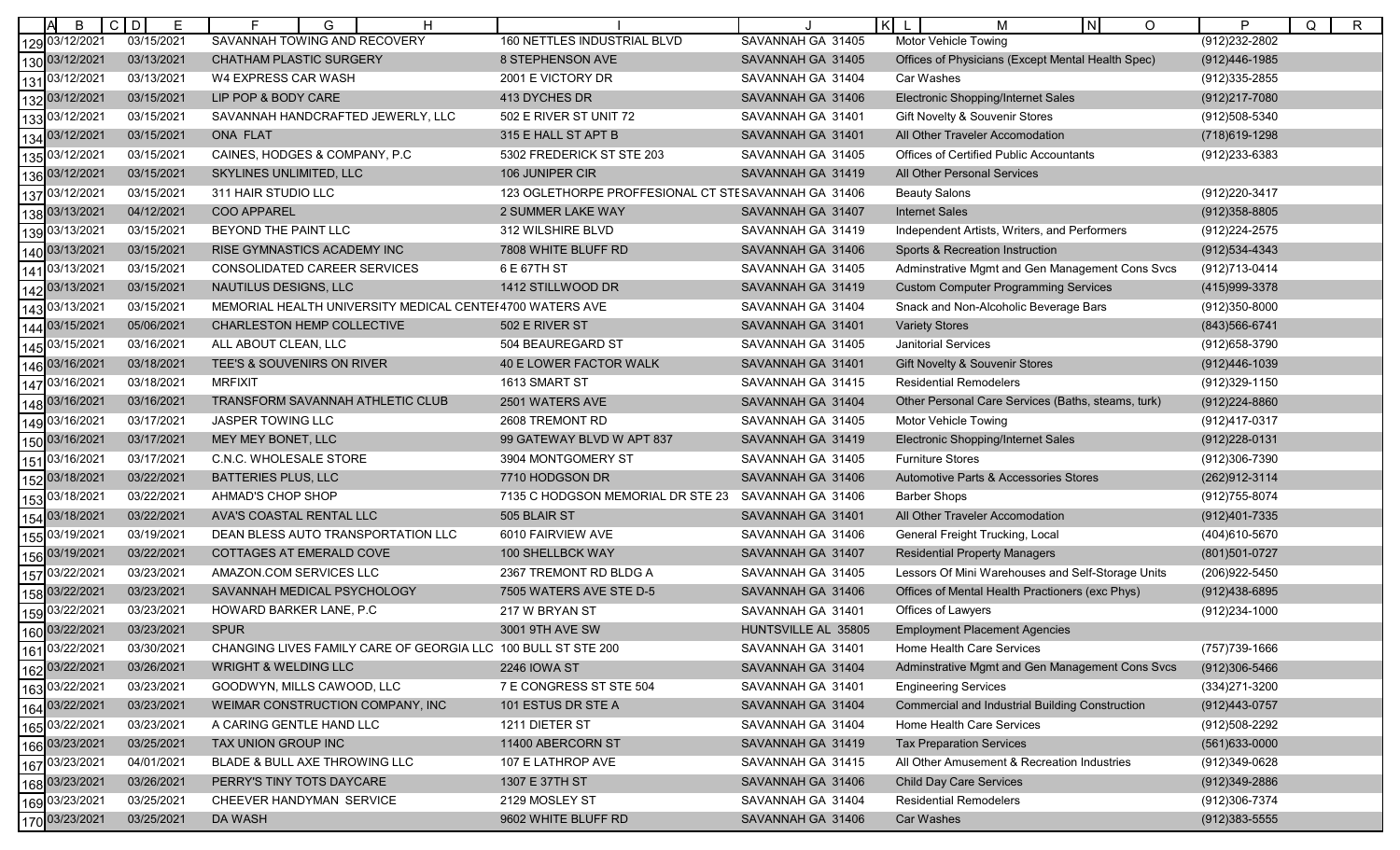|      | B                                | $C$ D<br>Е | G<br>Н                                                        |                                                     |                     | K  L<br>$\lfloor N \rfloor$<br>O<br>м                  | P<br>Q<br>$\mathsf{R}$ |
|------|----------------------------------|------------|---------------------------------------------------------------|-----------------------------------------------------|---------------------|--------------------------------------------------------|------------------------|
| 129  | 03/12/2021                       | 03/15/2021 | SAVANNAH TOWING AND RECOVERY                                  | 160 NETTLES INDUSTRIAL BLVD                         | SAVANNAH GA 31405   | <b>Motor Vehicle Towing</b>                            | $(912)232 - 2802$      |
|      | 130 03/12/2021                   | 03/13/2021 | <b>CHATHAM PLASTIC SURGERY</b>                                | 8 STEPHENSON AVE                                    | SAVANNAH GA 31405   | Offices of Physicians (Except Mental Health Spec)      | (912)446-1985          |
|      | 13103/12/2021                    | 03/13/2021 | W4 EXPRESS CAR WASH                                           | 2001 E VICTORY DR                                   | SAVANNAH GA 31404   | Car Washes                                             | (912) 335-2855         |
| 132  | 03/12/2021                       | 03/15/2021 | LIP POP & BODY CARE                                           | 413 DYCHES DR                                       | SAVANNAH GA 31406   | Electronic Shopping/Internet Sales                     | (912)217-7080          |
| 133  | 03/12/2021                       | 03/15/2021 | SAVANNAH HANDCRAFTED JEWERLY, LLC                             | 502 E RIVER ST UNIT 72                              | SAVANNAH GA 31401   | Gift Novelty & Souvenir Stores                         | (912)508-5340          |
|      | 134 03/12/2021                   | 03/15/2021 | ONA FLAT                                                      | 315 E HALL ST APT B                                 | SAVANNAH GA 31401   | All Other Traveler Accomodation                        | (718) 619-1298         |
| 135  | 03/12/2021                       | 03/15/2021 | CAINES, HODGES & COMPANY, P.C.                                | 5302 FREDERICK ST STE 203                           | SAVANNAH GA 31405   | <b>Offices of Certified Public Accountants</b>         | (912) 233-6383         |
| 136  | 03/12/2021                       | 03/15/2021 | SKYLINES UNLIMITED, LLC                                       | 106 JUNIPER CIR                                     | SAVANNAH GA 31419   | All Other Personal Services                            |                        |
| 137  | 03/12/2021                       | 03/15/2021 | 311 HAIR STUDIO LLC                                           | 123 OGLETHORPE PROFFESIONAL CT STESAVANNAH GA 31406 |                     | <b>Beauty Salons</b>                                   | (912) 220-3417         |
|      | 138 03/13/2021                   | 04/12/2021 | COO APPAREL                                                   | 2 SUMMER LAKE WAY                                   | SAVANNAH GA 31407   | <b>Internet Sales</b>                                  | $(912)358 - 8805$      |
| 139  | 03/13/2021                       | 03/15/2021 | BEYOND THE PAINT LLC                                          | 312 WILSHIRE BLVD                                   | SAVANNAH GA 31419   | Independent Artists, Writers, and Performers           | (912) 224-2575         |
| 140' | 03/13/2021                       | 03/15/2021 | RISE GYMNASTICS ACADEMY INC                                   | 7808 WHITE BLUFF RD                                 | SAVANNAH GA 31406   | Sports & Recreation Instruction                        | $(912)534-4343$        |
|      | 141 03/13/2021                   | 03/15/2021 | CONSOLIDATED CAREER SERVICES                                  | 6 E 67TH ST                                         | SAVANNAH GA 31405   | Adminstrative Mgmt and Gen Management Cons Svcs        | (912)713-0414          |
|      | 142 03/13/2021                   | 03/15/2021 | NAUTILUS DESIGNS, LLC                                         | 1412 STILLWOOD DR                                   | SAVANNAH GA 31419   | <b>Custom Computer Programming Services</b>            | (415)999-3378          |
|      | 03/13/2021                       | 03/15/2021 | MEMORIAL HEALTH UNIVERSITY MEDICAL CENTEF4700 WATERS AVE      |                                                     | SAVANNAH GA 31404   | Snack and Non-Alcoholic Beverage Bars                  | (912)350-8000          |
|      | 144 03/15/2021                   | 05/06/2021 | <b>CHARLESTON HEMP COLLECTIVE</b>                             | 502 E RIVER ST                                      | SAVANNAH GA 31401   | <b>Variety Stores</b>                                  | (843) 566-6741         |
| 145  | 03/15/2021                       | 03/16/2021 | ALL ABOUT CLEAN, LLC                                          | 504 BEAUREGARD ST                                   | SAVANNAH GA 31405   | <b>Janitorial Services</b>                             | (912) 658-3790         |
|      | 146 03/16/2021                   | 03/18/2021 | TEE'S & SOUVENIRS ON RIVER                                    | 40 E LOWER FACTOR WALK                              | SAVANNAH GA 31401   | Gift Novelty & Souvenir Stores                         | (912)446-1039          |
| 147  | 03/16/2021                       | 03/18/2021 | <b>MRFIXIT</b>                                                | 1613 SMART ST                                       | SAVANNAH GA 31415   | <b>Residential Remodelers</b>                          | (912)329-1150          |
|      | 148 03/16/2021                   | 03/16/2021 | TRANSFORM SAVANNAH ATHLETIC CLUB                              | 2501 WATERS AVE                                     | SAVANNAH GA 31404   | Other Personal Care Services (Baths, steams, turk)     | (912)224-8860          |
| 149  | 03/16/2021                       | 03/17/2021 | JASPER TOWING LLC                                             | 2608 TREMONT RD                                     | SAVANNAH GA 31405   | Motor Vehicle Towing                                   | (912)417-0317          |
| 150  | 03/16/2021                       | 03/17/2021 | MEY MEY BONET, LLC                                            | 99 GATEWAY BLVD W APT 837                           | SAVANNAH GA 31419   | Electronic Shopping/Internet Sales                     | $(912)228-0131$        |
| 151  | 03/16/2021                       | 03/17/2021 | C.N.C. WHOLESALE STORE                                        | 3904 MONTGOMERY ST                                  | SAVANNAH GA 31405   | <b>Furniture Stores</b>                                | (912)306-7390          |
|      | 152 03/18/2021                   | 03/22/2021 | <b>BATTERIES PLUS, LLC</b>                                    | 7710 HODGSON DR                                     | SAVANNAH GA 31406   | Automotive Parts & Accessories Stores                  | (262)912-3114          |
| 153  | 03/18/2021                       | 03/22/2021 | AHMAD'S CHOP SHOP                                             | 7135 C HODGSON MEMORIAL DR STE 23                   | SAVANNAH GA 31406   | <b>Barber Shops</b>                                    | (912) 755-8074         |
| 154  | 03/18/2021                       | 03/22/2021 | AVA'S COASTAL RENTAL LLC                                      | 505 BLAIR ST                                        | SAVANNAH GA 31401   | All Other Traveler Accomodation                        | (912)401-7335          |
| 155  | 03/19/2021                       | 03/19/202  | DEAN BLESS AUTO TRANSPORTATION LLC                            | 6010 FAIRVIEW AVE                                   | SAVANNAH GA 31406   | General Freight Trucking, Local                        | (404) 610-5670         |
| 156  | 03/19/2021                       | 03/22/2021 | COTTAGES AT EMERALD COVE                                      | 100 SHELLBCK WAY                                    | SAVANNAH GA 31407   | <b>Residential Property Managers</b>                   | (801)501-0727          |
| 157  | 03/22/2021                       | 03/23/2021 | AMAZON.COM SERVICES LLC                                       | 2367 TREMONT RD BLDG A                              | SAVANNAH GA 31405   | Lessors Of Mini Warehouses and Self-Storage Units      | (206) 922-5450         |
| 158  | 03/22/2021                       | 03/23/2021 | SAVANNAH MEDICAL PSYCHOLOGY                                   | 7505 WATERS AVE STE D-5                             | SAVANNAH GA 31406   | Offices of Mental Health Practioners (exc Phys)        | (912)438-6895          |
| 159  | 03/22/2021                       | 03/23/2021 | HOWARD BARKER LANE, P.C                                       | 217 W BRYAN ST                                      | SAVANNAH GA 31401   | Offices of Lawyers                                     | (912) 234-1000         |
|      | 160 03/22/2021                   | 03/23/2021 | <b>SPUR</b>                                                   | 3001 9TH AVE SW                                     | HUNTSVILLE AL 35805 | <b>Employment Placement Agencies</b>                   |                        |
|      | 161 03/22/2021<br>162 03/22/2021 | 03/30/2021 | CHANGING LIVES FAMILY CARE OF GEORGIA LLC 100 BULL ST STE 200 |                                                     | SAVANNAH GA 31401   | Home Health Care Services                              | (757) 739-1666         |
|      |                                  | 03/26/2021 | <b>WRIGHT &amp; WELDING LLC</b>                               | 2246 IOWA ST                                        | SAVANNAH GA 31404   | Adminstrative Mgmt and Gen Management Cons Svcs        | $(912)306 - 5466$      |
|      | 163 03/22/2021                   | 03/23/2021 | GOODWYN, MILLS CAWOOD, LLC                                    | 7 E CONGRESS ST STE 504                             | SAVANNAH GA 31401   | <b>Engineering Services</b>                            | (334) 271-3200         |
|      | 164 03/22/2021                   | 03/23/2021 | WEIMAR CONSTRUCTION COMPANY, INC                              | 101 ESTUS DR STE A                                  | SAVANNAH GA 31404   | <b>Commercial and Industrial Building Construction</b> | (912)443-0757          |
| 165  | 03/22/2021                       | 03/23/2021 | A CARING GENTLE HAND LLC                                      | 1211 DIETER ST                                      | SAVANNAH GA 31404   | Home Health Care Services                              | (912)508-2292          |
|      |                                  | 03/25/2021 | TAX UNION GROUP INC                                           | 11400 ABERCORN ST                                   | SAVANNAH GA 31419   | <b>Tax Preparation Services</b>                        | $(561)633 - 0000$      |
|      | 166 03/23/2021<br>167 03/23/2021 | 04/01/2021 | BLADE & BULL AXE THROWING LLC                                 | 107 E LATHROP AVE                                   | SAVANNAH GA 31415   | All Other Amusement & Recreation Industries            | (912)349-0628          |
|      | 168 03/23/2021<br>169 03/23/2021 | 03/26/2021 | PERRY'S TINY TOTS DAYCARE                                     | 1307 E 37TH ST                                      | SAVANNAH GA 31406   | <b>Child Day Care Services</b>                         | (912) 349-2886         |
|      |                                  | 03/25/2021 | CHEEVER HANDYMAN SERVICE                                      | 2129 MOSLEY ST                                      | SAVANNAH GA 31404   | <b>Residential Remodelers</b>                          | (912)306-7374          |
|      | 170 03/23/2021                   | 03/25/2021 | DA WASH                                                       | 9602 WHITE BLUFF RD                                 | SAVANNAH GA 31406   | Car Washes                                             | $(912)383 - 5555$      |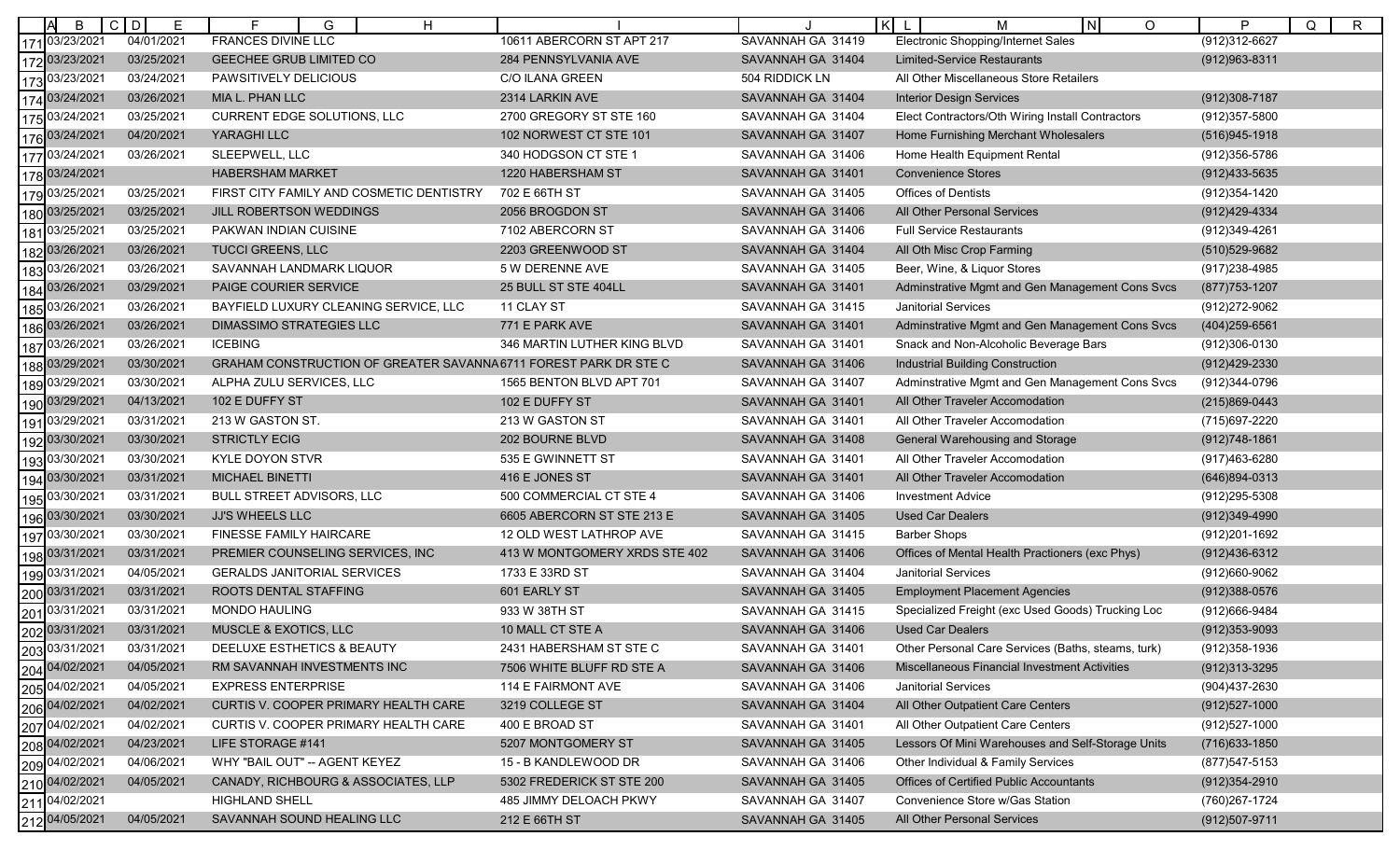|     | B                                                                                                                                                                                | $C$ D<br>Е | G<br>H                                                          |                               |                   | $\vert \kappa \vert$<br>$\circ$<br>м<br>N.         | P<br>Q<br>R       |
|-----|----------------------------------------------------------------------------------------------------------------------------------------------------------------------------------|------------|-----------------------------------------------------------------|-------------------------------|-------------------|----------------------------------------------------|-------------------|
|     | 17103/23/2021                                                                                                                                                                    | 04/01/2021 | <b>FRANCES DIVINE LLC</b>                                       | 10611 ABERCORN ST APT 217     | SAVANNAH GA 31419 | Electronic Shopping/Internet Sales                 | (912)312-6627     |
|     | 172 03/23/2021                                                                                                                                                                   | 03/25/2021 | GEECHEE GRUB LIMITED CO                                         | 284 PENNSYLVANIA AVE          | SAVANNAH GA 31404 | <b>Limited-Service Restaurants</b>                 | (912) 963-8311    |
|     | 173 03/23/2021                                                                                                                                                                   | 03/24/2021 | PAWSITIVELY DELICIOUS                                           | <b>C/O ILANA GREEN</b>        | 504 RIDDICK LN    | All Other Miscellaneous Store Retailers            |                   |
|     | 174 03/24/2021                                                                                                                                                                   | 03/26/2021 | MIA L. PHAN LLC                                                 | 2314 LARKIN AVE               | SAVANNAH GA 31404 | <b>Interior Design Services</b>                    | $(912)308 - 7187$ |
| 175 | 03/24/2021                                                                                                                                                                       | 03/25/2021 | <b>CURRENT EDGE SOLUTIONS, LLC</b>                              | 2700 GREGORY ST STE 160       | SAVANNAH GA 31404 | Elect Contractors/Oth Wiring Install Contractors   | (912) 357-5800    |
|     | 176 03/24/2021                                                                                                                                                                   | 04/20/2021 | YARAGHI LLC                                                     | 102 NORWEST CT STE 101        | SAVANNAH GA 31407 | Home Furnishing Merchant Wholesalers               | (516) 945-1918    |
|     | 177 03/24/2021                                                                                                                                                                   | 03/26/2021 | SLEEPWELL, LLC                                                  | 340 HODGSON CT STE 1          | SAVANNAH GA 31406 | Home Health Equipment Rental                       | (912) 356-5786    |
|     | 178 03/24/2021                                                                                                                                                                   |            | <b>HABERSHAM MARKET</b>                                         | 1220 HABERSHAM ST             | SAVANNAH GA 31401 | <b>Convenience Stores</b>                          | (912)433-5635     |
| 179 | 03/25/2021                                                                                                                                                                       | 03/25/2021 | FIRST CITY FAMILY AND COSMETIC DENTISTRY                        | 702 E 66TH ST                 | SAVANNAH GA 31405 | <b>Offices of Dentists</b>                         | (912) 354-1420    |
|     | 180 03/25/2021                                                                                                                                                                   | 03/25/2021 | JILL ROBERTSON WEDDINGS                                         | 2056 BROGDON ST               | SAVANNAH GA 31406 | All Other Personal Services                        | (912)429-4334     |
| 181 | 03/25/2021                                                                                                                                                                       | 03/25/2021 | PAKWAN INDIAN CUISINE                                           | 7102 ABERCORN ST              | SAVANNAH GA 31406 | <b>Full Service Restaurants</b>                    | (912)349-4261     |
| 182 | 03/26/2021                                                                                                                                                                       | 03/26/2021 | <b>TUCCI GREENS, LLC</b>                                        | 2203 GREENWOOD ST             | SAVANNAH GA 31404 | All Oth Misc Crop Farming                          | (510) 529-9682    |
| 183 | 03/26/2021                                                                                                                                                                       | 03/26/2021 | SAVANNAH LANDMARK LIQUOR                                        | 5 W DERENNE AVE               | SAVANNAH GA 31405 | Beer, Wine, & Liquor Stores                        | (917) 238-4985    |
|     | 184 03/26/2021                                                                                                                                                                   | 03/29/2021 | PAIGE COURIER SERVICE                                           | 25 BULL ST STE 404LL          | SAVANNAH GA 31401 | Adminstrative Mgmt and Gen Management Cons Svcs    | (877) 753-1207    |
| 185 | 03/26/2021                                                                                                                                                                       | 03/26/2021 | BAYFIELD LUXURY CLEANING SERVICE, LLC                           | 11 CLAY ST                    | SAVANNAH GA 31415 | <b>Janitorial Services</b>                         | (912) 272-9062    |
| 186 | 03/26/2021                                                                                                                                                                       | 03/26/2021 | <b>DIMASSIMO STRATEGIES LLC</b>                                 | 771 E PARK AVE                | SAVANNAH GA 31401 | Adminstrative Mgmt and Gen Management Cons Svcs    | (404) 259-6561    |
|     | 187 03/26/2021                                                                                                                                                                   | 03/26/2021 | <b>ICEBING</b>                                                  | 346 MARTIN LUTHER KING BLVD   | SAVANNAH GA 31401 | Snack and Non-Alcoholic Beverage Bars              | (912)306-0130     |
|     | 188 03/29/2021                                                                                                                                                                   | 03/30/2021 | GRAHAM CONSTRUCTION OF GREATER SAVANNA6711 FOREST PARK DR STE C |                               | SAVANNAH GA 31406 | <b>Industrial Building Construction</b>            | (912)429-2330     |
| 189 | 03/29/2021                                                                                                                                                                       | 03/30/2021 | ALPHA ZULU SERVICES, LLC                                        | 1565 BENTON BLVD APT 701      | SAVANNAH GA 31407 | Adminstrative Mgmt and Gen Management Cons Svcs    | (912)344-0796     |
| 190 | 03/29/2021                                                                                                                                                                       | 04/13/2021 | 102 E DUFFY ST                                                  | 102 E DUFFY ST                | SAVANNAH GA 31401 | All Other Traveler Accomodation                    | (215)869-0443     |
| 191 | 03/29/2021                                                                                                                                                                       | 03/31/2021 | 213 W GASTON ST.                                                | 213 W GASTON ST               | SAVANNAH GA 31401 | All Other Traveler Accomodation                    | (715) 697-2220    |
| 192 | 03/30/2021                                                                                                                                                                       | 03/30/2021 | <b>STRICTLY ECIG</b>                                            | 202 BOURNE BLVD               | SAVANNAH GA 31408 | General Warehousing and Storage                    | $(912)748-1861$   |
| 193 | 03/30/2021                                                                                                                                                                       | 03/30/2021 | KYLE DOYON STVR                                                 | 535 E GWINNETT ST             | SAVANNAH GA 31401 | All Other Traveler Accomodation                    | (917)463-6280     |
|     | 194 03/30/2021                                                                                                                                                                   | 03/31/2021 | <b>MICHAEL BINETTI</b>                                          | 416 E JONES ST                | SAVANNAH GA 31401 | All Other Traveler Accomodation                    | (646)894-0313     |
| 195 | 03/30/2021                                                                                                                                                                       | 03/31/2021 | <b>BULL STREET ADVISORS, LLC</b>                                | 500 COMMERCIAL CT STE 4       | SAVANNAH GA 31406 | <b>Investment Advice</b>                           | (912) 295-5308    |
| 196 | 03/30/2021                                                                                                                                                                       | 03/30/2021 | <b>JJ'S WHEELS LLC</b>                                          | 6605 ABERCORN ST STE 213 E    | SAVANNAH GA 31405 | <b>Used Car Dealers</b>                            | (912)349-4990     |
| 197 | 03/30/2021                                                                                                                                                                       | 03/30/2021 | FINESSE FAMILY HAIRCARE                                         | 12 OLD WEST LATHROP AVE       | SAVANNAH GA 31415 | <b>Barber Shops</b>                                | (912) 201-1692    |
|     | 198 03/31/2021                                                                                                                                                                   | 03/31/2021 | PREMIER COUNSELING SERVICES, INC                                | 413 W MONTGOMERY XRDS STE 402 | SAVANNAH GA 31406 | Offices of Mental Health Practioners (exc Phys)    | (912)436-6312     |
| 199 | 03/31/2021                                                                                                                                                                       | 04/05/2021 | <b>GERALDS JANITORIAL SERVICES</b>                              | 1733 E 33RD ST                | SAVANNAH GA 31404 | <b>Janitorial Services</b>                         | (912)660-9062     |
|     |                                                                                                                                                                                  | 03/31/2021 | ROOTS DENTAL STAFFING                                           | 601 EARLY ST                  | SAVANNAH GA 31405 | <b>Employment Placement Agencies</b>               | $(912)388-0576$   |
|     | 200 03/31/2021<br>201 03/31/2021<br>202 03/31/2021                                                                                                                               | 03/31/2021 | <b>MONDO HAULING</b>                                            | 933 W 38TH ST                 | SAVANNAH GA 31415 | Specialized Freight (exc Used Goods) Trucking Loc  | (912)666-9484     |
|     |                                                                                                                                                                                  | 03/31/2021 | <b>MUSCLE &amp; EXOTICS, LLC</b>                                | 10 MALL CT STE A              | SAVANNAH GA 31406 | <b>Used Car Dealers</b>                            | $(912)353 - 9093$ |
|     |                                                                                                                                                                                  | 03/31/2021 | DEELUXE ESTHETICS & BEAUTY                                      | 2431 HABERSHAM ST STE C       | SAVANNAH GA 31401 | Other Personal Care Services (Baths, steams, turk) | (912) 358-1936    |
|     |                                                                                                                                                                                  | 04/05/2021 | RM SAVANNAH INVESTMENTS INC                                     | 7506 WHITE BLUFF RD STE A     | SAVANNAH GA 31406 | Miscellaneous Financial Investment Activities      | (912) 313-3295    |
|     |                                                                                                                                                                                  | 04/05/2021 | <b>EXPRESS ENTERPRISE</b>                                       | 114 E FAIRMONT AVE            | SAVANNAH GA 31406 | Janitorial Services                                | (904)437-2630     |
|     |                                                                                                                                                                                  | 04/02/2021 | CURTIS V. COOPER PRIMARY HEALTH CARE                            | 3219 COLLEGE ST               | SAVANNAH GA 31404 | All Other Outpatient Care Centers                  | $(912)527 - 1000$ |
|     |                                                                                                                                                                                  | 04/02/2021 | CURTIS V. COOPER PRIMARY HEALTH CARE                            | 400 E BROAD ST                | SAVANNAH GA 31401 | All Other Outpatient Care Centers                  | (912)527-1000     |
|     |                                                                                                                                                                                  | 04/23/2021 | LIFE STORAGE #141                                               | 5207 MONTGOMERY ST            | SAVANNAH GA 31405 | Lessors Of Mini Warehouses and Self-Storage Units  | (716) 633-1850    |
|     | 202 03/31/2021<br>203 03/31/2021<br>204 04/02/2021<br>205 04/02/2021<br>207 04/02/2021<br>207 04/02/2021<br>208 04/02/2021<br>210 04/02/2021<br>210 04/02/2021<br>210 04/02/2021 | 04/06/2021 | WHY "BAIL OUT" -- AGENT KEYEZ                                   | 15 - B KANDLEWOOD DR          | SAVANNAH GA 31406 | Other Individual & Family Services                 | (877) 547-5153    |
|     |                                                                                                                                                                                  | 04/05/2021 | CANADY, RICHBOURG & ASSOCIATES, LLP                             | 5302 FREDERICK ST STE 200     | SAVANNAH GA 31405 | Offices of Certified Public Accountants            | $(912)354 - 2910$ |
|     |                                                                                                                                                                                  |            | <b>HIGHLAND SHELL</b>                                           | 485 JIMMY DELOACH PKWY        | SAVANNAH GA 31407 | Convenience Store w/Gas Station                    | (760) 267-1724    |
|     | 212 04/05/2021                                                                                                                                                                   | 04/05/2021 | SAVANNAH SOUND HEALING LLC                                      | 212 E 66TH ST                 | SAVANNAH GA 31405 | All Other Personal Services                        | (912)507-9711     |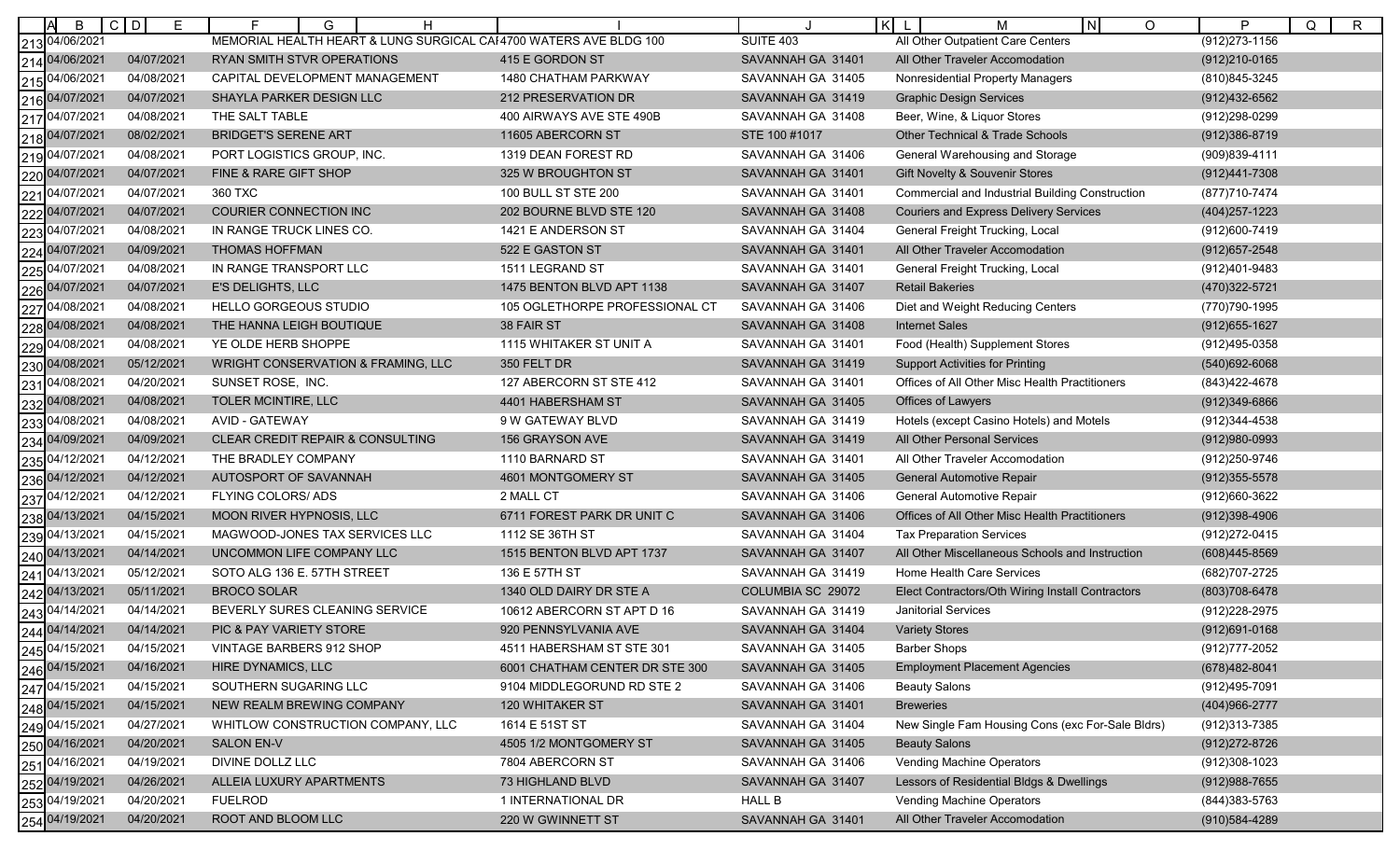| B                 | $C$ D<br>E. | F.<br>G<br>H                                                      |                                |                   | $\mathsf{K}$<br>N <sub>1</sub><br>$\circ$<br>м         | P<br>R<br>Q       |
|-------------------|-------------|-------------------------------------------------------------------|--------------------------------|-------------------|--------------------------------------------------------|-------------------|
| 213 04/06/2021    |             | MEMORIAL HEALTH HEART & LUNG SURGICAL CAI4700 WATERS AVE BLDG 100 |                                | <b>SUITE 403</b>  | All Other Outpatient Care Centers                      | (912) 273-1156    |
| 214 04/06/2021    | 04/07/2021  | RYAN SMITH STVR OPERATIONS                                        | 415 E GORDON ST                | SAVANNAH GA 31401 | All Other Traveler Accomodation                        | (912) 210-0165    |
| 215 04/06/2021    | 04/08/2021  | CAPITAL DEVELOPMENT MANAGEMENT                                    | 1480 CHATHAM PARKWAY           | SAVANNAH GA 31405 | Nonresidential Property Managers                       | (810) 845-3245    |
| 04/07/2021<br>216 | 04/07/2021  | SHAYLA PARKER DESIGN LLC                                          | 212 PRESERVATION DR            | SAVANNAH GA 31419 | <b>Graphic Design Services</b>                         | (912)432-6562     |
| 04/07/2021<br>217 | 04/08/2021  | THE SALT TABLE                                                    | 400 AIRWAYS AVE STE 490B       | SAVANNAH GA 31408 | Beer, Wine, & Liquor Stores                            | (912)298-0299     |
| 218 04/07/2021    | 08/02/2021  | <b>BRIDGET'S SERENE ART</b>                                       | 11605 ABERCORN ST              | STE 100 #1017     | <b>Other Technical &amp; Trade Schools</b>             | (912)386-8719     |
| 04/07/2021<br>219 | 04/08/2021  | PORT LOGISTICS GROUP, INC.                                        | 1319 DEAN FOREST RD            | SAVANNAH GA 31406 | General Warehousing and Storage                        | (909)839-4111     |
| 220 04/07/2021    | 04/07/2021  | FINE & RARE GIFT SHOP                                             | 325 W BROUGHTON ST             | SAVANNAH GA 31401 | Gift Novelty & Souvenir Stores                         | (912)441-7308     |
| 04/07/2021<br>221 | 04/07/2021  | 360 TXC                                                           | 100 BULL ST STE 200            | SAVANNAH GA 31401 | <b>Commercial and Industrial Building Construction</b> | (877)710-7474     |
| 222 04/07/2021    | 04/07/2021  | COURIER CONNECTION INC                                            | 202 BOURNE BLVD STE 120        | SAVANNAH GA 31408 | <b>Couriers and Express Delivery Services</b>          | (404) 257-1223    |
| 04/07/2021<br>223 | 04/08/2021  | IN RANGE TRUCK LINES CO.                                          | 1421 E ANDERSON ST             | SAVANNAH GA 31404 | General Freight Trucking, Local                        | (912)600-7419     |
| 04/07/2021<br>224 | 04/09/2021  | <b>THOMAS HOFFMAN</b>                                             | 522 E GASTON ST                | SAVANNAH GA 31401 | All Other Traveler Accomodation                        | $(912)657 - 2548$ |
| 04/07/2021<br>225 | 04/08/2021  | IN RANGE TRANSPORT LLC                                            | 1511 LEGRAND ST                | SAVANNAH GA 31401 | General Freight Trucking, Local                        | (912)401-9483     |
| 04/07/2021<br>226 | 04/07/2021  | E'S DELIGHTS, LLC                                                 | 1475 BENTON BLVD APT 1138      | SAVANNAH GA 31407 | <b>Retail Bakeries</b>                                 | (470) 322-5721    |
| 04/08/2021<br>227 | 04/08/2021  | <b>HELLO GORGEOUS STUDIO</b>                                      | 105 OGLETHORPE PROFESSIONAL CT | SAVANNAH GA 31406 | Diet and Weight Reducing Centers                       | (770) 790-1995    |
| 228 04/08/2021    | 04/08/2021  | THE HANNA LEIGH BOUTIQUE                                          | 38 FAIR ST                     | SAVANNAH GA 31408 | <b>Internet Sales</b>                                  | $(912)655 - 1627$ |
| 229 04/08/2021    | 04/08/2021  | YE OLDE HERB SHOPPE                                               | 1115 WHITAKER ST UNIT A        | SAVANNAH GA 31401 | Food (Health) Supplement Stores                        | (912)495-0358     |
| 04/08/2021<br>230 | 05/12/2021  | <b>WRIGHT CONSERVATION &amp; FRAMING, LLC</b>                     | 350 FELT DR                    | SAVANNAH GA 31419 | <b>Support Activities for Printing</b>                 | $(540)692 - 6068$ |
| 04/08/2021<br>231 | 04/20/2021  | SUNSET ROSE, INC.                                                 | 127 ABERCORN ST STE 412        | SAVANNAH GA 31401 | Offices of All Other Misc Health Practitioners         | (843) 422-4678    |
| 232 04/08/2021    | 04/08/2021  | TOLER MCINTIRE, LLC                                               | 4401 HABERSHAM ST              | SAVANNAH GA 31405 | Offices of Lawyers                                     | (912)349-6866     |
| 04/08/2021<br>233 | 04/08/2021  | <b>AVID - GATEWAY</b>                                             | 9 W GATEWAY BLVD               | SAVANNAH GA 31419 | Hotels (except Casino Hotels) and Motels               | (912) 344-4538    |
| 04/09/2021<br>234 | 04/09/2021  | <b>CLEAR CREDIT REPAIR &amp; CONSULTING</b>                       | 156 GRAYSON AVE                | SAVANNAH GA 31419 | <b>All Other Personal Services</b>                     | $(912)980 - 0993$ |
| 04/12/2021<br>235 | 04/12/2021  | THE BRADLEY COMPANY                                               | 1110 BARNARD ST                | SAVANNAH GA 31401 | All Other Traveler Accomodation                        | (912) 250-9746    |
| 04/12/2021<br>236 | 04/12/2021  | AUTOSPORT OF SAVANNAH                                             | 4601 MONTGOMERY ST             | SAVANNAH GA 31405 | General Automotive Repair                              | $(912)355 - 5578$ |
| 04/12/2021<br>237 | 04/12/2021  | FLYING COLORS/ ADS                                                | 2 MALL CT                      | SAVANNAH GA 31406 | General Automotive Repair                              | (912)660-3622     |
| 238 04/13/2021    | 04/15/2021  | MOON RIVER HYPNOSIS, LLC                                          | 6711 FOREST PARK DR UNIT C     | SAVANNAH GA 31406 | Offices of All Other Misc Health Practitioners         | $(912)398-4906$   |
| 239 04/13/2021    | 04/15/2021  | MAGWOOD-JONES TAX SERVICES LLC                                    | 1112 SE 36TH ST                | SAVANNAH GA 31404 | <b>Tax Preparation Services</b>                        | (912) 272-0415    |
| 240 04/13/2021    | 04/14/2021  | UNCOMMON LIFE COMPANY LLC                                         | 1515 BENTON BLVD APT 1737      | SAVANNAH GA 31407 | All Other Miscellaneous Schools and Instruction        | (608)445-8569     |
| 04/13/2021<br>241 | 05/12/2021  | SOTO ALG 136 E. 57TH STREET                                       | 136 E 57TH ST                  | SAVANNAH GA 31419 | Home Health Care Services                              | (682)707-2725     |
| 242 04/13/2021    | 05/11/2021  | <b>BROCO SOLAR</b>                                                | 1340 OLD DAIRY DR STE A        | COLUMBIA SC 29072 | Elect Contractors/Oth Wiring Install Contractors       | (803) 708-6478    |
| 04/14/2021<br>243 | 04/14/2021  | BEVERLY SURES CLEANING SERVICE                                    | 10612 ABERCORN ST APT D 16     | SAVANNAH GA 31419 | <b>Janitorial Services</b>                             | (912) 228-2975    |
| 244 04/14/2021    | 04/14/2021  | <b>PIC &amp; PAY VARIETY STORE</b>                                | 920 PENNSYLVANIA AVE           | SAVANNAH GA 31404 | <b>Variety Stores</b>                                  | $(912)691 - 0168$ |
| 245 04/15/2021    | 04/15/2021  | VINTAGE BARBERS 912 SHOP                                          | 4511 HABERSHAM ST STE 301      | SAVANNAH GA 31405 | <b>Barber Shops</b>                                    | (912) 777-2052    |
| 246 04/15/2021    | 04/16/2021  | HIRE DYNAMICS, LLC                                                | 6001 CHATHAM CENTER DR STE 300 | SAVANNAH GA 31405 | <b>Employment Placement Agencies</b>                   | (678)482-8041     |
| 247 04/15/2021    | 04/15/2021  | SOUTHERN SUGARING LLC                                             | 9104 MIDDLEGORUND RD STE 2     | SAVANNAH GA 31406 | <b>Beauty Salons</b>                                   | (912)495-7091     |
| 248 04/15/2021    | 04/15/2021  | NEW REALM BREWING COMPANY                                         | 120 WHITAKER ST                | SAVANNAH GA 31401 | <b>Breweries</b>                                       | (404)966-2777     |
| 249 04/15/2021    | 04/27/2021  | WHITLOW CONSTRUCTION COMPANY, LLC                                 | 1614 E 51ST ST                 | SAVANNAH GA 31404 | New Single Fam Housing Cons (exc For-Sale Bldrs)       | (912) 313-7385    |
| 250 04/16/2021    | 04/20/2021  | <b>SALON EN-V</b>                                                 | 4505 1/2 MONTGOMERY ST         | SAVANNAH GA 31405 | <b>Beauty Salons</b>                                   | (912) 272-8726    |
| 251 04/16/2021    | 04/19/2021  | DIVINE DOLLZ LLC                                                  | 7804 ABERCORN ST               | SAVANNAH GA 31406 | Vending Machine Operators                              | (912)308-1023     |
| 252 04/19/2021    | 04/26/2021  | ALLEIA LUXURY APARTMENTS                                          | 73 HIGHLAND BLVD               | SAVANNAH GA 31407 | Lessors of Residential Bldgs & Dwellings               | $(912)988 - 7655$ |
| 253 04/19/2021    | 04/20/2021  | <b>FUELROD</b>                                                    | 1 INTERNATIONAL DR             | <b>HALL B</b>     | Vending Machine Operators                              | (844) 383-5763    |
| 254 04/19/2021    | 04/20/2021  | ROOT AND BLOOM LLC                                                | 220 W GWINNETT ST              | SAVANNAH GA 31401 | All Other Traveler Accomodation                        | (910) 584-4289    |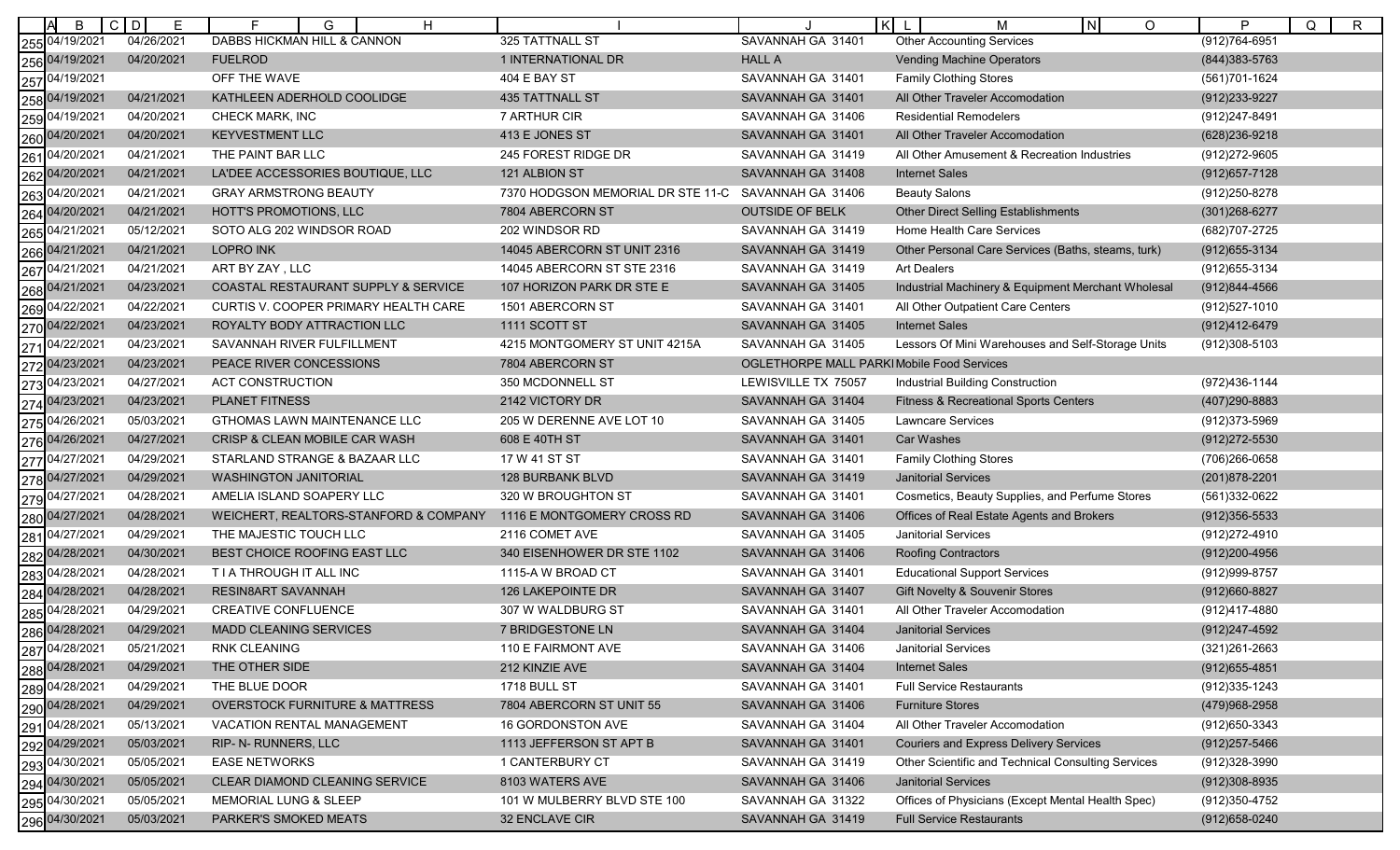| B                 | $\mathsf{C}$<br>D<br>Е | E<br>G<br>H                               |                                   | l K                                        | IN.<br>M<br>$\circ$                                | P<br>Q<br>$\mathsf R$ |
|-------------------|------------------------|-------------------------------------------|-----------------------------------|--------------------------------------------|----------------------------------------------------|-----------------------|
| 255 04/19/2021    | 04/26/2021             | DABBS HICKMAN HILL & CANNON               | 325 TATTNALL ST                   | SAVANNAH GA 31401                          | <b>Other Accounting Services</b>                   | $(912)764 - 6951$     |
| 256 04/19/2021    | 04/20/2021             | <b>FUELROD</b>                            | 1 INTERNATIONAL DR                | <b>HALL A</b>                              | <b>Vending Machine Operators</b>                   | (844) 383-5763        |
| 04/19/2021<br>257 |                        | OFF THE WAVE                              | 404 E BAY ST                      | SAVANNAH GA 31401                          | <b>Family Clothing Stores</b>                      | (561)701-1624         |
| 04/19/2021<br>258 | 04/21/2021             | KATHLEEN ADERHOLD COOLIDGE                | <b>435 TATTNALL ST</b>            | SAVANNAH GA 31401                          | All Other Traveler Accomodation                    | (912) 233-9227        |
| 04/19/2021<br>259 | 04/20/2021             | CHECK MARK, INC                           | 7 ARTHUR CIR                      | SAVANNAH GA 31406                          | Residential Remodelers                             | (912)247-8491         |
| 260 04/20/2021    | 04/20/2021             | <b>KEYVESTMENT LLC</b>                    | 413 E JONES ST                    | SAVANNAH GA 31401                          | All Other Traveler Accomodation                    | (628) 236-9218        |
| 04/20/2021<br>261 | 04/21/2021             | THE PAINT BAR LLC                         | 245 FOREST RIDGE DR               | SAVANNAH GA 31419                          | All Other Amusement & Recreation Industries        | (912) 272-9605        |
| 04/20/2021<br>262 | 04/21/2021             | LA'DEE ACCESSORIES BOUTIQUE, LLC          | 121 ALBION ST                     | SAVANNAH GA 31408                          | <b>Internet Sales</b>                              | $(912)657 - 7128$     |
| 04/20/2021<br>263 | 04/21/2021             | <b>GRAY ARMSTRONG BEAUTY</b>              | 7370 HODGSON MEMORIAL DR STE 11-C | SAVANNAH GA 31406                          | <b>Beauty Salons</b>                               | (912) 250-8278        |
| 04/20/2021<br>264 | 04/21/2021             | HOTT'S PROMOTIONS, LLC                    | 7804 ABERCORN ST                  | <b>OUTSIDE OF BELK</b>                     | <b>Other Direct Selling Establishments</b>         | (301) 268-6277        |
| 04/21/2021<br>265 | 05/12/2021             | SOTO ALG 202 WINDSOR ROAD                 | 202 WINDSOR RD                    | SAVANNAH GA 31419                          | <b>Home Health Care Services</b>                   | (682) 707-2725        |
| 04/21/2021<br>266 | 04/21/2021             | <b>LOPRO INK</b>                          | 14045 ABERCORN ST UNIT 2316       | SAVANNAH GA 31419                          | Other Personal Care Services (Baths, steams, turk) | (912) 655-3134        |
| 04/21/2021<br>267 | 04/21/2021             | ART BY ZAY, LLC                           | 14045 ABERCORN ST STE 2316        | SAVANNAH GA 31419                          | <b>Art Dealers</b>                                 | (912) 655-3134        |
| 04/21/2021<br>268 | 04/23/2021             | COASTAL RESTAURANT SUPPLY & SERVICE       | 107 HORIZON PARK DR STE E         | SAVANNAH GA 31405                          | Industrial Machinery & Equipment Merchant Wholesal | (912)844-4566         |
| 04/22/2021<br>269 | 04/22/2021             | CURTIS V. COOPER PRIMARY HEALTH CARE      | 1501 ABERCORN ST                  | SAVANNAH GA 31401                          | All Other Outpatient Care Centers                  | (912)527-1010         |
| 270 04/22/2021    | 04/23/2021             | ROYALTY BODY ATTRACTION LLC               | 1111 SCOTT ST                     | SAVANNAH GA 31405                          | <b>Internet Sales</b>                              | (912)412-6479         |
| 04/22/2021<br>271 | 04/23/2021             | SAVANNAH RIVER FULFILLMENT                | 4215 MONTGOMERY ST UNIT 4215A     | SAVANNAH GA 31405                          | Lessors Of Mini Warehouses and Self-Storage Units  | (912)308-5103         |
| 272 04/23/2021    | 04/23/2021             | PEACE RIVER CONCESSIONS                   | 7804 ABERCORN ST                  | OGLETHORPE MALL PARKI Mobile Food Services |                                                    |                       |
| 04/23/2021<br>273 | 04/27/2021             | <b>ACT CONSTRUCTION</b>                   | 350 MCDONNELL ST                  | LEWISVILLE TX 75057                        | Industrial Building Construction                   | (972)436-1144         |
| 04/23/2021<br>274 | 04/23/2021             | <b>PLANET FITNESS</b>                     | 2142 VICTORY DR                   | SAVANNAH GA 31404                          | Fitness & Recreational Sports Centers              | (407) 290-8883        |
| 04/26/2021<br>275 | 05/03/2021             | <b>GTHOMAS LAWN MAINTENANCE LLC</b>       | 205 W DERENNE AVE LOT 10          | SAVANNAH GA 31405                          | Lawncare Services                                  | (912) 373-5969        |
| 04/26/2021<br>276 | 04/27/2021             | <b>CRISP &amp; CLEAN MOBILE CAR WASH</b>  | 608 E 40TH ST                     | SAVANNAH GA 31401                          | <b>Car Washes</b>                                  | (912) 272-5530        |
| 04/27/2021<br>277 | 04/29/2021             | STARLAND STRANGE & BAZAAR LLC             | 17 W 41 ST ST                     | SAVANNAH GA 31401                          | <b>Family Clothing Stores</b>                      | (706)266-0658         |
| 278 04/27/2021    | 04/29/2021             | <b>WASHINGTON JANITORIAL</b>              | 128 BURBANK BLVD                  | SAVANNAH GA 31419                          | <b>Janitorial Services</b>                         | (201) 878-2201        |
| 04/27/2021<br>279 | 04/28/2021             | AMELIA ISLAND SOAPERY LLC                 | 320 W BROUGHTON ST                | SAVANNAH GA 31401                          | Cosmetics, Beauty Supplies, and Perfume Stores     | (561)332-0622         |
| 04/27/2021<br>280 | 04/28/2021             | WEICHERT, REALTORS-STANFORD & COMPANY     | 1116 E MONTGOMERY CROSS RD        | SAVANNAH GA 31406                          | Offices of Real Estate Agents and Brokers          | $(912)356 - 5533$     |
| 04/27/2021<br>281 | 04/29/2021             | THE MAJESTIC TOUCH LLC                    | 2116 COMET AVE                    | SAVANNAH GA 31405                          | Janitorial Services                                | (912) 272-4910        |
| 04/28/2021<br>282 | 04/30/2021             | BEST CHOICE ROOFING EAST LLC              | 340 EISENHOWER DR STE 1102        | SAVANNAH GA 31406                          | <b>Roofing Contractors</b>                         | (912) 200-4956        |
| 04/28/2021<br>283 | 04/28/2021             | T I A THROUGH IT ALL INC                  | 1115-A W BROAD CT                 | SAVANNAH GA 31401                          | <b>Educational Support Services</b>                | (912) 999-8757        |
| 04/28/2021<br>284 | 04/28/2021             | RESIN8ART SAVANNAH                        | <b>126 LAKEPOINTE DR</b>          | SAVANNAH GA 31407                          | Gift Novelty & Souvenir Stores                     | (912)660-8827         |
| 04/28/2021<br>285 | 04/29/2021             | <b>CREATIVE CONFLUENCE</b>                | 307 W WALDBURG ST                 | SAVANNAH GA 31401                          | All Other Traveler Accomodation                    | (912)417-4880         |
| 286 04/28/2021    | 04/29/2021             | <b>MADD CLEANING SERVICES</b>             | 7 BRIDGESTONE LN                  | SAVANNAH GA 31404                          | <b>Janitorial Services</b>                         | (912) 247-4592        |
| 287 04/28/2021    | 05/21/2021             | RNK CLEANING                              | 110 E FAIRMONT AVE                | SAVANNAH GA 31406                          | Janitorial Services                                | (321) 261-2663        |
| 288 04/28/2021    | 04/29/2021             | THE OTHER SIDE                            | 212 KINZIE AVE                    | SAVANNAH GA 31404                          | <b>Internet Sales</b>                              | $(912)655 - 4851$     |
| 289 04/28/2021    | 04/29/2021             | THE BLUE DOOR                             | 1718 BULL ST                      | SAVANNAH GA 31401                          | <b>Full Service Restaurants</b>                    | (912) 335-1243        |
| 290 04/28/2021    | 04/29/2021             | <b>OVERSTOCK FURNITURE &amp; MATTRESS</b> | 7804 ABERCORN ST UNIT 55          | SAVANNAH GA 31406                          | <b>Furniture Stores</b>                            | (479)968-2958         |
| 04/28/2021<br>291 | 05/13/2021             | VACATION RENTAL MANAGEMENT                | 16 GORDONSTON AVE                 | SAVANNAH GA 31404                          | All Other Traveler Accomodation                    | (912) 650-3343        |
| 292 04/29/2021    | 05/03/2021             | RIP- N- RUNNERS, LLC                      | 1113 JEFFERSON ST APT B           | SAVANNAH GA 31401                          | <b>Couriers and Express Delivery Services</b>      | $(912)257 - 5466$     |
| 293 04/30/2021    | 05/05/2021             | <b>EASE NETWORKS</b>                      | 1 CANTERBURY CT                   | SAVANNAH GA 31419                          | Other Scientific and Technical Consulting Services | (912)328-3990         |
| 04/30/2021<br>294 | 05/05/2021             | CLEAR DIAMOND CLEANING SERVICE            | 8103 WATERS AVE                   | SAVANNAH GA 31406                          | <b>Janitorial Services</b>                         | (912)308-8935         |
| 295 04/30/2021    | 05/05/2021             | MEMORIAL LUNG & SLEEP                     | 101 W MULBERRY BLVD STE 100       | SAVANNAH GA 31322                          | Offices of Physicians (Except Mental Health Spec)  | (912) 350-4752        |
| 296 04/30/2021    | 05/03/2021             | PARKER'S SMOKED MEATS                     | 32 ENCLAVE CIR                    | SAVANNAH GA 31419                          | <b>Full Service Restaurants</b>                    | (912) 658-0240        |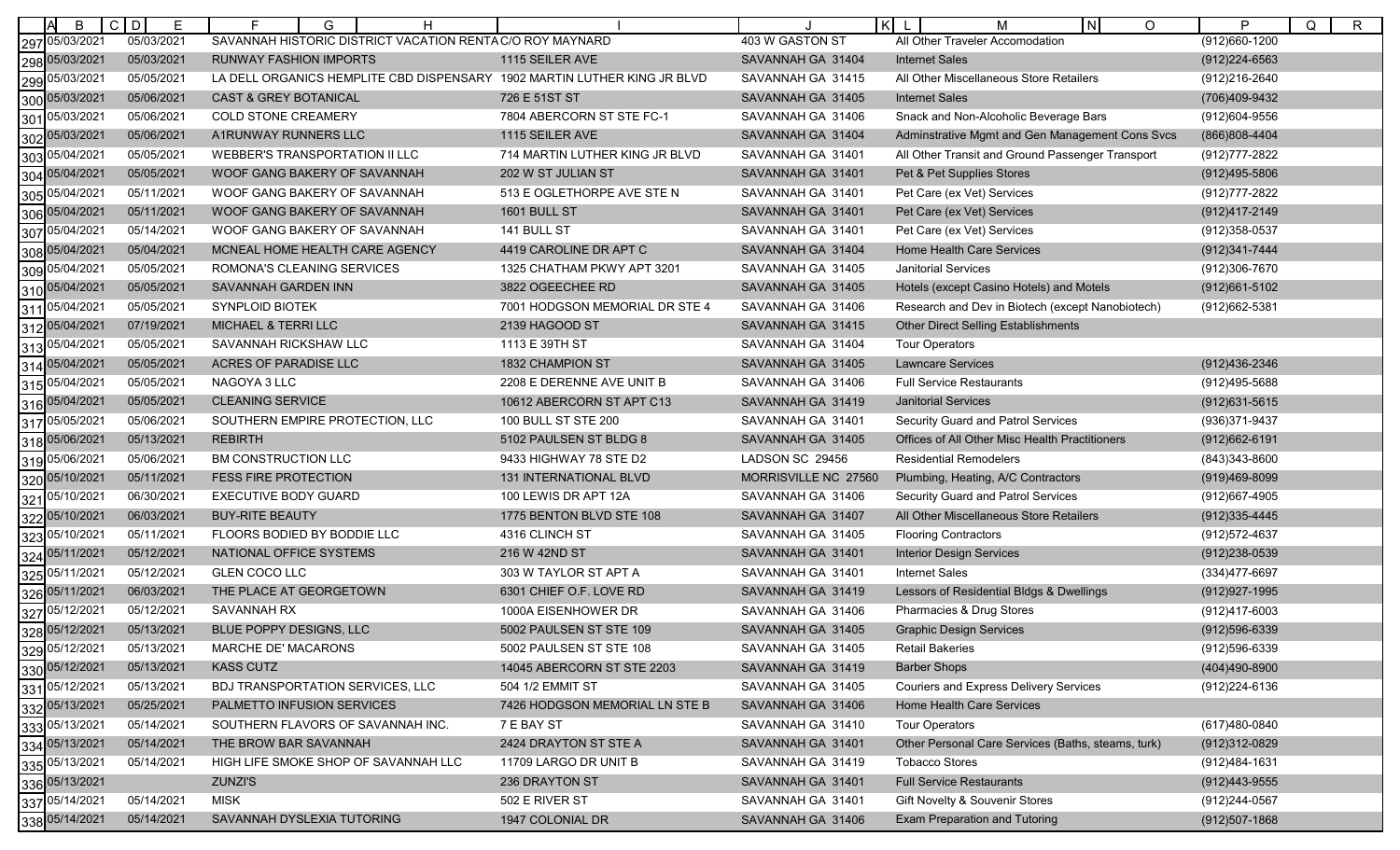| B                 | $C$ $D$<br>E | F.<br>G<br>H                                                             |                                |                      | $\mathsf{K}$<br>N<br>$\circ$<br>M                  | P<br>Q<br>$\mathsf{R}$ |
|-------------------|--------------|--------------------------------------------------------------------------|--------------------------------|----------------------|----------------------------------------------------|------------------------|
| 05/03/2021<br>297 | 05/03/2021   | SAVANNAH HISTORIC DISTRICT VACATION RENTAC/O ROY MAYNARD                 |                                | 403 W GASTON ST      | All Other Traveler Accomodation                    | $(912)660 - 1200$      |
| 298 05/03/2021    | 05/03/2021   | RUNWAY FASHION IMPORTS                                                   | 1115 SEILER AVE                | SAVANNAH GA 31404    | <b>Internet Sales</b>                              | (912) 224-6563         |
| 05/03/2021<br>299 | 05/05/2021   | LA DELL ORGANICS HEMPLITE CBD DISPENSARY 1902 MARTIN LUTHER KING JR BLVD |                                | SAVANNAH GA 31415    | All Other Miscellaneous Store Retailers            | (912)216-2640          |
| 05/03/2021<br>300 | 05/06/2021   | <b>CAST &amp; GREY BOTANICAL</b>                                         | 726 E 51ST ST                  | SAVANNAH GA 31405    | <b>Internet Sales</b>                              | (706)409-9432          |
| 05/03/2021<br>301 | 05/06/2021   | <b>COLD STONE CREAMERY</b>                                               | 7804 ABERCORN ST STE FC-1      | SAVANNAH GA 31406    | Snack and Non-Alcoholic Beverage Bars              | (912)604-9556          |
| 302 05/03/2021    | 05/06/2021   | A1RUNWAY RUNNERS LLC                                                     | 1115 SEILER AVE                | SAVANNAH GA 31404    | Adminstrative Mgmt and Gen Management Cons Svcs    | (866)808-4404          |
| 05/04/2021<br>303 | 05/05/2021   | WEBBER'S TRANSPORTATION II LLC                                           | 714 MARTIN LUTHER KING JR BLVD | SAVANNAH GA 31401    | All Other Transit and Ground Passenger Transport   | (912) 777-2822         |
| 05/04/2021<br>304 | 05/05/2021   | WOOF GANG BAKERY OF SAVANNAH                                             | 202 W ST JULIAN ST             | SAVANNAH GA 31401    | Pet & Pet Supplies Stores                          | (912)495-5806          |
| 05/04/2021<br>305 | 05/11/2021   | WOOF GANG BAKERY OF SAVANNAH                                             | 513 E OGLETHORPE AVE STE N     | SAVANNAH GA 31401    | Pet Care (ex Vet) Services                         | (912) 777-2822         |
| 05/04/2021<br>306 | 05/11/2021   | WOOF GANG BAKERY OF SAVANNAH                                             | 1601 BULL ST                   | SAVANNAH GA 31401    | Pet Care (ex Vet) Services                         | (912)417-2149          |
| 05/04/2021<br>307 | 05/14/2021   | WOOF GANG BAKERY OF SAVANNAH                                             | 141 BULL ST                    | SAVANNAH GA 31401    | Pet Care (ex Vet) Services                         | (912) 358-0537         |
| 05/04/2021<br>308 | 05/04/2021   | MCNEAL HOME HEALTH CARE AGENCY                                           | 4419 CAROLINE DR APT C         | SAVANNAH GA 31404    | <b>Home Health Care Services</b>                   | (912) 341-7444         |
| 05/04/2021<br>309 | 05/05/2021   | ROMONA'S CLEANING SERVICES                                               | 1325 CHATHAM PKWY APT 3201     | SAVANNAH GA 31405    | <b>Janitorial Services</b>                         | (912)306-7670          |
| 310 05/04/2021    | 05/05/2021   | SAVANNAH GARDEN INN                                                      | 3822 OGEECHEE RD               | SAVANNAH GA 31405    | Hotels (except Casino Hotels) and Motels           | (912) 661-5102         |
| 05/04/2021<br>311 | 05/05/2021   | SYNPLOID BIOTEK                                                          | 7001 HODGSON MEMORIAL DR STE 4 | SAVANNAH GA 31406    | Research and Dev in Biotech (except Nanobiotech)   | (912)662-5381          |
| 312 05/04/2021    | 07/19/2021   | MICHAEL & TERRI LLC                                                      | 2139 HAGOOD ST                 | SAVANNAH GA 31415    | Other Direct Selling Establishments                |                        |
| 05/04/2021<br>313 | 05/05/2021   | SAVANNAH RICKSHAW LLC                                                    | 1113 E 39TH ST                 | SAVANNAH GA 31404    | <b>Tour Operators</b>                              |                        |
| 05/04/2021<br>314 | 05/05/2021   | ACRES OF PARADISE LLC                                                    | <b>1832 CHAMPION ST</b>        | SAVANNAH GA 31405    | <b>Lawncare Services</b>                           | (912)436-2346          |
| 05/04/2021<br>315 | 05/05/2021   | NAGOYA 3 LLC                                                             | 2208 E DERENNE AVE UNIT B      | SAVANNAH GA 31406    | <b>Full Service Restaurants</b>                    | (912)495-5688          |
| 316 05/04/2021    | 05/05/2021   | <b>CLEANING SERVICE</b>                                                  | 10612 ABERCORN ST APT C13      | SAVANNAH GA 31419    | <b>Janitorial Services</b>                         | $(912)631 - 5615$      |
| 05/05/2021<br>317 | 05/06/2021   | SOUTHERN EMPIRE PROTECTION, LLC                                          | 100 BULL ST STE 200            | SAVANNAH GA 31401    | <b>Security Guard and Patrol Services</b>          | (936) 371-9437         |
| 05/06/2021<br>318 | 05/13/2021   | <b>REBIRTH</b>                                                           | 5102 PAULSEN ST BLDG 8         | SAVANNAH GA 31405    | Offices of All Other Misc Health Practitioners     | $(912)662 - 6191$      |
| 319 05/06/2021    | 05/06/2021   | BM CONSTRUCTION LLC                                                      | 9433 HIGHWAY 78 STE D2         | LADSON SC 29456      | <b>Residential Remodelers</b>                      | (843)343-8600          |
| 320 05/10/2021    | 05/11/2021   | <b>FESS FIRE PROTECTION</b>                                              | 131 INTERNATIONAL BLVD         | MORRISVILLE NC 27560 | Plumbing, Heating, A/C Contractors                 | (919)469-8099          |
| 05/10/2021<br>321 | 06/30/2021   | <b>EXECUTIVE BODY GUARD</b>                                              | 100 LEWIS DR APT 12A           | SAVANNAH GA 31406    | <b>Security Guard and Patrol Services</b>          | (912)667-4905          |
| 05/10/2021<br>322 | 06/03/2021   | <b>BUY-RITE BEAUTY</b>                                                   | 1775 BENTON BLVD STE 108       | SAVANNAH GA 31407    | All Other Miscellaneous Store Retailers            | $(912)335 - 4445$      |
| 05/10/2021<br>323 | 05/11/2021   | FLOORS BODIED BY BODDIE LLC                                              | 4316 CLINCH ST                 | SAVANNAH GA 31405    | <b>Flooring Contractors</b>                        | (912) 572-4637         |
| 05/11/2021<br>324 | 05/12/2021   | NATIONAL OFFICE SYSTEMS                                                  | 216 W 42ND ST                  | SAVANNAH GA 31401    | <b>Interior Design Services</b>                    | $(912)238-0539$        |
| 05/11/2021<br>325 | 05/12/2021   | GLEN COCO LLC                                                            | 303 W TAYLOR ST APT A          | SAVANNAH GA 31401    | <b>Internet Sales</b>                              | (334) 477-6697         |
| 326 05/11/2021    | 06/03/2021   | THE PLACE AT GEORGETOWN                                                  | 6301 CHIEF O.F. LOVE RD        | SAVANNAH GA 31419    | Lessors of Residential Bldgs & Dwellings           | (912) 927-1995         |
| 327 05/12/2021    | 05/12/2021   | SAVANNAH RX                                                              | 1000A EISENHOWER DR            | SAVANNAH GA 31406    | Pharmacies & Drug Stores                           | (912)417-6003          |
| 328 05/12/2021    | 05/13/2021   | BLUE POPPY DESIGNS, LLC                                                  | 5002 PAULSEN ST STE 109        | SAVANNAH GA 31405    | <b>Graphic Design Services</b>                     | (912)596-6339          |
| 05/12/2021<br>329 | 05/13/2021   | MARCHE DE' MACARONS                                                      | 5002 PAULSEN ST STE 108        | SAVANNAH GA 31405    | <b>Retail Bakeries</b>                             | (912)596-6339          |
| 330 05/12/2021    | 05/13/2021   | <b>KASS CUTZ</b>                                                         | 14045 ABERCORN ST STE 2203     | SAVANNAH GA 31419    | <b>Barber Shops</b>                                | (404)490-8900          |
| 331 05/12/2021    | 05/13/2021   | BDJ TRANSPORTATION SERVICES, LLC                                         | 504 1/2 EMMIT ST               | SAVANNAH GA 31405    | <b>Couriers and Express Delivery Services</b>      | (912) 224-6136         |
| 332 05/13/2021    | 05/25/2021   | PALMETTO INFUSION SERVICES                                               | 7426 HODGSON MEMORIAL LN STE B | SAVANNAH GA 31406    | <b>Home Health Care Services</b>                   |                        |
| 05/13/2021<br>333 | 05/14/2021   | SOUTHERN FLAVORS OF SAVANNAH INC.                                        | 7 E BAY ST                     | SAVANNAH GA 31410    | <b>Tour Operators</b>                              | (617)480-0840          |
| 334 05/13/2021    | 05/14/2021   | THE BROW BAR SAVANNAH                                                    | 2424 DRAYTON ST STE A          | SAVANNAH GA 31401    | Other Personal Care Services (Baths, steams, turk) | (912)312-0829          |
| 335 05/13/2021    | 05/14/2021   | HIGH LIFE SMOKE SHOP OF SAVANNAH LLC                                     | 11709 LARGO DR UNIT B          | SAVANNAH GA 31419    | <b>Tobacco Stores</b>                              | (912)484-1631          |
| 336 05/13/2021    |              | <b>ZUNZI'S</b>                                                           | 236 DRAYTON ST                 | SAVANNAH GA 31401    | <b>Full Service Restaurants</b>                    | (912) 443-9555         |
| 337 05/14/2021    | 05/14/2021   | <b>MISK</b>                                                              | 502 E RIVER ST                 | SAVANNAH GA 31401    | Gift Novelty & Souvenir Stores                     | (912)244-0567          |
| 338 05/14/2021    | 05/14/2021   | SAVANNAH DYSLEXIA TUTORING                                               | 1947 COLONIAL DR               | SAVANNAH GA 31406    | <b>Exam Preparation and Tutoring</b>               | $(912)507 - 1868$      |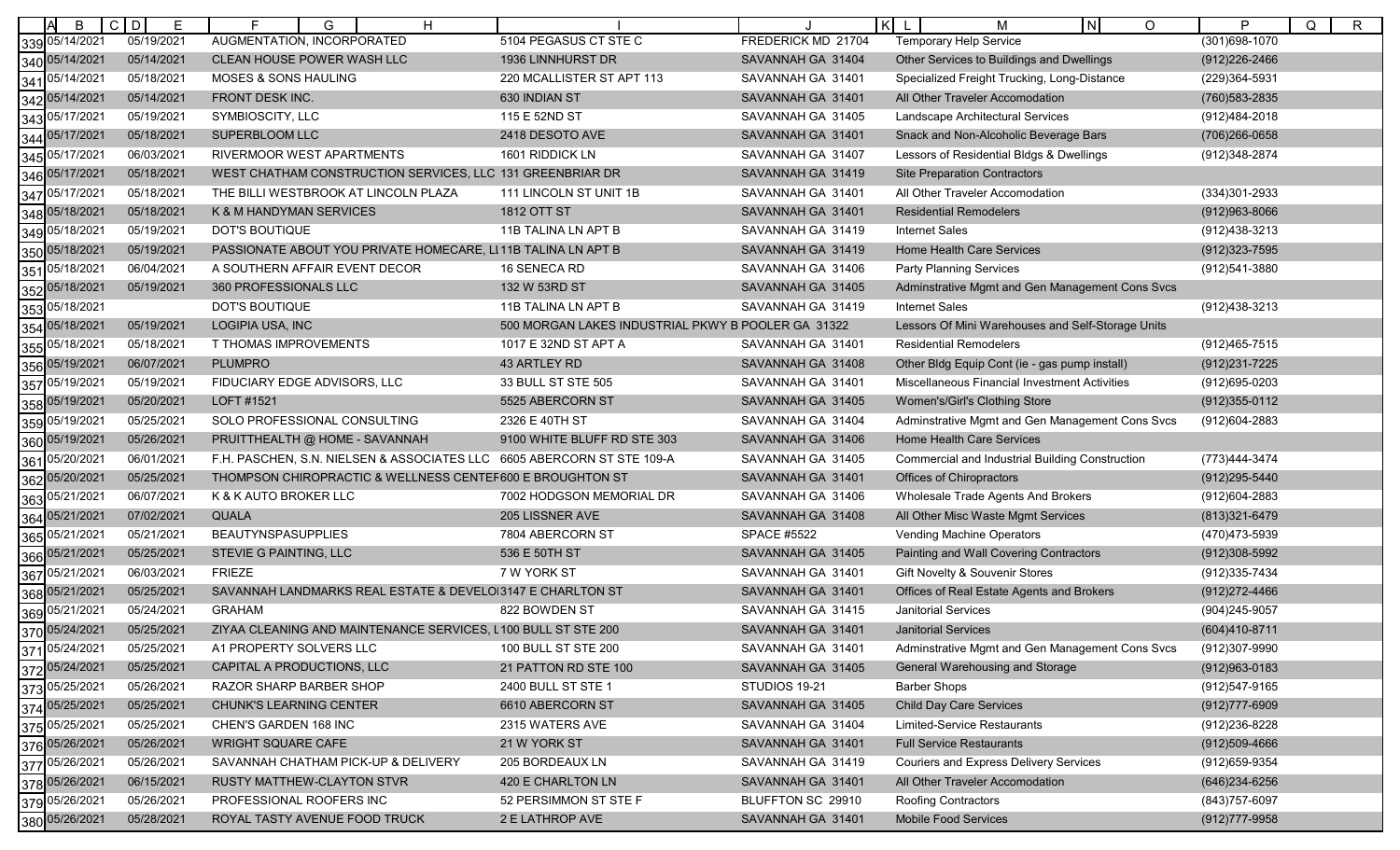| ΙA<br>B           | $C$ D<br>Е | H<br>G                                                                 |                                                    |                    | $\mathsf{K}$<br>N <sub>1</sub><br>O<br>M               | P<br>Q<br>$\mathsf{R}$ |
|-------------------|------------|------------------------------------------------------------------------|----------------------------------------------------|--------------------|--------------------------------------------------------|------------------------|
| 339 05/14/2021    | 05/19/2021 | AUGMENTATION, INCORPORATED                                             | 5104 PEGASUS CT STE C                              | FREDERICK MD 21704 | <b>Temporary Help Service</b>                          | $(301)698 - 1070$      |
| 340 05/14/2021    | 05/14/2021 | CLEAN HOUSE POWER WASH LLC                                             | 1936 LINNHURST DR                                  | SAVANNAH GA 31404  | Other Services to Buildings and Dwellings              | (912) 226-2466         |
| 341 05/14/2021    | 05/18/2021 | MOSES & SONS HAULING                                                   | 220 MCALLISTER ST APT 113                          | SAVANNAH GA 31401  | Specialized Freight Trucking, Long-Distance            | (229)364-5931          |
| 342 05/14/2021    | 05/14/2021 | FRONT DESK INC.                                                        | 630 INDIAN ST                                      | SAVANNAH GA 31401  | All Other Traveler Accomodation                        | (760) 583-2835         |
| 05/17/2021<br>343 | 05/19/2021 | SYMBIOSCITY, LLC                                                       | 115 E 52ND ST                                      | SAVANNAH GA 31405  | Landscape Architectural Services                       | (912)484-2018          |
| 344 05/17/2021    | 05/18/2021 | SUPERBLOOM LLC                                                         | 2418 DESOTO AVE                                    | SAVANNAH GA 31401  | Snack and Non-Alcoholic Beverage Bars                  | (706) 266-0658         |
| 05/17/2021<br>345 | 06/03/2021 | RIVERMOOR WEST APARTMENTS                                              | 1601 RIDDICK LN                                    | SAVANNAH GA 31407  | Lessors of Residential Bldgs & Dwellings               | (912)348-2874          |
| 346 05/17/2021    | 05/18/2021 | WEST CHATHAM CONSTRUCTION SERVICES, LLC 131 GREENBRIAR DR              |                                                    | SAVANNAH GA 31419  | <b>Site Preparation Contractors</b>                    |                        |
| 347 05/17/2021    | 05/18/2021 | THE BILLI WESTBROOK AT LINCOLN PLAZA                                   | 111 LINCOLN ST UNIT 1B                             | SAVANNAH GA 31401  | All Other Traveler Accomodation                        | (334) 301-2933         |
| 348 05/18/2021    | 05/18/2021 | K & M HANDYMAN SERVICES                                                | 1812 OTT ST                                        | SAVANNAH GA 31401  | <b>Residential Remodelers</b>                          | $(912)963 - 8066$      |
| 349 05/18/2021    | 05/19/2021 | <b>DOT'S BOUTIQUE</b>                                                  | 11B TALINA LN APT B                                | SAVANNAH GA 31419  | <b>Internet Sales</b>                                  | (912)438-3213          |
| 350 05/18/2021    | 05/19/2021 | PASSIONATE ABOUT YOU PRIVATE HOMECARE, LI11B TALINA LN APT B           |                                                    | SAVANNAH GA 31419  | Home Health Care Services                              | $(912)323 - 7595$      |
| 351 05/18/2021    | 06/04/2021 | A SOUTHERN AFFAIR EVENT DECOR                                          | 16 SENECA RD                                       | SAVANNAH GA 31406  | <b>Party Planning Services</b>                         | (912)541-3880          |
| 352 05/18/2021    | 05/19/2021 | 360 PROFESSIONALS LLC                                                  | 132 W 53RD ST                                      | SAVANNAH GA 31405  | Adminstrative Mgmt and Gen Management Cons Svcs        |                        |
| 353 05/18/2021    |            | DOT'S BOUTIQUE                                                         | 11B TALINA LN APT B                                | SAVANNAH GA 31419  | <b>Internet Sales</b>                                  | (912)438-3213          |
| 354 05/18/2021    | 05/19/2021 | LOGIPIA USA, INC                                                       | 500 MORGAN LAKES INDUSTRIAL PKWY B POOLER GA 31322 |                    | Lessors Of Mini Warehouses and Self-Storage Units      |                        |
| 355 05/18/2021    | 05/18/2021 | T THOMAS IMPROVEMENTS                                                  | 1017 E 32ND ST APT A                               | SAVANNAH GA 31401  | <b>Residential Remodelers</b>                          | (912)465-7515          |
| 356 05/19/2021    | 06/07/2021 | <b>PLUMPRO</b>                                                         | 43 ARTLEY RD                                       | SAVANNAH GA 31408  | Other Bldg Equip Cont (ie - gas pump install)          | (912) 231-7225         |
| 357 05/19/2021    | 05/19/2021 | FIDUCIARY EDGE ADVISORS, LLC                                           | 33 BULL ST STE 505                                 | SAVANNAH GA 31401  | Miscellaneous Financial Investment Activities          | (912)695-0203          |
| 358 05/19/2021    | 05/20/2021 | LOFT #1521                                                             | 5525 ABERCORN ST                                   | SAVANNAH GA 31405  | Women's/Girl's Clothing Store                          | $(912)355-0112$        |
| 359 05/19/2021    | 05/25/2021 | SOLO PROFESSIONAL CONSULTING                                           | 2326 E 40TH ST                                     | SAVANNAH GA 31404  | Adminstrative Mgmt and Gen Management Cons Svcs        | (912)604-2883          |
| 360 05/19/2021    | 05/26/2021 | PRUITTHEALTH @ HOME - SAVANNAH                                         | 9100 WHITE BLUFF RD STE 303                        | SAVANNAH GA 31406  | <b>Home Health Care Services</b>                       |                        |
| 05/20/2021<br>361 | 06/01/2021 | F.H. PASCHEN, S.N. NIELSEN & ASSOCIATES LLC 6605 ABERCORN ST STE 109-A |                                                    | SAVANNAH GA 31405  | <b>Commercial and Industrial Building Construction</b> | (773)444-3474          |
| 362 05/20/2021    | 05/25/2021 | THOMPSON CHIROPRACTIC & WELLNESS CENTEF600 E BROUGHTON ST              |                                                    | SAVANNAH GA 31401  | Offices of Chiropractors                               | (912)295-5440          |
| 363 05/21/2021    | 06/07/2021 | K & K AUTO BROKER LLC                                                  | 7002 HODGSON MEMORIAL DR                           | SAVANNAH GA 31406  | Wholesale Trade Agents And Brokers                     | (912)604-2883          |
| 364 05/21/2021    | 07/02/2021 | <b>QUALA</b>                                                           | 205 LISSNER AVE                                    | SAVANNAH GA 31408  | All Other Misc Waste Mgmt Services                     | (813) 321-6479         |
| 365 05/21/2021    | 05/21/2021 | <b>BEAUTYNSPASUPPLIES</b>                                              | 7804 ABERCORN ST                                   | <b>SPACE #5522</b> | Vending Machine Operators                              | (470)473-5939          |
| 366 05/21/2021    | 05/25/2021 | STEVIE G PAINTING, LLC                                                 | 536 E 50TH ST                                      | SAVANNAH GA 31405  | Painting and Wall Covering Contractors                 | (912)308-5992          |
| 367 05/21/2021    | 06/03/2021 | <b>FRIEZE</b>                                                          | 7 W YORK ST                                        | SAVANNAH GA 31401  | Gift Novelty & Souvenir Stores                         | (912) 335-7434         |
| 368 05/21/2021    | 05/25/2021 | SAVANNAH LANDMARKS REAL ESTATE & DEVELOI3147 E CHARLTON ST             |                                                    | SAVANNAH GA 31401  | Offices of Real Estate Agents and Brokers              | (912) 272-4466         |
| 369 05/21/2021    | 05/24/2021 | <b>GRAHAM</b>                                                          | 822 BOWDEN ST                                      | SAVANNAH GA 31415  | <b>Janitorial Services</b>                             | (904) 245-9057         |
| 370 05/24/2021    | 05/25/2021 | ZIYAA CLEANING AND MAINTENANCE SERVICES, L100 BULL ST STE 200          |                                                    | SAVANNAH GA 31401  | <b>Janitorial Services</b>                             | (604)410-8711          |
| 371 05/24/2021    | 05/25/2021 | A1 PROPERTY SOLVERS LLC                                                | 100 BULL ST STE 200                                | SAVANNAH GA 31401  | Adminstrative Mgmt and Gen Management Cons Svcs        | (912)307-9990          |
| 372 05/24/2021    | 05/25/2021 | CAPITAL A PRODUCTIONS, LLC                                             | 21 PATTON RD STE 100                               | SAVANNAH GA 31405  | General Warehousing and Storage                        | $(912)963 - 0183$      |
| 373 05/25/2021    | 05/26/2021 | RAZOR SHARP BARBER SHOP                                                | 2400 BULL ST STE 1                                 | STUDIOS 19-21      | <b>Barber Shops</b>                                    | (912)547-9165          |
| 374 05/25/2021    | 05/25/2021 | <b>CHUNK'S LEARNING CENTER</b>                                         | 6610 ABERCORN ST                                   | SAVANNAH GA 31405  | <b>Child Day Care Services</b>                         | $(912)777 - 6909$      |
| 375 05/25/2021    | 05/25/2021 | CHEN'S GARDEN 168 INC                                                  | 2315 WATERS AVE                                    | SAVANNAH GA 31404  | Limited-Service Restaurants                            | (912) 236-8228         |
| 376 05/26/2021    | 05/26/2021 | <b>WRIGHT SQUARE CAFE</b>                                              | 21 W YORK ST                                       | SAVANNAH GA 31401  | <b>Full Service Restaurants</b>                        | $(912)509 - 4666$      |
| 377 05/26/2021    | 05/26/2021 | SAVANNAH CHATHAM PICK-UP & DELIVERY                                    | 205 BORDEAUX LN                                    | SAVANNAH GA 31419  | <b>Couriers and Express Delivery Services</b>          | (912) 659-9354         |
| 378 05/26/2021    | 06/15/2021 | <b>RUSTY MATTHEW-CLAYTON STVR</b>                                      | 420 E CHARLTON LN                                  | SAVANNAH GA 31401  | All Other Traveler Accomodation                        | (646) 234-6256         |
| 379 05/26/2021    | 05/26/2021 | PROFESSIONAL ROOFERS INC                                               | 52 PERSIMMON ST STE F                              | BLUFFTON SC 29910  | Roofing Contractors                                    | (843) 757-6097         |
| 380 05/26/2021    | 05/28/2021 | ROYAL TASTY AVENUE FOOD TRUCK                                          | 2 E LATHROP AVE                                    | SAVANNAH GA 31401  | <b>Mobile Food Services</b>                            | (912) 777-9958         |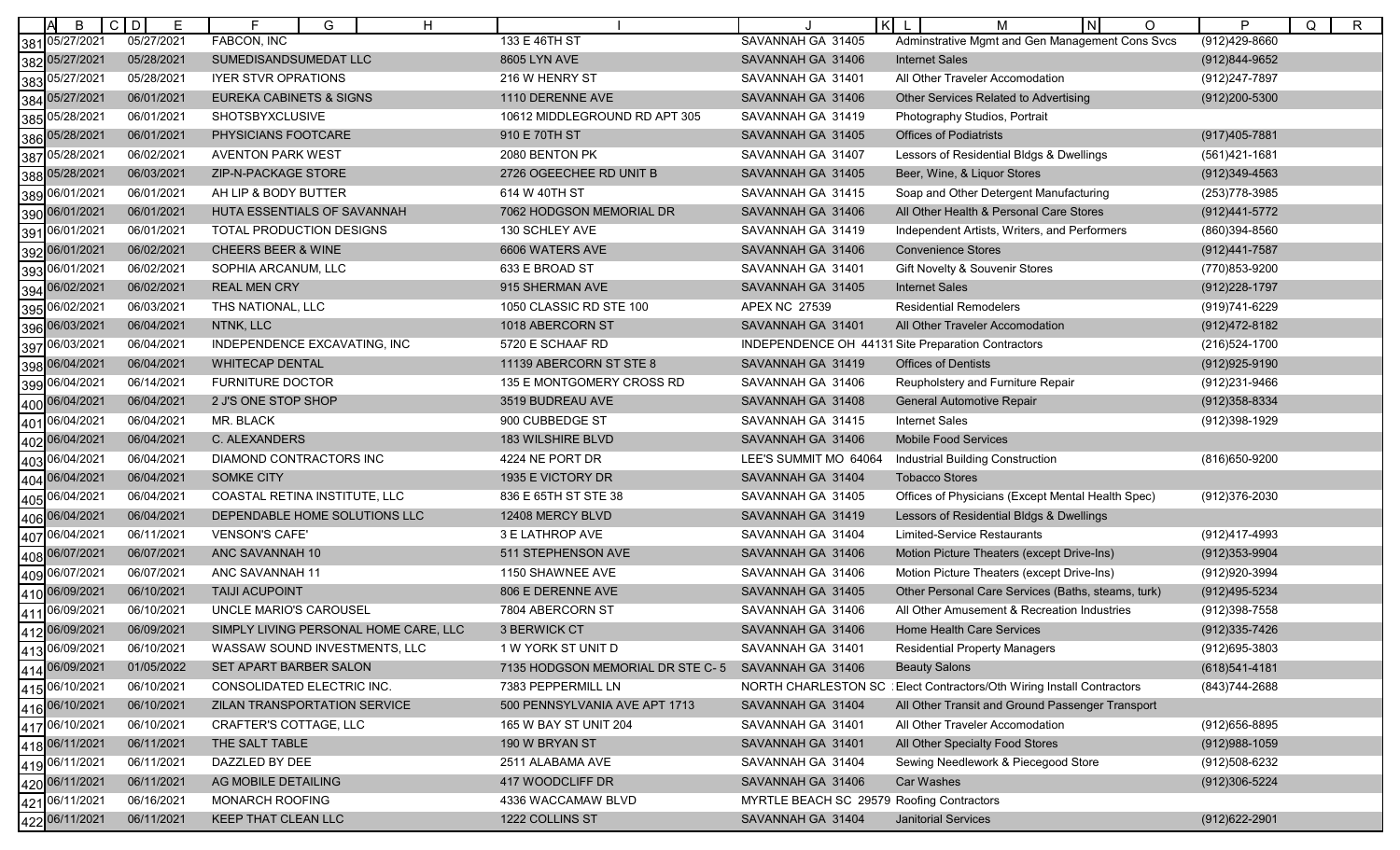| B                 | $\mathsf{C}$<br>D<br>Е | G<br>H                                |                                  | l Kl                                      | I NI<br>м<br>$\circ$                               | P<br>Q<br>R       |
|-------------------|------------------------|---------------------------------------|----------------------------------|-------------------------------------------|----------------------------------------------------|-------------------|
| 05/27/2021<br>381 | 05/27/2021             | FABCON, INC                           | 133 E 46TH ST                    | SAVANNAH GA 31405                         | Adminstrative Mgmt and Gen Management Cons Svcs    | (912)429-8660     |
| 05/27/2021<br>382 | 05/28/2021             | SUMEDISANDSUMEDAT LLC                 | 8605 LYN AVE                     | SAVANNAH GA 31406                         | <b>Internet Sales</b>                              | (912)844-9652     |
| 05/27/2021<br>383 | 05/28/2021             | <b>IYER STVR OPRATIONS</b>            | 216 W HENRY ST                   | SAVANNAH GA 31401                         | All Other Traveler Accomodation                    | (912) 247-7897    |
| 05/27/2021<br>384 | 06/01/2021             | EUREKA CABINETS & SIGNS               | 1110 DERENNE AVE                 | SAVANNAH GA 31406                         | Other Services Related to Advertising              | (912) 200-5300    |
| 05/28/2021<br>385 | 06/01/2021             | SHOTSBYXCLUSIVE                       | 10612 MIDDLEGROUND RD APT 305    | SAVANNAH GA 31419                         | Photography Studios, Portrait                      |                   |
| 05/28/2021<br>386 | 06/01/2021             | PHYSICIANS FOOTCARE                   | 910 E 70TH ST                    | SAVANNAH GA 31405                         | <b>Offices of Podiatrists</b>                      | $(917)405 - 7881$ |
| 05/28/2021<br>387 | 06/02/2021             | <b>AVENTON PARK WEST</b>              | 2080 BENTON PK                   | SAVANNAH GA 31407                         | Lessors of Residential Bldgs & Dwellings           | (561)421-1681     |
| 05/28/2021<br>388 | 06/03/2021             | ZIP-N-PACKAGE STORE                   | 2726 OGEECHEE RD UNIT B          | SAVANNAH GA 31405                         | Beer, Wine, & Liquor Stores                        | $(912)349-4563$   |
| 06/01/2021<br>389 | 06/01/2021             | AH LIP & BODY BUTTER                  | 614 W 40TH ST                    | SAVANNAH GA 31415                         | Soap and Other Detergent Manufacturing             | (253) 778-3985    |
| 390 06/01/2021    | 06/01/2021             | HUTA ESSENTIALS OF SAVANNAH           | 7062 HODGSON MEMORIAL DR         | SAVANNAH GA 31406                         | All Other Health & Personal Care Stores            | (912)441-5772     |
| 06/01/2021<br>391 | 06/01/2021             | TOTAL PRODUCTION DESIGNS              | 130 SCHLEY AVE                   | SAVANNAH GA 31419                         | Independent Artists, Writers, and Performers       | (860)394-8560     |
| 06/01/2021<br>392 | 06/02/2021             | <b>CHEERS BEER &amp; WINE</b>         | 6606 WATERS AVE                  | SAVANNAH GA 31406                         | <b>Convenience Stores</b>                          | (912)441-7587     |
| 06/01/2021<br>393 | 06/02/2021             | SOPHIA ARCANUM, LLC                   | 633 E BROAD ST                   | SAVANNAH GA 31401                         | Gift Novelty & Souvenir Stores                     | (770)853-9200     |
| 06/02/2021<br>394 | 06/02/2021             | <b>REAL MEN CRY</b>                   | 915 SHERMAN AVE                  | SAVANNAH GA 31405                         | <b>Internet Sales</b>                              | (912) 228-1797    |
| 06/02/2021<br>395 | 06/03/2021             | THS NATIONAL, LLC                     | 1050 CLASSIC RD STE 100          | APEX NC 27539                             | <b>Residential Remodelers</b>                      | (919)741-6229     |
| 06/03/2021<br>396 | 06/04/2021             | NTNK, LLC                             | 1018 ABERCORN ST                 | SAVANNAH GA 31401                         | All Other Traveler Accomodation                    | (912)472-8182     |
| 06/03/2021<br>397 | 06/04/2021             | INDEPENDENCE EXCAVATING, INC          | 5720 E SCHAAF RD                 |                                           | INDEPENDENCE OH 44131 Site Preparation Contractors | (216)524-1700     |
| 06/04/2021<br>398 | 06/04/2021             | <b>WHITECAP DENTAL</b>                | 11139 ABERCORN ST STE 8          | SAVANNAH GA 31419                         | <b>Offices of Dentists</b>                         | (912) 925-9190    |
| 06/04/2021<br>399 | 06/14/2021             | <b>FURNITURE DOCTOR</b>               | 135 E MONTGOMERY CROSS RD        | SAVANNAH GA 31406                         | Reupholstery and Furniture Repair                  | (912)231-9466     |
| 400 06/04/2021    | 06/04/2021             | 2 J'S ONE STOP SHOP                   | 3519 BUDREAU AVE                 | SAVANNAH GA 31408                         | General Automotive Repair                          | (912) 358-8334    |
| 06/04/2021<br>401 | 06/04/2021             | MR. BLACK                             | 900 CUBBEDGE ST                  | SAVANNAH GA 31415                         | <b>Internet Sales</b>                              | (912)398-1929     |
| 06/04/2021<br>402 | 06/04/2021             | C. ALEXANDERS                         | <b>183 WILSHIRE BLVD</b>         | SAVANNAH GA 31406                         | <b>Mobile Food Services</b>                        |                   |
| 06/04/2021<br>403 | 06/04/2021             | DIAMOND CONTRACTORS INC               | 4224 NE PORT DR                  | LEE'S SUMMIT MO 64064                     | Industrial Building Construction                   | (816) 650-9200    |
| 06/04/2021<br>404 | 06/04/2021             | SOMKE CITY                            | 1935 E VICTORY DR                | SAVANNAH GA 31404                         | <b>Tobacco Stores</b>                              |                   |
| 06/04/2021<br>405 | 06/04/2021             | COASTAL RETINA INSTITUTE, LLC         | 836 E 65TH ST STE 38             | SAVANNAH GA 31405                         | Offices of Physicians (Except Mental Health Spec)  | (912)376-2030     |
| 06/04/2021<br>406 | 06/04/2021             | DEPENDABLE HOME SOLUTIONS LLC         | 12408 MERCY BLVD                 | SAVANNAH GA 31419                         | Lessors of Residential Bldgs & Dwellings           |                   |
| 06/04/2021<br>407 | 06/11/2021             | <b>VENSON'S CAFE'</b>                 | 3 E LATHROP AVE                  | SAVANNAH GA 31404                         | Limited-Service Restaurants                        | (912)417-4993     |
| 06/07/2021<br>408 | 06/07/2021             | ANC SAVANNAH 10                       | 511 STEPHENSON AVE               | SAVANNAH GA 31406                         | Motion Picture Theaters (except Drive-Ins)         | (912) 353-9904    |
| 06/07/2021<br>409 | 06/07/2021             | ANC SAVANNAH 11                       | 1150 SHAWNEE AVE                 | SAVANNAH GA 31406                         | Motion Picture Theaters (except Drive-Ins)         | (912) 920-3994    |
| 06/09/2021<br>410 | 06/10/2021             | <b>TAIJI ACUPOINT</b>                 | 806 E DERENNE AVE                | SAVANNAH GA 31405                         | Other Personal Care Services (Baths, steams, turk) | (912)495-5234     |
| 06/09/2021<br>411 | 06/10/2021             | UNCLE MARIO'S CAROUSEL                | 7804 ABERCORN ST                 | SAVANNAH GA 31406                         | All Other Amusement & Recreation Industries        | (912)398-7558     |
| 412 06/09/2021    | 06/09/2021             | SIMPLY LIVING PERSONAL HOME CARE, LLC | 3 BERWICK CT                     | SAVANNAH GA 31406                         | <b>Home Health Care Services</b>                   | (912) 335-7426    |
| 413 06/09/2021    | 06/10/2021             | WASSAW SOUND INVESTMENTS, LLC         | 1 W YORK ST UNIT D               | SAVANNAH GA 31401                         | <b>Residential Property Managers</b>               | (912) 695-3803    |
| 414 06/09/2021    | 01/05/2022             | SET APART BARBER SALON                | 7135 HODGSON MEMORIAL DR STE C-5 | SAVANNAH GA 31406                         | <b>Beauty Salons</b>                               | $(618)541 - 4181$ |
| 415 06/10/2021    | 06/10/2021             | CONSOLIDATED ELECTRIC INC.            | 7383 PEPPERMILL LN               | NORTH CHARLESTON SC                       | : Elect Contractors/Oth Wiring Install Contractors | (843) 744-2688    |
| 416 06/10/2021    | 06/10/2021             | ZILAN TRANSPORTATION SERVICE          | 500 PENNSYLVANIA AVE APT 1713    | SAVANNAH GA 31404                         | All Other Transit and Ground Passenger Transport   |                   |
| 417 06/10/2021    | 06/10/2021             | CRAFTER'S COTTAGE, LLC                | 165 W BAY ST UNIT 204            | SAVANNAH GA 31401                         | All Other Traveler Accomodation                    | (912) 656-8895    |
| 418 06/11/2021    | 06/11/2021             | THE SALT TABLE                        | 190 W BRYAN ST                   | SAVANNAH GA 31401                         | All Other Specialty Food Stores                    | $(912)988-1059$   |
| 419 06/11/2021    | 06/11/2021             | DAZZLED BY DEE                        | 2511 ALABAMA AVE                 | SAVANNAH GA 31404                         | Sewing Needlework & Piecegood Store                | (912)508-6232     |
| 420 06/11/2021    | 06/11/2021             | AG MOBILE DETAILING                   | 417 WOODCLIFF DR                 | SAVANNAH GA 31406                         | Car Washes                                         | (912)306-5224     |
| 421 06/11/2021    | 06/16/2021             | MONARCH ROOFING                       | 4336 WACCAMAW BLVD               | MYRTLE BEACH SC 29579 Roofing Contractors |                                                    |                   |
| 422 06/11/2021    | 06/11/2021             | KEEP THAT CLEAN LLC                   | 1222 COLLINS ST                  | SAVANNAH GA 31404                         | <b>Janitorial Services</b>                         | (912) 622-2901    |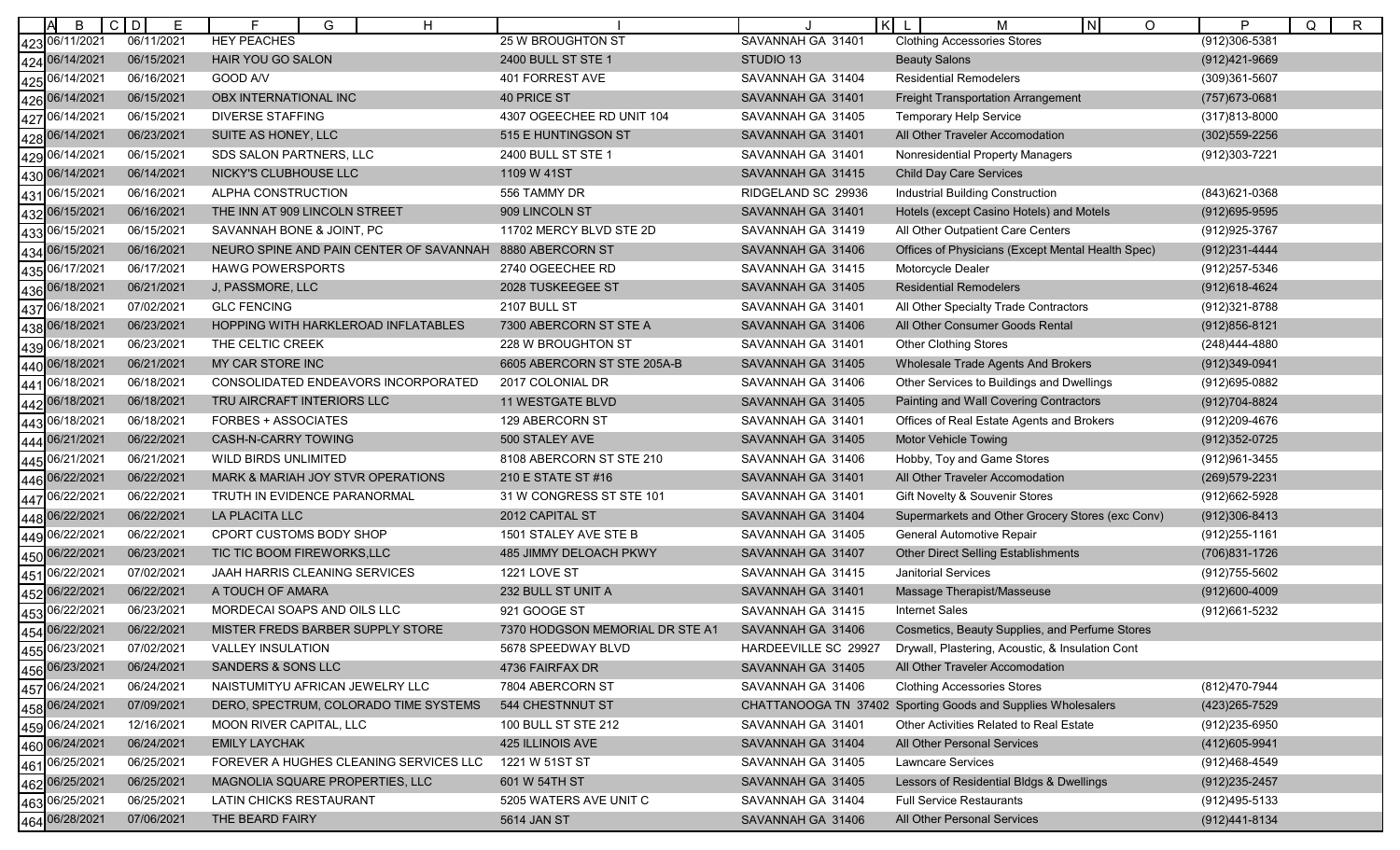| B                 | $C$ $D$<br>E | G<br>н                                  |                                 | $\mathsf{K}$         | м<br>IN.<br>O                                                | P<br>Q<br>$\mathsf{R}$ |
|-------------------|--------------|-----------------------------------------|---------------------------------|----------------------|--------------------------------------------------------------|------------------------|
| 423 06/11/2021    | 06/11/2021   | <b>HEY PEACHES</b>                      | <b>25 W BROUGHTON ST</b>        | SAVANNAH GA 31401    | <b>Clothing Accessories Stores</b>                           | (912)306-5381          |
| 424 06/14/2021    | 06/15/2021   | HAIR YOU GO SALON                       | 2400 BULL ST STE 1              | STUDIO 13            | <b>Beauty Salons</b>                                         | (912)421-9669          |
| 06/14/2021<br>425 | 06/16/2021   | GOOD A/V                                | 401 FORREST AVE                 | SAVANNAH GA 31404    | <b>Residential Remodelers</b>                                | (309)361-5607          |
| 06/14/2021<br>426 | 06/15/2021   | OBX INTERNATIONAL INC                   | 40 PRICE ST                     | SAVANNAH GA 31401    | <b>Freight Transportation Arrangement</b>                    | (757) 673-0681         |
| 06/14/2021<br>427 | 06/15/2021   | <b>DIVERSE STAFFING</b>                 | 4307 OGEECHEE RD UNIT 104       | SAVANNAH GA 31405    | <b>Temporary Help Service</b>                                | (317)813-8000          |
| 428 06/14/2021    | 06/23/2021   | SUITE AS HONEY, LLC                     | 515 E HUNTINGSON ST             | SAVANNAH GA 31401    | All Other Traveler Accomodation                              | (302) 559-2256         |
| 06/14/2021<br>429 | 06/15/2021   | SDS SALON PARTNERS, LLC                 | 2400 BULL ST STE 1              | SAVANNAH GA 31401    | Nonresidential Property Managers                             | (912)303-7221          |
| 06/14/2021<br>430 | 06/14/2021   | NICKY'S CLUBHOUSE LLC                   | 1109 W 41ST                     | SAVANNAH GA 31415    | <b>Child Day Care Services</b>                               |                        |
| 06/15/2021<br>431 | 06/16/2021   | ALPHA CONSTRUCTION                      | 556 TAMMY DR                    | RIDGELAND SC 29936   | Industrial Building Construction                             | (843)621-0368          |
| 432 06/15/2021    | 06/16/2021   | THE INN AT 909 LINCOLN STREET           | 909 LINCOLN ST                  | SAVANNAH GA 31401    | Hotels (except Casino Hotels) and Motels                     | $(912)695 - 9595$      |
| 06/15/2021<br>433 | 06/15/2021   | SAVANNAH BONE & JOINT, PC               | 11702 MERCY BLVD STE 2D         | SAVANNAH GA 31419    | All Other Outpatient Care Centers                            | (912) 925-3767         |
| 06/15/2021<br>434 | 06/16/2021   | NEURO SPINE AND PAIN CENTER OF SAVANNAH | 8880 ABERCORN ST                | SAVANNAH GA 31406    | Offices of Physicians (Except Mental Health Spec)            | (912) 231-4444         |
| 06/17/2021<br>435 | 06/17/2021   | <b>HAWG POWERSPORTS</b>                 | 2740 OGEECHEE RD                | SAVANNAH GA 31415    | Motorcycle Dealer                                            | (912) 257-5346         |
| 06/18/2021<br>436 | 06/21/2021   | J, PASSMORE, LLC                        | 2028 TUSKEEGEE ST               | SAVANNAH GA 31405    | <b>Residential Remodelers</b>                                | (912) 618-4624         |
| 06/18/2021<br>437 | 07/02/2021   | <b>GLC FENCING</b>                      | 2107 BULL ST                    | SAVANNAH GA 31401    | All Other Specialty Trade Contractors                        | (912)321-8788          |
| 438 06/18/2021    | 06/23/2021   | HOPPING WITH HARKLEROAD INFLATABLES     | 7300 ABERCORN ST STE A          | SAVANNAH GA 31406    | All Other Consumer Goods Rental                              | $(912)856 - 8121$      |
| 06/18/2021<br>439 | 06/23/2021   | THE CELTIC CREEK                        | 228 W BROUGHTON ST              | SAVANNAH GA 31401    | <b>Other Clothing Stores</b>                                 | (248)444-4880          |
| 06/18/2021<br>440 | 06/21/2021   | MY CAR STORE INC                        | 6605 ABERCORN ST STE 205A-B     | SAVANNAH GA 31405    | Wholesale Trade Agents And Brokers                           | (912)349-0941          |
| 06/18/2021<br>441 | 06/18/2021   | CONSOLIDATED ENDEAVORS INCORPORATED     | 2017 COLONIAL DR                | SAVANNAH GA 31406    | Other Services to Buildings and Dwellings                    | (912)695-0882          |
| 442 06/18/2021    | 06/18/2021   | TRU AIRCRAFT INTERIORS LLC              | <b>11 WESTGATE BLVD</b>         | SAVANNAH GA 31405    | Painting and Wall Covering Contractors                       | (912) 704-8824         |
| 06/18/2021<br>443 | 06/18/2021   | FORBES + ASSOCIATES                     | 129 ABERCORN ST                 | SAVANNAH GA 31401    | Offices of Real Estate Agents and Brokers                    | (912) 209-4676         |
| 06/21/2021<br>444 | 06/22/2021   | CASH-N-CARRY TOWING                     | 500 STALEY AVE                  | SAVANNAH GA 31405    | <b>Motor Vehicle Towing</b>                                  | (912) 352-0725         |
| 06/21/2021<br>445 | 06/21/2021   | WILD BIRDS UNLIMITED                    | 8108 ABERCORN ST STE 210        | SAVANNAH GA 31406    | Hobby, Toy and Game Stores                                   | (912) 961-3455         |
| 06/22/2021<br>446 | 06/22/2021   | MARK & MARIAH JOY STVR OPERATIONS       | 210 E STATE ST #16              | SAVANNAH GA 31401    | All Other Traveler Accomodation                              | (269) 579-2231         |
| 06/22/2021<br>447 | 06/22/2021   | TRUTH IN EVIDENCE PARANORMAL            | 31 W CONGRESS ST STE 101        | SAVANNAH GA 31401    | Gift Novelty & Souvenir Stores                               | (912)662-5928          |
| 06/22/2021<br>448 | 06/22/2021   | LA PLACITA LLC                          | 2012 CAPITAL ST                 | SAVANNAH GA 31404    | Supermarkets and Other Grocery Stores (exc Conv)             | (912)306-8413          |
| 06/22/2021<br>449 | 06/22/2021   | CPORT CUSTOMS BODY SHOP                 | 1501 STALEY AVE STE B           | SAVANNAH GA 31405    | General Automotive Repair                                    | (912) 255-1161         |
| 06/22/2021<br>450 | 06/23/2021   | TIC TIC BOOM FIREWORKS, LLC             | 485 JIMMY DELOACH PKWY          | SAVANNAH GA 31407    | <b>Other Direct Selling Establishments</b>                   | (706)831-1726          |
| 06/22/2021<br>451 | 07/02/2021   | JAAH HARRIS CLEANING SERVICES           | 1221 LOVE ST                    | SAVANNAH GA 31415    | <b>Janitorial Services</b>                                   | (912) 755-5602         |
| 452 06/22/2021    | 06/22/2021   | A TOUCH OF AMARA                        | 232 BULL ST UNIT A              | SAVANNAH GA 31401    | Massage Therapist/Masseuse                                   | $(912)600 - 4009$      |
| 06/22/2021<br>453 | 06/23/2021   | MORDECAI SOAPS AND OILS LLC             | 921 GOOGE ST                    | SAVANNAH GA 31415    | <b>Internet Sales</b>                                        | (912)661-5232          |
| 454 06/22/2021    | 06/22/2021   | MISTER FREDS BARBER SUPPLY STORE        | 7370 HODGSON MEMORIAL DR STE A1 | SAVANNAH GA 31406    | Cosmetics, Beauty Supplies, and Perfume Stores               |                        |
| 455 06/23/2021    | 07/02/2021   | <b>VALLEY INSULATION</b>                | 5678 SPEEDWAY BLVD              | HARDEEVILLE SC 29927 | Drywall, Plastering, Acoustic, & Insulation Cont             |                        |
| 456 06/23/2021    | 06/24/2021   | SANDERS & SONS LLC                      | 4736 FAIRFAX DR                 | SAVANNAH GA 31405    | All Other Traveler Accomodation                              |                        |
| 457 06/24/2021    | 06/24/2021   | NAISTUMITYU AFRICAN JEWELRY LLC         | 7804 ABERCORN ST                | SAVANNAH GA 31406    | <b>Clothing Accessories Stores</b>                           | (812)470-7944          |
| 458 06/24/2021    | 07/09/2021   | DERO, SPECTRUM, COLORADO TIME SYSTEMS   | 544 CHESTNNUT ST                |                      | CHATTANOOGA TN 37402 Sporting Goods and Supplies Wholesalers | (423) 265-7529         |
| 459 06/24/2021    | 12/16/2021   | MOON RIVER CAPITAL, LLC                 | 100 BULL ST STE 212             | SAVANNAH GA 31401    | Other Activities Related to Real Estate                      | (912)235-6950          |
| 460 06/24/2021    | 06/24/2021   | <b>EMILY LAYCHAK</b>                    | 425 ILLINOIS AVE                | SAVANNAH GA 31404    | All Other Personal Services                                  | (412) 605-9941         |
| 461 06/25/2021    | 06/25/2021   | FOREVER A HUGHES CLEANING SERVICES LLC  | 1221 W 51ST ST                  | SAVANNAH GA 31405    | <b>Lawncare Services</b>                                     | (912)468-4549          |
| 462 06/25/2021    | 06/25/2021   | MAGNOLIA SQUARE PROPERTIES, LLC         | 601 W 54TH ST                   | SAVANNAH GA 31405    | Lessors of Residential Bldgs & Dwellings                     | (912) 235-2457         |
| 463 06/25/2021    | 06/25/2021   | LATIN CHICKS RESTAURANT                 | 5205 WATERS AVE UNIT C          | SAVANNAH GA 31404    | <b>Full Service Restaurants</b>                              | (912)495-5133          |
| 464 06/28/2021    | 07/06/2021   | THE BEARD FAIRY                         | 5614 JAN ST                     | SAVANNAH GA 31406    | All Other Personal Services                                  | (912)441-8134          |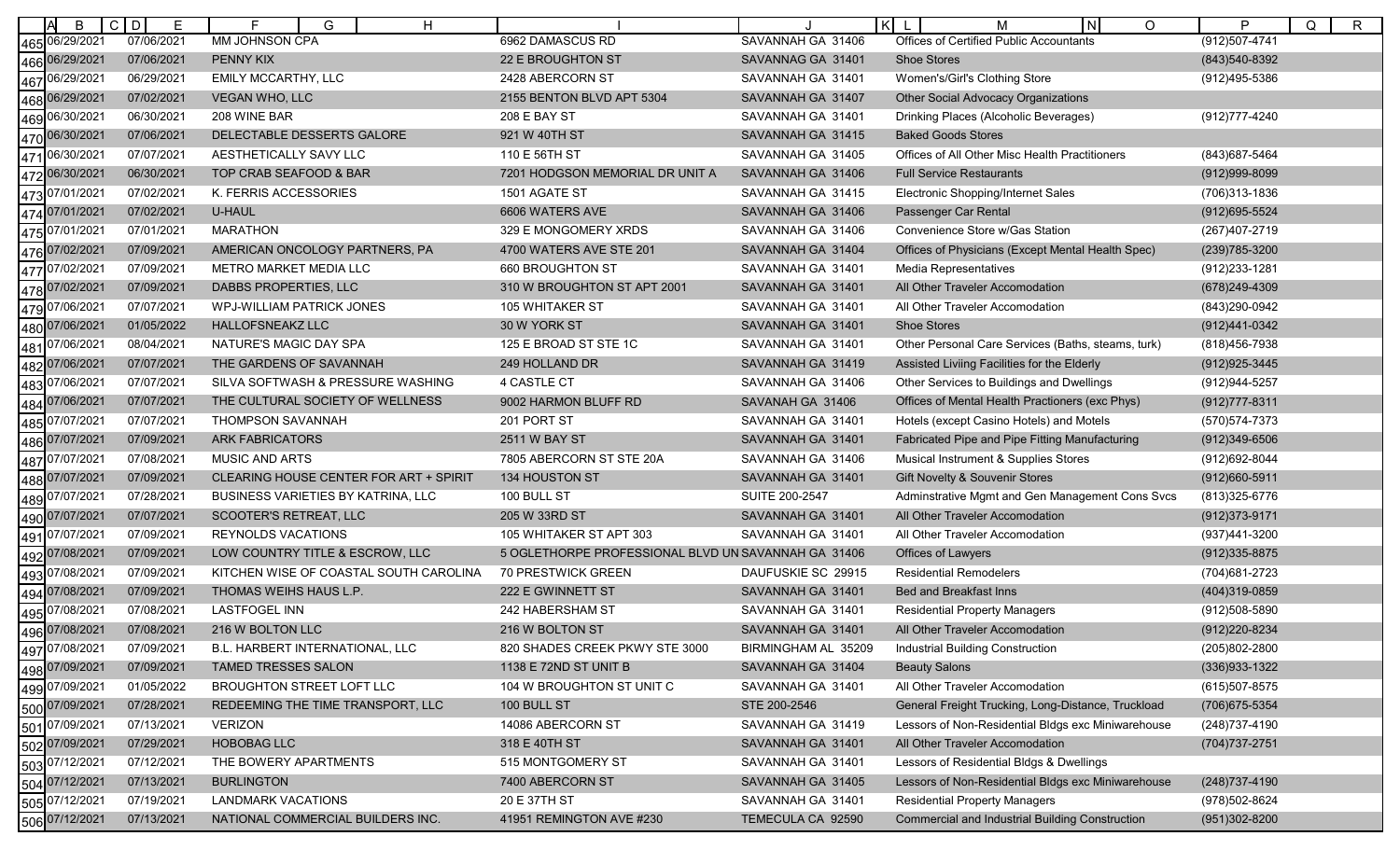| B                 | C D<br>Е   | F<br>G<br>H                               |                                                     |                     | $\mathsf{K}$<br>$\circ$<br>м                           | P<br>Q<br>R       |
|-------------------|------------|-------------------------------------------|-----------------------------------------------------|---------------------|--------------------------------------------------------|-------------------|
| 465 06/29/2021    | 07/06/2021 | MM JOHNSON CPA                            | 6962 DAMASCUS RD                                    | SAVANNAH GA 31406   | Offices of Certified Public Accountants                | $(912)507 - 4741$ |
| 466 06/29/2021    | 07/06/2021 | PENNY KIX                                 | 22 E BROUGHTON ST                                   | SAVANNAG GA 31401   | <b>Shoe Stores</b>                                     | (843) 540-8392    |
| 467 06/29/2021    | 06/29/2021 | EMILY MCCARTHY, LLC                       | 2428 ABERCORN ST                                    | SAVANNAH GA 31401   | Women's/Girl's Clothing Store                          | (912)495-5386     |
| 468 06/29/2021    | 07/02/2021 | <b>VEGAN WHO, LLC</b>                     | 2155 BENTON BLVD APT 5304                           | SAVANNAH GA 31407   | <b>Other Social Advocacy Organizations</b>             |                   |
| 06/30/2021<br>469 | 06/30/2021 | 208 WINE BAR                              | 208 E BAY ST                                        | SAVANNAH GA 31401   | Drinking Places (Alcoholic Beverages)                  | (912) 777-4240    |
| 470 06/30/2021    | 07/06/2021 | DELECTABLE DESSERTS GALORE                | 921 W 40TH ST                                       | SAVANNAH GA 31415   | <b>Baked Goods Stores</b>                              |                   |
| 06/30/2021<br>471 | 07/07/2021 | AESTHETICALLY SAVY LLC                    | 110 E 56TH ST                                       | SAVANNAH GA 31405   | Offices of All Other Misc Health Practitioners         | (843) 687-5464    |
| 06/30/2021<br>472 | 06/30/2021 | TOP CRAB SEAFOOD & BAR                    | 7201 HODGSON MEMORIAL DR UNIT A                     | SAVANNAH GA 31406   | <b>Full Service Restaurants</b>                        | $(912)999-8099$   |
| 473<br>07/01/2021 | 07/02/2021 | K. FERRIS ACCESSORIES                     | 1501 AGATE ST                                       | SAVANNAH GA 31415   | Electronic Shopping/Internet Sales                     | (706)313-1836     |
| 474 07/01/2021    | 07/02/2021 | <b>U-HAUL</b>                             | 6606 WATERS AVE                                     | SAVANNAH GA 31406   | Passenger Car Rental                                   | (912) 695-5524    |
| 475 07/01/2021    | 07/01/2021 | <b>MARATHON</b>                           | 329 E MONGOMERY XRDS                                | SAVANNAH GA 31406   | Convenience Store w/Gas Station                        | (267)407-2719     |
| 07/02/2021<br>476 | 07/09/2021 | AMERICAN ONCOLOGY PARTNERS, PA            | 4700 WATERS AVE STE 201                             | SAVANNAH GA 31404   | Offices of Physicians (Except Mental Health Spec)      | (239) 785-3200    |
| 07/02/2021<br>477 | 07/09/2021 | METRO MARKET MEDIA LLC                    | 660 BROUGHTON ST                                    | SAVANNAH GA 31401   | <b>Media Representatives</b>                           | (912) 233-1281    |
| 478 07/02/2021    | 07/09/2021 | DABBS PROPERTIES, LLC                     | 310 W BROUGHTON ST APT 2001                         | SAVANNAH GA 31401   | All Other Traveler Accomodation                        | (678) 249-4309    |
| 07/06/2021<br>479 | 07/07/2021 | <b>WPJ-WILLIAM PATRICK JONES</b>          | <b>105 WHITAKER ST</b>                              | SAVANNAH GA 31401   | All Other Traveler Accomodation                        | (843) 290-0942    |
| 07/06/2021<br>480 | 01/05/2022 | <b>HALLOFSNEAKZ LLC</b>                   | 30 W YORK ST                                        | SAVANNAH GA 31401   | <b>Shoe Stores</b>                                     | (912)441-0342     |
| 07/06/2021<br>481 | 08/04/2021 | NATURE'S MAGIC DAY SPA                    | 125 E BROAD ST STE 1C                               | SAVANNAH GA 31401   | Other Personal Care Services (Baths, steams, turk)     | (818) 456-7938    |
| 482 07/06/2021    | 07/07/2021 | THE GARDENS OF SAVANNAH                   | 249 HOLLAND DR                                      | SAVANNAH GA 31419   | Assisted Liviing Facilities for the Elderly            | (912) 925-3445    |
| 17/06/2021<br>483 | 07/07/2021 | SILVA SOFTWASH & PRESSURE WASHING         | 4 CASTLE CT                                         | SAVANNAH GA 31406   | Other Services to Buildings and Dwellings              | (912) 944-5257    |
| 484<br>07/06/2021 | 07/07/2021 | THE CULTURAL SOCIETY OF WELLNESS          | 9002 HARMON BLUFF RD                                | SAVANAH GA 31406    | Offices of Mental Health Practioners (exc Phys)        | (912) 777-8311    |
| 07/07/2021<br>485 | 07/07/2021 | THOMPSON SAVANNAH                         | 201 PORT ST                                         | SAVANNAH GA 31401   | Hotels (except Casino Hotels) and Motels               | (570) 574-7373    |
| 07/07/2021<br>486 | 07/09/2021 | <b>ARK FABRICATORS</b>                    | <b>2511 W BAY ST</b>                                | SAVANNAH GA 31401   | Fabricated Pipe and Pipe Fitting Manufacturing         | $(912)349-6506$   |
| 17/07/2021<br>487 | 07/08/2021 | MUSIC AND ARTS                            | 7805 ABERCORN ST STE 20A                            | SAVANNAH GA 31406   | Musical Instrument & Supplies Stores                   | (912) 692-8044    |
| 488 07/07/2021    | 07/09/2021 | CLEARING HOUSE CENTER FOR ART + SPIRIT    | 134 HOUSTON ST                                      | SAVANNAH GA 31401   | Gift Novelty & Souvenir Stores                         | (912)660-5911     |
| 07/07/2021<br>489 | 07/28/2021 | <b>BUSINESS VARIETIES BY KATRINA, LLC</b> | 100 BULL ST                                         | SUITE 200-2547      | Adminstrative Mgmt and Gen Management Cons Svcs        | (813) 325-6776    |
| 07/07/2021<br>490 | 07/07/2021 | SCOOTER'S RETREAT, LLC                    | 205 W 33RD ST                                       | SAVANNAH GA 31401   | All Other Traveler Accomodation                        | $(912)373-9171$   |
| 491<br>07/07/2021 | 07/09/2021 | <b>REYNOLDS VACATIONS</b>                 | 105 WHITAKER ST APT 303                             | SAVANNAH GA 31401   | All Other Traveler Accomodation                        | (937)441-3200     |
| 492 07/08/2021    | 07/09/2021 | LOW COUNTRY TITLE & ESCROW, LLC           | 5 OGLETHORPE PROFESSIONAL BLVD UN SAVANNAH GA 31406 |                     | Offices of Lawyers                                     | (912) 335-8875    |
| 07/08/2021<br>493 | 07/09/2021 | KITCHEN WISE OF COASTAL SOUTH CAROLINA    | 70 PRESTWICK GREEN                                  | DAUFUSKIE SC 29915  | <b>Residential Remodelers</b>                          | (704) 681-2723    |
| 07/08/2021<br>494 | 07/09/2021 | THOMAS WEIHS HAUS L.P.                    | 222 E GWINNETT ST                                   | SAVANNAH GA 31401   | Bed and Breakfast Inns                                 | (404)319-0859     |
| 495 07/08/2021    | 07/08/2021 | <b>LASTFOGEL INN</b>                      | 242 HABERSHAM ST                                    | SAVANNAH GA 31401   | <b>Residential Property Managers</b>                   | (912)508-5890     |
| 496 07/08/2021    | 07/08/2021 | 216 W BOLTON LLC                          | 216 W BOLTON ST                                     | SAVANNAH GA 31401   | All Other Traveler Accomodation                        | (912) 220-8234    |
| 497 07/08/2021    | 07/09/2021 | B.L. HARBERT INTERNATIONAL, LLC           | 820 SHADES CREEK PKWY STE 3000                      | BIRMINGHAM AL 35209 | Industrial Building Construction                       | (205)802-2800     |
| 498 07/09/2021    | 07/09/2021 | TAMED TRESSES SALON                       | 1138 E 72ND ST UNIT B                               | SAVANNAH GA 31404   | <b>Beauty Salons</b>                                   | (336) 933-1322    |
| 499 07/09/2021    | 01/05/2022 | BROUGHTON STREET LOFT LLC                 | 104 W BROUGHTON ST UNIT C                           | SAVANNAH GA 31401   | All Other Traveler Accomodation                        | (615) 507-8575    |
| 500 07/09/2021    | 07/28/2021 | REDEEMING THE TIME TRANSPORT, LLC         | 100 BULL ST                                         | STE 200-2546        | General Freight Trucking, Long-Distance, Truckload     | (706) 675-5354    |
|                   | 07/13/2021 | <b>VERIZON</b>                            | 14086 ABERCORN ST                                   | SAVANNAH GA 31419   | Lessors of Non-Residential Bldgs exc Miniwarehouse     | (248) 737-4190    |
|                   | 07/29/2021 | <b>HOBOBAG LLC</b>                        | 318 E 40TH ST                                       | SAVANNAH GA 31401   | All Other Traveler Accomodation                        | (704) 737-2751    |
| 503 07/12/2021    | 07/12/2021 | THE BOWERY APARTMENTS                     | 515 MONTGOMERY ST                                   | SAVANNAH GA 31401   | Lessors of Residential Bldgs & Dwellings               |                   |
| 504 07/12/2021    | 07/13/2021 | <b>BURLINGTON</b>                         | 7400 ABERCORN ST                                    | SAVANNAH GA 31405   | Lessors of Non-Residential Bldgs exc Miniwarehouse     | (248) 737-4190    |
| 505 07/12/2021    | 07/19/2021 | LANDMARK VACATIONS                        | 20 E 37TH ST                                        | SAVANNAH GA 31401   | <b>Residential Property Managers</b>                   | (978) 502-8624    |
| 506 07/12/2021    | 07/13/2021 | NATIONAL COMMERCIAL BUILDERS INC.         | 41951 REMINGTON AVE #230                            | TEMECULA CA 92590   | <b>Commercial and Industrial Building Construction</b> | (951)302-8200     |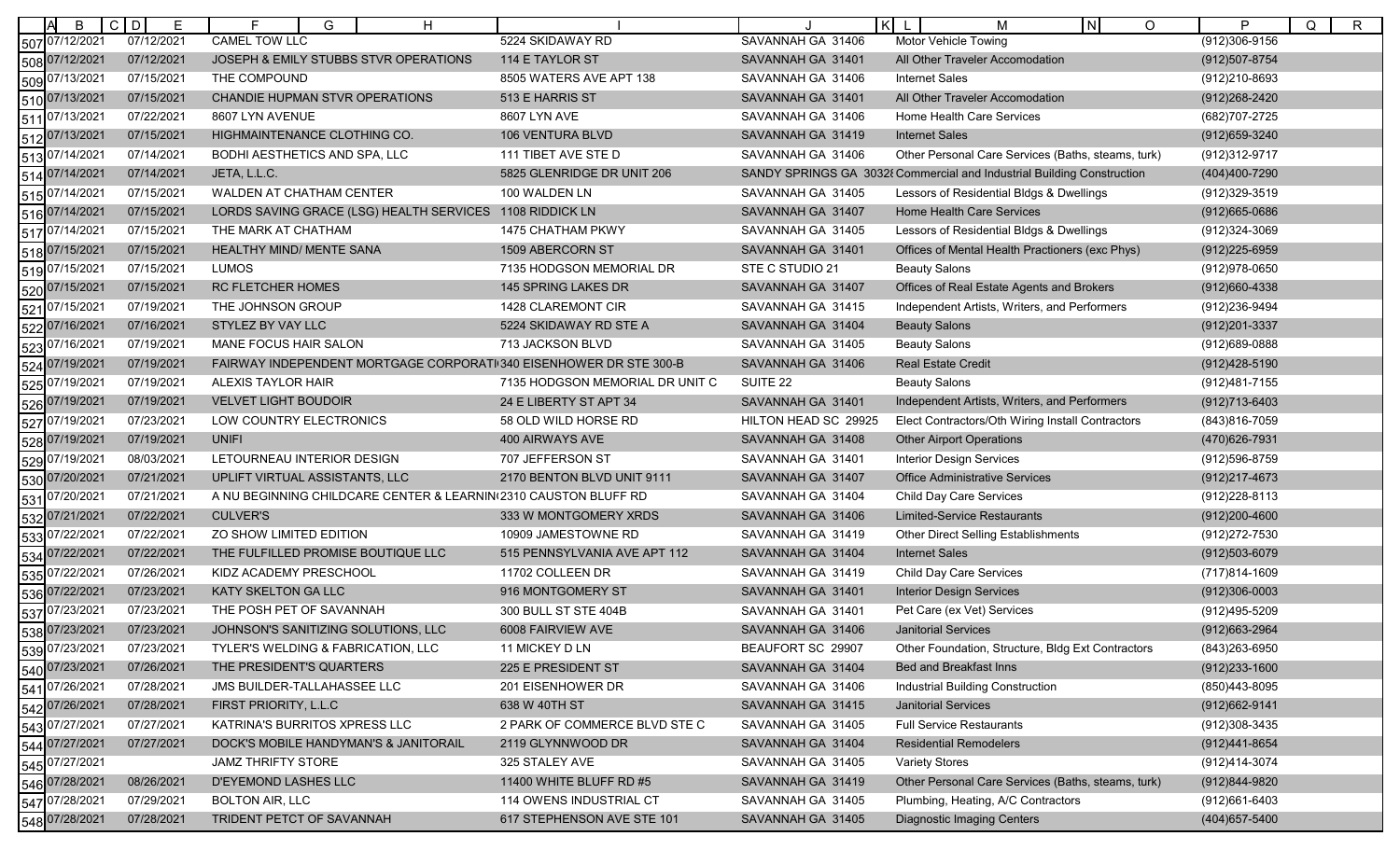| B                                | $C$ D<br>E | G<br>H<br>c                                                        |                                 |                      | κI<br>$\circ$<br>M<br>N                                                | P<br>Q<br>$\mathsf{R}$ |
|----------------------------------|------------|--------------------------------------------------------------------|---------------------------------|----------------------|------------------------------------------------------------------------|------------------------|
| 507 07/12/2021                   | 07/12/2021 | CAMEL TOW LLC                                                      | 5224 SKIDAWAY RD                | SAVANNAH GA 31406    | <b>Motor Vehicle Towing</b>                                            | (912)306-9156          |
| 508 07/12/2021                   | 07/12/2021 | JOSEPH & EMILY STUBBS STVR OPERATIONS                              | 114 E TAYLOR ST                 | SAVANNAH GA 31401    | All Other Traveler Accomodation                                        | (912) 507-8754         |
| 509 07/13/2021                   | 07/15/2021 | THE COMPOUND                                                       | 8505 WATERS AVE APT 138         | SAVANNAH GA 31406    | <b>Internet Sales</b>                                                  | (912)210-8693          |
| 510 07/13/2021                   | 07/15/2021 | CHANDIE HUPMAN STVR OPERATIONS                                     | 513 E HARRIS ST                 | SAVANNAH GA 31401    | All Other Traveler Accomodation                                        | (912) 268-2420         |
| 07/13/2021<br>511                | 07/22/2021 | 8607 LYN AVENUE                                                    | 8607 LYN AVE                    | SAVANNAH GA 31406    | Home Health Care Services                                              | (682) 707-2725         |
| 512 07/13/2021                   | 07/15/2021 | HIGHMAINTENANCE CLOTHING CO.                                       | 106 VENTURA BLVD                | SAVANNAH GA 31419    | <b>Internet Sales</b>                                                  | (912) 659-3240         |
| 513 07/14/2021                   | 07/14/2021 | <b>BODHI AESTHETICS AND SPA, LLC</b>                               | 111 TIBET AVE STE D             | SAVANNAH GA 31406    | Other Personal Care Services (Baths, steams, turk)                     | (912) 312-9717         |
| 514 07/14/2021                   | 07/14/2021 | JETA, L.L.C.                                                       | 5825 GLENRIDGE DR UNIT 206      |                      | SANDY SPRINGS GA 3032{ Commercial and Industrial Building Construction | (404)400-7290          |
| 515 07/14/2021                   | 07/15/2021 | WALDEN AT CHATHAM CENTER                                           | 100 WALDEN LN                   | SAVANNAH GA 31405    | Lessors of Residential Bldgs & Dwellings                               | (912)329-3519          |
| 516 07/14/2021                   | 07/15/2021 | LORDS SAVING GRACE (LSG) HEALTH SERVICES                           | 1108 RIDDICK LN                 | SAVANNAH GA 31407    | Home Health Care Services                                              | (912) 665-0686         |
| 517 07/14/2021                   | 07/15/2021 | THE MARK AT CHATHAM                                                | 1475 CHATHAM PKWY               | SAVANNAH GA 31405    | Lessors of Residential Bldgs & Dwellings                               | (912)324-3069          |
| 518 07/15/2021                   | 07/15/2021 | <b>HEALTHY MIND/ MENTE SANA</b>                                    | 1509 ABERCORN ST                | SAVANNAH GA 31401    | Offices of Mental Health Practioners (exc Phys)                        | $(912)225 - 6959$      |
| 519 07/15/2021                   | 07/15/202  | <b>LUMOS</b>                                                       | 7135 HODGSON MEMORIAL DR        | STE C STUDIO 21      | <b>Beauty Salons</b>                                                   | (912) 978-0650         |
| 520 07/15/2021                   | 07/15/2021 | RC FLETCHER HOMES                                                  | 145 SPRING LAKES DR             | SAVANNAH GA 31407    | Offices of Real Estate Agents and Brokers                              | (912)660-4338          |
| 521 07/15/2021                   | 07/19/2021 | THE JOHNSON GROUP                                                  | 1428 CLAREMONT CIR              | SAVANNAH GA 31415    | Independent Artists, Writers, and Performers                           | (912)236-9494          |
| 522 07/16/2021                   | 07/16/2021 | STYLEZ BY VAY LLC                                                  | 5224 SKIDAWAY RD STE A          | SAVANNAH GA 31404    | <b>Beauty Salons</b>                                                   | (912) 201-3337         |
| 523 07/16/2021                   | 07/19/2021 | MANE FOCUS HAIR SALON                                              | 713 JACKSON BLVD                | SAVANNAH GA 31405    | <b>Beauty Salons</b>                                                   | (912)689-0888          |
| 524 07/19/2021                   | 07/19/2021 | FAIRWAY INDEPENDENT MORTGAGE CORPORATI 340 EISENHOWER DR STE 300-B |                                 | SAVANNAH GA 31406    | <b>Real Estate Credit</b>                                              | (912)428-5190          |
| 07/19/2021<br>525                | 07/19/202  | ALEXIS TAYLOR HAIR                                                 | 7135 HODGSON MEMORIAL DR UNIT C | SUITE 22             | <b>Beauty Salons</b>                                                   | (912) 481-7155         |
| 526 07/19/2021                   | 07/19/2021 | <b>VELVET LIGHT BOUDOIR</b>                                        | 24 E LIBERTY ST APT 34          | SAVANNAH GA 31401    | Independent Artists, Writers, and Performers                           | (912)713-6403          |
| 527 07/19/2021                   | 07/23/2021 | LOW COUNTRY ELECTRONICS                                            | 58 OLD WILD HORSE RD            | HILTON HEAD SC 29925 | Elect Contractors/Oth Wiring Install Contractors                       | (843)816-7059          |
| 528 07/19/2021                   | 07/19/2021 | <b>UNIFI</b>                                                       | 400 AIRWAYS AVE                 | SAVANNAH GA 31408    | <b>Other Airport Operations</b>                                        | (470) 626-7931         |
| 529<br>07/19/2021                | 08/03/2021 | LETOURNEAU INTERIOR DESIGN                                         | 707 JEFFERSON ST                | SAVANNAH GA 31401    | <b>Interior Design Services</b>                                        | (912) 596-8759         |
| 530 07/20/2021                   | 07/21/2021 | UPLIFT VIRTUAL ASSISTANTS, LLC                                     | 2170 BENTON BLVD UNIT 9111      | SAVANNAH GA 31407    | <b>Office Administrative Services</b>                                  | (912) 217-4673         |
| 531 07/20/2021                   | 07/21/2021 | A NU BEGINNING CHILDCARE CENTER & LEARNIN(2310 CAUSTON BLUFF RD    |                                 | SAVANNAH GA 31404    | <b>Child Day Care Services</b>                                         | (912) 228-8113         |
| 07/21/2021<br>532                | 07/22/2021 | <b>CULVER'S</b>                                                    | 333 W MONTGOMERY XRDS           | SAVANNAH GA 31406    | <b>Limited-Service Restaurants</b>                                     | $(912)200 - 4600$      |
| 533 07/22/2021                   | 07/22/2021 | ZO SHOW LIMITED EDITION                                            | 10909 JAMESTOWNE RD             | SAVANNAH GA 31419    | Other Direct Selling Establishments                                    | (912) 272-7530         |
| 534 07/22/2021                   | 07/22/2021 | THE FULFILLED PROMISE BOUTIQUE LLC                                 | 515 PENNSYLVANIA AVE APT 112    | SAVANNAH GA 31404    | <b>Internet Sales</b>                                                  | (912)503-6079          |
| 07/22/2021<br>535                | 07/26/202  | KIDZ ACADEMY PRESCHOOL                                             | 11702 COLLEEN DR                | SAVANNAH GA 31419    | Child Day Care Services                                                | (717)814-1609          |
| 536 07/22/2021                   | 07/23/2021 | KATY SKELTON GA LLC                                                | 916 MONTGOMERY ST               | SAVANNAH GA 31401    | <b>Interior Design Services</b>                                        | $(912)306 - 0003$      |
| 537 07/23/2021                   | 07/23/2021 | THE POSH PET OF SAVANNAH                                           | 300 BULL ST STE 404B            | SAVANNAH GA 31401    | Pet Care (ex Vet) Services                                             | (912)495-5209          |
| 538 07/23/2021                   | 07/23/2021 | JOHNSON'S SANITIZING SOLUTIONS, LLC                                | 6008 FAIRVIEW AVE               | SAVANNAH GA 31406    | <b>Janitorial Services</b>                                             | (912) 663-2964         |
| 539 07/23/2021                   | 07/23/2021 | TYLER'S WELDING & FABRICATION, LLC                                 | 11 MICKEY D LN                  | BEAUFORT SC 29907    | Other Foundation, Structure, Bldg Ext Contractors                      | (843) 263-6950         |
| 540 07/23/2021<br>541 07/26/2021 | 07/26/2021 | THE PRESIDENT'S QUARTERS                                           | 225 E PRESIDENT ST              | SAVANNAH GA 31404    | Bed and Breakfast Inns                                                 | $(912)$ 233-1600       |
|                                  | 07/28/2021 | JMS BUILDER-TALLAHASSEE LLC                                        | 201 EISENHOWER DR               | SAVANNAH GA 31406    | Industrial Building Construction                                       | (850)443-8095          |
| 542 07/26/2021                   | 07/28/2021 | FIRST PRIORITY, L.L.C                                              | 638 W 40TH ST                   | SAVANNAH GA 31415    | <b>Janitorial Services</b>                                             | (912) 662-9141         |
| 543 07/27/2021                   | 07/27/2021 | KATRINA'S BURRITOS XPRESS LLC                                      | 2 PARK OF COMMERCE BLVD STE C   | SAVANNAH GA 31405    | <b>Full Service Restaurants</b>                                        | (912)308-3435          |
| 544 07/27/2021                   | 07/27/2021 | DOCK'S MOBILE HANDYMAN'S & JANITORAIL                              | 2119 GLYNNWOOD DR               | SAVANNAH GA 31404    | <b>Residential Remodelers</b>                                          | (912)441-8654          |
| 545 07/27/2021                   |            | <b>JAMZ THRIFTY STORE</b>                                          | 325 STALEY AVE                  | SAVANNAH GA 31405    | <b>Variety Stores</b>                                                  | (912)414-3074          |
| 546 07/28/2021                   | 08/26/2021 | D'EYEMOND LASHES LLC                                               | 11400 WHITE BLUFF RD #5         | SAVANNAH GA 31419    | Other Personal Care Services (Baths, steams, turk)                     | (912)844-9820          |
| 547 07/28/2021                   | 07/29/2021 | <b>BOLTON AIR, LLC</b>                                             | 114 OWENS INDUSTRIAL CT         | SAVANNAH GA 31405    | Plumbing, Heating, A/C Contractors                                     | (912)661-6403          |
| 548 07/28/2021                   | 07/28/2021 | TRIDENT PETCT OF SAVANNAH                                          | 617 STEPHENSON AVE STE 101      | SAVANNAH GA 31405    | <b>Diagnostic Imaging Centers</b>                                      | (404) 657-5400         |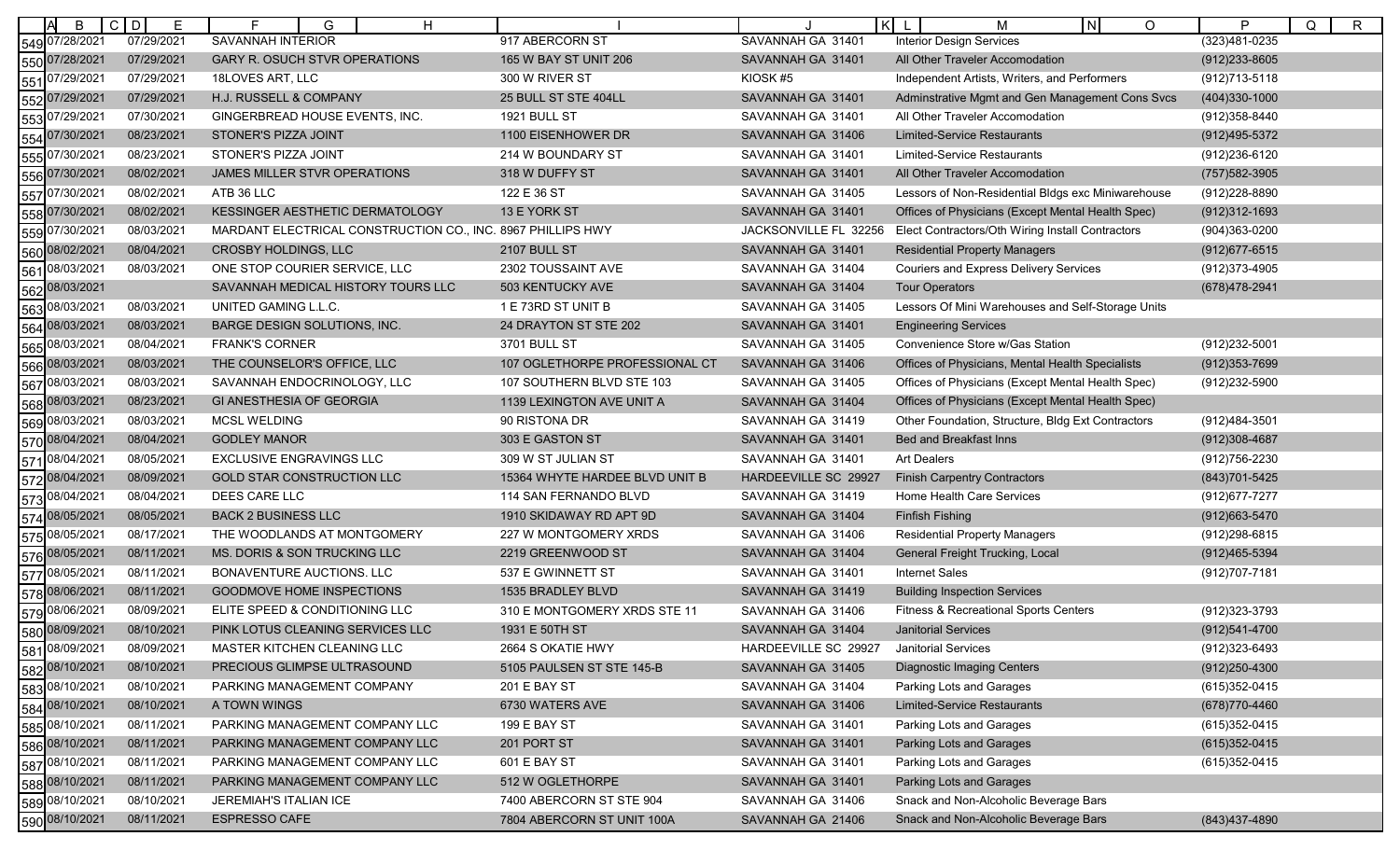| B                 | $\mathsf{C}$<br>D<br>Е | H<br>G                                                      |                                | $\vert \kappa \vert$  | IN.<br>$\circ$<br>м                                | P<br>$\mathsf{R}$<br>Q |
|-------------------|------------------------|-------------------------------------------------------------|--------------------------------|-----------------------|----------------------------------------------------|------------------------|
| 549 07/28/2021    | 07/29/2021             | SAVANNAH INTERIOR                                           | 917 ABERCORN ST                | SAVANNAH GA 31401     | <b>Interior Design Services</b>                    | (323)481-0235          |
| 550 07/28/2021    | 07/29/2021             | <b>GARY R. OSUCH STVR OPERATIONS</b>                        | 165 W BAY ST UNIT 206          | SAVANNAH GA 31401     | All Other Traveler Accomodation                    | (912) 233-8605         |
| 07/29/2021<br>551 | 07/29/2021             | 18LOVES ART, LLC                                            | 300 W RIVER ST                 | KIOSK #5              | Independent Artists, Writers, and Performers       | (912) 713-5118         |
| 552 07/29/2021    | 07/29/2021             | H.J. RUSSELL & COMPANY                                      | 25 BULL ST STE 404LL           | SAVANNAH GA 31401     | Adminstrative Mgmt and Gen Management Cons Svcs    | $(404)330-1000$        |
| 07/29/2021<br>553 | 07/30/2021             | GINGERBREAD HOUSE EVENTS, INC.                              | 1921 BULL ST                   | SAVANNAH GA 31401     | All Other Traveler Accomodation                    | (912) 358-8440         |
| 07/30/2021<br>554 | 08/23/2021             | STONER'S PIZZA JOINT                                        | 1100 EISENHOWER DR             | SAVANNAH GA 31406     | Limited-Service Restaurants                        | (912)495-5372          |
| 07/30/2021<br>555 | 08/23/2021             | STONER'S PIZZA JOINT                                        | 214 W BOUNDARY ST              | SAVANNAH GA 31401     | <b>Limited-Service Restaurants</b>                 | (912) 236-6120         |
| 07/30/2021<br>556 | 08/02/2021             | JAMES MILLER STVR OPERATIONS                                | 318 W DUFFY ST                 | SAVANNAH GA 31401     | All Other Traveler Accomodation                    | (757) 582-3905         |
| 557<br>07/30/2021 | 08/02/2021             | ATB 36 LLC                                                  | 122 E 36 ST                    | SAVANNAH GA 31405     | Lessors of Non-Residential Bldgs exc Miniwarehouse | (912) 228-8890         |
| 558 07/30/2021    | 08/02/2021             | KESSINGER AESTHETIC DERMATOLOGY                             | 13 E YORK ST                   | SAVANNAH GA 31401     | Offices of Physicians (Except Mental Health Spec)  | (912)312-1693          |
| 07/30/2021<br>559 | 08/03/2021             | MARDANT ELECTRICAL CONSTRUCTION CO., INC. 8967 PHILLIPS HWY |                                | JACKSONVILLE FL 32256 | Elect Contractors/Oth Wiring Install Contractors   | (904)363-0200          |
| 08/02/2021<br>560 | 08/04/2021             | <b>CROSBY HOLDINGS, LLC</b>                                 | 2107 BULL ST                   | SAVANNAH GA 31401     | <b>Residential Property Managers</b>               | (912) 677-6515         |
| 08/03/2021<br>561 | 08/03/2021             | ONE STOP COURIER SERVICE, LLC                               | 2302 TOUSSAINT AVE             | SAVANNAH GA 31404     | <b>Couriers and Express Delivery Services</b>      | (912) 373-4905         |
| 08/03/2021<br>562 |                        | SAVANNAH MEDICAL HISTORY TOURS LLC                          | 503 KENTUCKY AVE               | SAVANNAH GA 31404     | <b>Tour Operators</b>                              | (678)478-2941          |
| 08/03/2021<br>563 | 08/03/2021             | UNITED GAMING L.L.C.                                        | 1 E 73RD ST UNIT B             | SAVANNAH GA 31405     | Lessors Of Mini Warehouses and Self-Storage Units  |                        |
| 08/03/2021<br>564 | 08/03/2021             | BARGE DESIGN SOLUTIONS, INC.                                | 24 DRAYTON ST STE 202          | SAVANNAH GA 31401     | <b>Engineering Services</b>                        |                        |
| 08/03/2021<br>565 | 08/04/2021             | <b>FRANK'S CORNER</b>                                       | 3701 BULL ST                   | SAVANNAH GA 31405     | Convenience Store w/Gas Station                    | (912) 232-5001         |
| 08/03/2021<br>566 | 08/03/2021             | THE COUNSELOR'S OFFICE, LLC                                 | 107 OGLETHORPE PROFESSIONAL CT | SAVANNAH GA 31406     | Offices of Physicians, Mental Health Specialists   | (912) 353-7699         |
| 08/03/2021<br>567 | 08/03/2021             | SAVANNAH ENDOCRINOLOGY, LLC                                 | 107 SOUTHERN BLVD STE 103      | SAVANNAH GA 31405     | Offices of Physicians (Except Mental Health Spec)  | (912) 232-5900         |
| 08/03/2021<br>568 | 08/23/2021             | GI ANESTHESIA OF GEORGIA                                    | 1139 LEXINGTON AVE UNIT A      | SAVANNAH GA 31404     | Offices of Physicians (Except Mental Health Spec)  |                        |
| 08/03/2021<br>569 | 08/03/2021             | <b>MCSL WELDING</b>                                         | 90 RISTONA DR                  | SAVANNAH GA 31419     | Other Foundation, Structure, Bldg Ext Contractors  | (912)484-3501          |
| 08/04/2021<br>570 | 08/04/2021             | <b>GODLEY MANOR</b>                                         | 303 E GASTON ST                | SAVANNAH GA 31401     | <b>Bed and Breakfast Inns</b>                      | $(912)308 - 4687$      |
| 08/04/2021<br>571 | 08/05/2021             | EXCLUSIVE ENGRAVINGS LLC                                    | 309 W ST JULIAN ST             | SAVANNAH GA 31401     | <b>Art Dealers</b>                                 | (912) 756-2230         |
| 572 08/04/2021    | 08/09/2021             | <b>GOLD STAR CONSTRUCTION LLC</b>                           | 15364 WHYTE HARDEE BLVD UNIT B | HARDEEVILLE SC 29927  | <b>Finish Carpentry Contractors</b>                | (843) 701-5425         |
| 08/04/2021<br>573 | 08/04/2021             | DEES CARE LLC                                               | 114 SAN FERNANDO BLVD          | SAVANNAH GA 31419     | Home Health Care Services                          | (912) 677-7277         |
| 08/05/2021<br>574 | 08/05/2021             | <b>BACK 2 BUSINESS LLC</b>                                  | 1910 SKIDAWAY RD APT 9D        | SAVANNAH GA 31404     | <b>Finfish Fishing</b>                             | (912) 663-5470         |
| 08/05/2021<br>575 | 08/17/2021             | THE WOODLANDS AT MONTGOMERY                                 | 227 W MONTGOMERY XRDS          | SAVANNAH GA 31406     | <b>Residential Property Managers</b>               | (912) 298-6815         |
| 576 08/05/2021    | 08/11/2021             | MS. DORIS & SON TRUCKING LLC                                | 2219 GREENWOOD ST              | SAVANNAH GA 31404     | General Freight Trucking, Local                    | (912)465-5394          |
| 08/05/2021<br>577 | 08/11/2021             | BONAVENTURE AUCTIONS. LLC                                   | 537 E GWINNETT ST              | SAVANNAH GA 31401     | <b>Internet Sales</b>                              | (912) 707-7181         |
| 08/06/2021<br>578 | 08/11/2021             | <b>GOODMOVE HOME INSPECTIONS</b>                            | 1535 BRADLEY BLVD              | SAVANNAH GA 31419     | <b>Building Inspection Services</b>                |                        |
| 579 08/06/2021    | 08/09/2021             | ELITE SPEED & CONDITIONING LLC                              | 310 E MONTGOMERY XRDS STE 11   | SAVANNAH GA 31406     | Fitness & Recreational Sports Centers              | (912) 323-3793         |
| 580 08/09/2021    | 08/10/2021             | PINK LOTUS CLEANING SERVICES LLC                            | 1931 E 50TH ST                 | SAVANNAH GA 31404     | <b>Janitorial Services</b>                         | (912)541-4700          |
| 08/09/2021<br>581 | 08/09/2021             | MASTER KITCHEN CLEANING LLC                                 | 2664 S OKATIE HWY              | HARDEEVILLE SC 29927  | Janitorial Services                                | (912)323-6493          |
| 582 08/10/2021    | 08/10/2021             | PRECIOUS GLIMPSE ULTRASOUND                                 | 5105 PAULSEN ST STE 145-B      | SAVANNAH GA 31405     | <b>Diagnostic Imaging Centers</b>                  | $(912)250 - 4300$      |
| 583 08/10/2021    | 08/10/2021             | PARKING MANAGEMENT COMPANY                                  | 201 E BAY ST                   | SAVANNAH GA 31404     | Parking Lots and Garages                           | (615) 352-0415         |
| 584 08/10/2021    | 08/10/2021             | A TOWN WINGS                                                | 6730 WATERS AVE                | SAVANNAH GA 31406     | Limited-Service Restaurants                        | (678) 770-4460         |
| 585 08/10/2021    | 08/11/2021             | PARKING MANAGEMENT COMPANY LLC                              | 199 E BAY ST                   | SAVANNAH GA 31401     | Parking Lots and Garages                           | (615) 352-0415         |
| 586 08/10/2021    | 08/11/2021             | PARKING MANAGEMENT COMPANY LLC                              | 201 PORT ST                    | SAVANNAH GA 31401     | <b>Parking Lots and Garages</b>                    | (615) 352-0415         |
| 587 08/10/2021    | 08/11/2021             | PARKING MANAGEMENT COMPANY LLC                              | 601 E BAY ST                   | SAVANNAH GA 31401     | Parking Lots and Garages                           | (615) 352-0415         |
| 588 08/10/2021    | 08/11/2021             | PARKING MANAGEMENT COMPANY LLC                              | 512 W OGLETHORPE               | SAVANNAH GA 31401     | Parking Lots and Garages                           |                        |
| 589 08/10/2021    | 08/10/2021             | JEREMIAH'S ITALIAN ICE                                      | 7400 ABERCORN ST STE 904       | SAVANNAH GA 31406     | Snack and Non-Alcoholic Beverage Bars              |                        |
| 590 08/10/2021    | 08/11/2021             | <b>ESPRESSO CAFE</b>                                        | 7804 ABERCORN ST UNIT 100A     | SAVANNAH GA 21406     | Snack and Non-Alcoholic Beverage Bars              | (843) 437-4890         |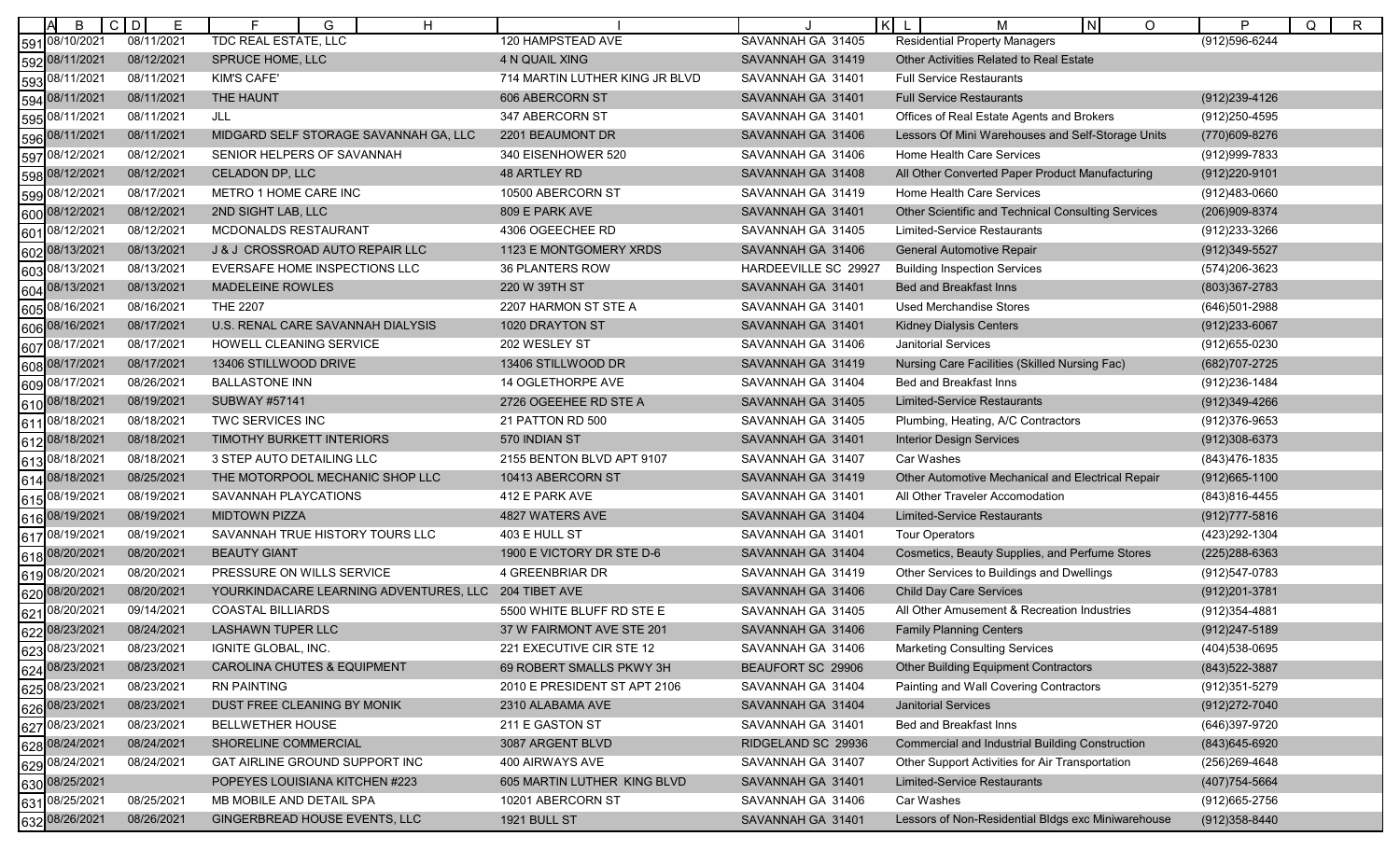| B                 | $C$ D<br>Е | H<br>F<br>G                                          |                                |                      | $K$ L<br>ΙN<br>O<br>М                                  | P<br>$\mathsf{R}$<br>Q |
|-------------------|------------|------------------------------------------------------|--------------------------------|----------------------|--------------------------------------------------------|------------------------|
| 591 08/10/2021    | 08/11/2021 | <b>TDC REAL ESTATE, LLC</b>                          | 120 HAMPSTEAD AVE              | SAVANNAH GA 31405    | <b>Residential Property Managers</b>                   | $(912)596 - 6244$      |
| 592 08/11/2021    | 08/12/2021 | SPRUCE HOME, LLC                                     | 4 N QUAIL XING                 | SAVANNAH GA 31419    | Other Activities Related to Real Estate                |                        |
| 08/11/2021<br>593 | 08/11/2021 | <b>KIM'S CAFE'</b>                                   | 714 MARTIN LUTHER KING JR BLVD | SAVANNAH GA 31401    | <b>Full Service Restaurants</b>                        |                        |
| 594 08/11/2021    | 08/11/2021 | THE HAUNT                                            | 606 ABERCORN ST                | SAVANNAH GA 31401    | <b>Full Service Restaurants</b>                        | (912) 239-4126         |
| 08/11/2021<br>595 | 08/11/2021 | JLL                                                  | 347 ABERCORN ST                | SAVANNAH GA 31401    | Offices of Real Estate Agents and Brokers              | (912) 250-4595         |
| 596 08/11/2021    | 08/11/2021 | MIDGARD SELF STORAGE SAVANNAH GA, LLC                | 2201 BEAUMONT DR               | SAVANNAH GA 31406    | Lessors Of Mini Warehouses and Self-Storage Units      | (770)609-8276          |
| 08/12/2021<br>597 | 08/12/2021 | SENIOR HELPERS OF SAVANNAH                           | 340 EISENHOWER 520             | SAVANNAH GA 31406    | Home Health Care Services                              | (912) 999-7833         |
| 598 08/12/2021    | 08/12/2021 | CELADON DP, LLC                                      | 48 ARTLEY RD                   | SAVANNAH GA 31408    | All Other Converted Paper Product Manufacturing        | (912) 220-9101         |
| 599 08/12/2021    | 08/17/2021 | METRO 1 HOME CARE INC                                | 10500 ABERCORN ST              | SAVANNAH GA 31419    | Home Health Care Services                              | (912)483-0660          |
| 600 08/12/2021    | 08/12/2021 | 2ND SIGHT LAB, LLC                                   | 809 E PARK AVE                 | SAVANNAH GA 31401    | Other Scientific and Technical Consulting Services     | (206)909-8374          |
| 08/12/2021<br>601 | 08/12/2021 | MCDONALDS RESTAURANT                                 | 4306 OGEECHEE RD               | SAVANNAH GA 31405    | Limited-Service Restaurants                            | (912) 233-3266         |
| 602 08/13/2021    | 08/13/2021 | J & J CROSSROAD AUTO REPAIR LLC                      | 1123 E MONTGOMERY XRDS         | SAVANNAH GA 31406    | General Automotive Repair                              | (912) 349-5527         |
| 08/13/2021<br>603 | 08/13/2021 | EVERSAFE HOME INSPECTIONS LLC                        | <b>36 PLANTERS ROW</b>         | HARDEEVILLE SC 29927 | <b>Building Inspection Services</b>                    | (574) 206-3623         |
| 08/13/2021<br>604 | 08/13/2021 | <b>MADELEINE ROWLES</b>                              | 220 W 39TH ST                  | SAVANNAH GA 31401    | <b>Bed and Breakfast Inns</b>                          | (803)367-2783          |
| 08/16/2021<br>605 | 08/16/2021 | <b>THE 2207</b>                                      | 2207 HARMON ST STE A           | SAVANNAH GA 31401    | <b>Used Merchandise Stores</b>                         | (646)501-2988          |
| 08/16/2021<br>606 | 08/17/2021 | U.S. RENAL CARE SAVANNAH DIALYSIS                    | 1020 DRAYTON ST                | SAVANNAH GA 31401    | <b>Kidney Dialysis Centers</b>                         | $(912)233 - 6067$      |
| 607 08/17/2021    | 08/17/2021 | HOWELL CLEANING SERVICE                              | 202 WESLEY ST                  | SAVANNAH GA 31406    | Janitorial Services                                    | (912) 655-0230         |
| 608 08/17/2021    | 08/17/2021 | 13406 STILLWOOD DRIVE                                | 13406 STILLWOOD DR             | SAVANNAH GA 31419    | Nursing Care Facilities (Skilled Nursing Fac)          | (682) 707-2725         |
| 08/17/2021<br>609 | 08/26/2021 | <b>BALLASTONE INN</b>                                | 14 OGLETHORPE AVE              | SAVANNAH GA 31404    | Bed and Breakfast Inns                                 | (912) 236-1484         |
| 610 08/18/2021    | 08/19/2021 | <b>SUBWAY #57141</b>                                 | 2726 OGEEHEE RD STE A          | SAVANNAH GA 31405    | <b>Limited-Service Restaurants</b>                     | (912)349-4266          |
| 08/18/2021<br>611 | 08/18/2021 | TWC SERVICES INC                                     | 21 PATTON RD 500               | SAVANNAH GA 31405    | Plumbing, Heating, A/C Contractors                     | (912) 376-9653         |
| 612 08/18/2021    | 08/18/2021 | TIMOTHY BURKETT INTERIORS                            | 570 INDIAN ST                  | SAVANNAH GA 31401    | <b>Interior Design Services</b>                        | (912)308-6373          |
| 08/18/2021<br>613 | 08/18/2021 | 3 STEP AUTO DETAILING LLC                            | 2155 BENTON BLVD APT 9107      | SAVANNAH GA 31407    | Car Washes                                             | (843) 476-1835         |
| 614 08/18/2021    | 08/25/2021 | THE MOTORPOOL MECHANIC SHOP LLC                      | 10413 ABERCORN ST              | SAVANNAH GA 31419    | Other Automotive Mechanical and Electrical Repair      | (912) 665-1100         |
| 08/19/2021<br>615 | 08/19/2021 | SAVANNAH PLAYCATIONS                                 | 412 E PARK AVE                 | SAVANNAH GA 31401    | All Other Traveler Accomodation                        | (843) 816-4455         |
| 08/19/2021<br>616 | 08/19/2021 | <b>MIDTOWN PIZZA</b>                                 | 4827 WATERS AVE                | SAVANNAH GA 31404    | <b>Limited-Service Restaurants</b>                     | $(912)777 - 5816$      |
| 08/19/2021<br>617 | 08/19/2021 | SAVANNAH TRUE HISTORY TOURS LLC                      | 403 E HULL ST                  | SAVANNAH GA 31401    | <b>Tour Operators</b>                                  | (423) 292-1304         |
| 08/20/2021<br>618 | 08/20/2021 | <b>BEAUTY GIANT</b>                                  | 1900 E VICTORY DR STE D-6      | SAVANNAH GA 31404    | Cosmetics, Beauty Supplies, and Perfume Stores         | (225) 288-6363         |
| 08/20/2021<br>619 | 08/20/2021 | PRESSURE ON WILLS SERVICE                            | <b>4 GREENBRIAR DR</b>         | SAVANNAH GA 31419    | Other Services to Buildings and Dwellings              | (912) 547-0783         |
| 08/20/2021<br>620 | 08/20/2021 | YOURKINDACARE LEARNING ADVENTURES, LLC 204 TIBET AVE |                                | SAVANNAH GA 31406    | <b>Child Day Care Services</b>                         | (912) 201-3781         |
| 621 08/20/2021    | 09/14/2021 | <b>COASTAL BILLIARDS</b>                             | 5500 WHITE BLUFF RD STE E      | SAVANNAH GA 31405    | All Other Amusement & Recreation Industries            | (912) 354-4881         |
| 622 08/23/2021    | 08/24/2021 | <b>LASHAWN TUPER LLC</b>                             | 37 W FAIRMONT AVE STE 201      | SAVANNAH GA 31406    | <b>Family Planning Centers</b>                         | (912) 247-5189         |
| 08/23/2021<br>623 | 08/23/2021 | IGNITE GLOBAL, INC.                                  | 221 EXECUTIVE CIR STE 12       | SAVANNAH GA 31406    | <b>Marketing Consulting Services</b>                   | (404) 538-0695         |
| 624 08/23/2021    | 08/23/2021 | <b>CAROLINA CHUTES &amp; EQUIPMENT</b>               | 69 ROBERT SMALLS PKWY 3H       | BEAUFORT SC 29906    | <b>Other Building Equipment Contractors</b>            | (843) 522-3887         |
| 625 08/23/2021    | 08/23/2021 | <b>RN PAINTING</b>                                   | 2010 E PRESIDENT ST APT 2106   | SAVANNAH GA 31404    | Painting and Wall Covering Contractors                 | (912) 351-5279         |
| 626 08/23/2021    | 08/23/2021 | DUST FREE CLEANING BY MONIK                          | 2310 ALABAMA AVE               | SAVANNAH GA 31404    | <b>Janitorial Services</b>                             | (912) 272-7040         |
| 08/23/2021<br>627 | 08/23/2021 | <b>BELLWETHER HOUSE</b>                              | 211 E GASTON ST                | SAVANNAH GA 31401    | Bed and Breakfast Inns                                 | (646)397-9720          |
| 628 08/24/2021    | 08/24/2021 | SHORELINE COMMERCIAL                                 | 3087 ARGENT BLVD               | RIDGELAND SC 29936   | <b>Commercial and Industrial Building Construction</b> | (843) 645-6920         |
| 629 08/24/2021    | 08/24/2021 | <b>GAT AIRLINE GROUND SUPPORT INC</b>                | 400 AIRWAYS AVE                | SAVANNAH GA 31407    | Other Support Activities for Air Transportation        | (256) 269-4648         |
| 630 08/25/2021    |            | POPEYES LOUISIANA KITCHEN #223                       | 605 MARTIN LUTHER KING BLVD    | SAVANNAH GA 31401    | <b>Limited-Service Restaurants</b>                     | (407) 754-5664         |
| 631 08/25/2021    | 08/25/2021 | MB MOBILE AND DETAIL SPA                             | 10201 ABERCORN ST              | SAVANNAH GA 31406    | Car Washes                                             | (912) 665-2756         |
| 632 08/26/2021    | 08/26/2021 | GINGERBREAD HOUSE EVENTS, LLC                        | <b>1921 BULL ST</b>            | SAVANNAH GA 31401    | Lessors of Non-Residential Bldgs exc Miniwarehouse     | (912) 358-8440         |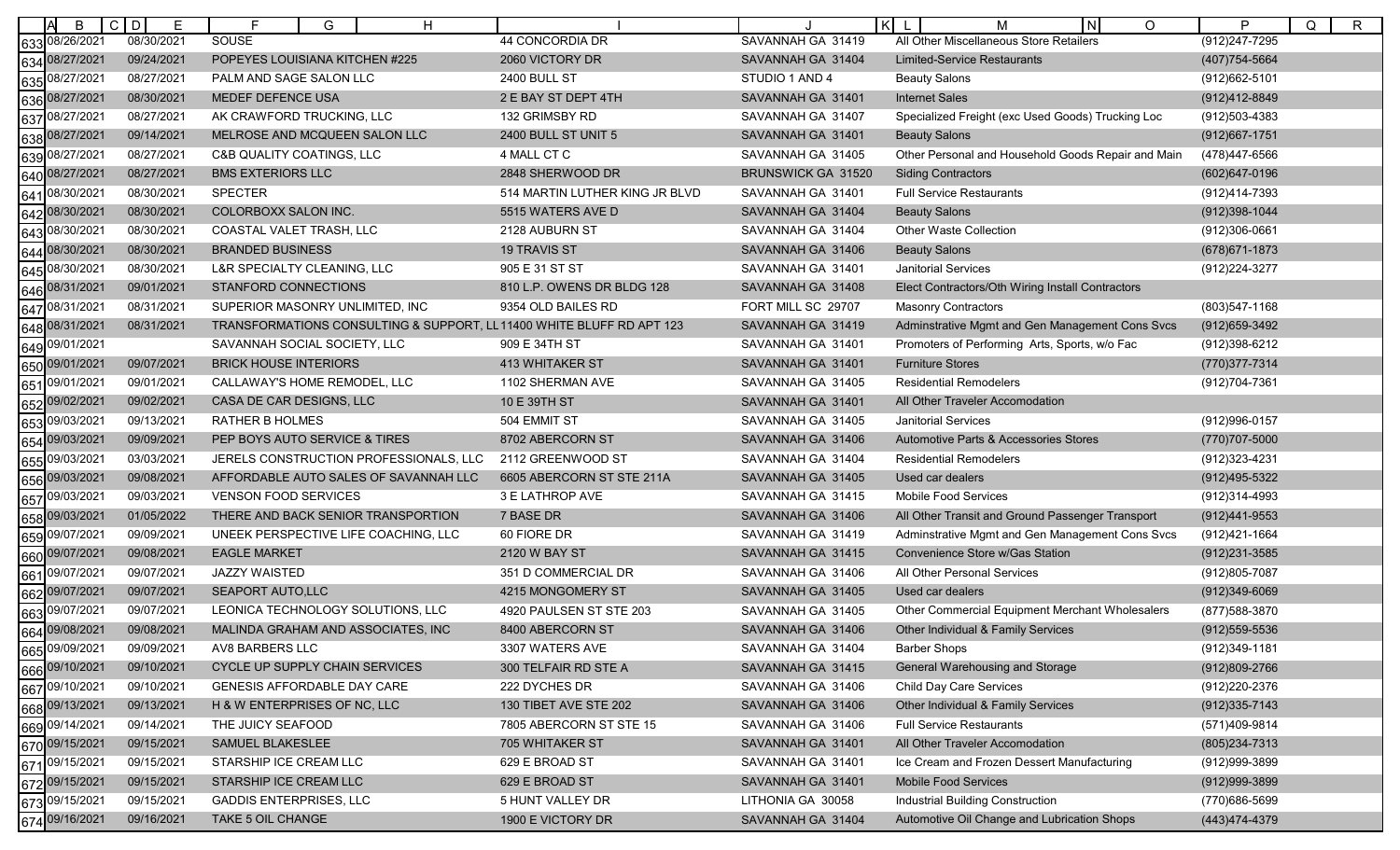| B                 | $\mathsf{C}$<br>D<br>Е | H<br>E<br>G                                                          |                                |                    | $\vert \kappa \vert$<br>IN.<br>$\circ$<br>м        | P<br>Q<br>$\mathsf{R}$ |
|-------------------|------------------------|----------------------------------------------------------------------|--------------------------------|--------------------|----------------------------------------------------|------------------------|
| 08/26/2021<br>633 | 08/30/2021             | SOUSE                                                                | 44 CONCORDIA DR                | SAVANNAH GA 31419  | All Other Miscellaneous Store Retailers            | (912) 247-7295         |
| 08/27/2021<br>634 | 09/24/2021             | POPEYES LOUISIANA KITCHEN #225                                       | 2060 VICTORY DR                | SAVANNAH GA 31404  | <b>Limited-Service Restaurants</b>                 | (407) 754-5664         |
| 08/27/2021<br>635 | 08/27/2021             | PALM AND SAGE SALON LLC                                              | <b>2400 BULL ST</b>            | STUDIO 1 AND 4     | <b>Beauty Salons</b>                               | (912) 662-5101         |
| 08/27/2021<br>636 | 08/30/2021             | MEDEF DEFENCE USA                                                    | 2 E BAY ST DEPT 4TH            | SAVANNAH GA 31401  | <b>Internet Sales</b>                              | (912)412-8849          |
| 08/27/2021<br>637 | 08/27/2021             | AK CRAWFORD TRUCKING, LLC                                            | 132 GRIMSBY RD                 | SAVANNAH GA 31407  | Specialized Freight (exc Used Goods) Trucking Loc  | (912)503-4383          |
| 638 08/27/2021    | 09/14/2021             | MELROSE AND MCQUEEN SALON LLC                                        | 2400 BULL ST UNIT 5            | SAVANNAH GA 31401  | <b>Beauty Salons</b>                               | (912) 667-1751         |
| 08/27/2021<br>639 | 08/27/2021             | <b>C&amp;B QUALITY COATINGS, LLC</b>                                 | 4 MALL CT C                    | SAVANNAH GA 31405  | Other Personal and Household Goods Repair and Main | (478)447-6566          |
| 08/27/2021<br>640 | 08/27/2021             | <b>BMS EXTERIORS LLC</b>                                             | 2848 SHERWOOD DR               | BRUNSWICK GA 31520 | <b>Siding Contractors</b>                          | (602)647-0196          |
| 08/30/2021<br>641 | 08/30/2021             | <b>SPECTER</b>                                                       | 514 MARTIN LUTHER KING JR BLVD | SAVANNAH GA 31401  | <b>Full Service Restaurants</b>                    | (912)414-7393          |
| 642 08/30/2021    | 08/30/2021             | COLORBOXX SALON INC.                                                 | 5515 WATERS AVE D              | SAVANNAH GA 31404  | <b>Beauty Salons</b>                               | (912)398-1044          |
| 08/30/2021<br>643 | 08/30/2021             | COASTAL VALET TRASH, LLC                                             | 2128 AUBURN ST                 | SAVANNAH GA 31404  | Other Waste Collection                             | (912)306-0661          |
| 08/30/2021<br>644 | 08/30/2021             | <b>BRANDED BUSINESS</b>                                              | <b>19 TRAVIS ST</b>            | SAVANNAH GA 31406  | <b>Beauty Salons</b>                               | (678) 671-1873         |
| 08/30/2021<br>645 | 08/30/2021             | L&R SPECIALTY CLEANING, LLC                                          | 905 E 31 ST ST                 | SAVANNAH GA 31401  | <b>Janitorial Services</b>                         | (912) 224-3277         |
| 646 08/31/2021    | 09/01/2021             | STANFORD CONNECTIONS                                                 | 810 L.P. OWENS DR BLDG 128     | SAVANNAH GA 31408  | Elect Contractors/Oth Wiring Install Contractors   |                        |
| 08/31/2021<br>647 | 08/31/2021             | SUPERIOR MASONRY UNLIMITED, INC.                                     | 9354 OLD BAILES RD             | FORT MILL SC 29707 | Masonry Contractors                                | (803) 547-1168         |
| 648 08/31/2021    | 08/31/2021             | TRANSFORMATIONS CONSULTING & SUPPORT, LL11400 WHITE BLUFF RD APT 123 |                                | SAVANNAH GA 31419  | Adminstrative Mgmt and Gen Management Cons Svcs    | (912) 659-3492         |
| 649 09/01/2021    |                        | SAVANNAH SOCIAL SOCIETY, LLC                                         | 909 E 34TH ST                  | SAVANNAH GA 31401  | Promoters of Performing Arts, Sports, w/o Fac      | (912)398-6212          |
| 650 09/01/2021    | 09/07/2021             | <b>BRICK HOUSE INTERIORS</b>                                         | 413 WHITAKER ST                | SAVANNAH GA 31401  | <b>Furniture Stores</b>                            | (770)377-7314          |
| 09/01/2021<br>651 | 09/01/2021             | CALLAWAY'S HOME REMODEL, LLC                                         | 1102 SHERMAN AVE               | SAVANNAH GA 31405  | <b>Residential Remodelers</b>                      | (912) 704-7361         |
| 09/02/2021<br>652 | 09/02/2021             | CASA DE CAR DESIGNS, LLC                                             | 10 E 39TH ST                   | SAVANNAH GA 31401  | All Other Traveler Accomodation                    |                        |
| 09/03/2021<br>653 | 09/13/2021             | <b>RATHER B HOLMES</b>                                               | 504 EMMIT ST                   | SAVANNAH GA 31405  | <b>Janitorial Services</b>                         | (912) 996-0157         |
| 09/03/2021<br>654 | 09/09/2021             | PEP BOYS AUTO SERVICE & TIRES                                        | 8702 ABERCORN ST               | SAVANNAH GA 31406  | Automotive Parts & Accessories Stores              | (770) 707-5000         |
| 09/03/2021<br>655 | 03/03/2021             | JERELS CONSTRUCTION PROFESSIONALS, LLC                               | 2112 GREENWOOD ST              | SAVANNAH GA 31404  | <b>Residential Remodelers</b>                      | (912) 323-4231         |
| 09/03/2021<br>656 | 09/08/2021             | AFFORDABLE AUTO SALES OF SAVANNAH LLC                                | 6605 ABERCORN ST STE 211A      | SAVANNAH GA 31405  | Used car dealers                                   | (912)495-5322          |
| 09/03/2021<br>657 | 09/03/2021             | VENSON FOOD SERVICES                                                 | 3 E LATHROP AVE                | SAVANNAH GA 31415  | Mobile Food Services                               | (912)314-4993          |
| 09/03/2021<br>658 | 01/05/2022             | THERE AND BACK SENIOR TRANSPORTION                                   | 7 BASE DR                      | SAVANNAH GA 31406  | All Other Transit and Ground Passenger Transport   | (912)441-9553          |
| 659 09/07/2021    | 09/09/2021             | UNEEK PERSPECTIVE LIFE COACHING, LLC                                 | 60 FIORE DR                    | SAVANNAH GA 31419  | Adminstrative Mgmt and Gen Management Cons Svcs    | (912)421-1664          |
| 09/07/2021<br>660 | 09/08/2021             | <b>EAGLE MARKET</b>                                                  | 2120 W BAY ST                  | SAVANNAH GA 31415  | Convenience Store w/Gas Station                    | (912) 231-3585         |
| 09/07/2021<br>661 | 09/07/2021             | <b>JAZZY WAISTED</b>                                                 | 351 D COMMERCIAL DR            | SAVANNAH GA 31406  | All Other Personal Services                        | (912)805-7087          |
| 09/07/2021<br>662 | 09/07/2021             | <b>SEAPORT AUTO,LLC</b>                                              | 4215 MONGOMERY ST              | SAVANNAH GA 31405  | Used car dealers                                   | $(912)349-6069$        |
| 09/07/2021<br>663 | 09/07/2021             | LEONICA TECHNOLOGY SOLUTIONS, LLC                                    | 4920 PAULSEN ST STE 203        | SAVANNAH GA 31405  | Other Commercial Equipment Merchant Wholesalers    | (877) 588-3870         |
| 664 09/08/2021    | 09/08/2021             | MALINDA GRAHAM AND ASSOCIATES, INC                                   | 8400 ABERCORN ST               | SAVANNAH GA 31406  | Other Individual & Family Services                 | (912) 559-5536         |
| 665 09/09/2021    | 09/09/2021             | AV8 BARBERS LLC                                                      | 3307 WATERS AVE                | SAVANNAH GA 31404  | <b>Barber Shops</b>                                | (912) 349-1181         |
| 666 09/10/2021    | 09/10/2021             | CYCLE UP SUPPLY CHAIN SERVICES                                       | 300 TELFAIR RD STE A           | SAVANNAH GA 31415  | General Warehousing and Storage                    | (912)809-2766          |
| 667 09/10/2021    | 09/10/2021             | GENESIS AFFORDABLE DAY CARE                                          | 222 DYCHES DR                  | SAVANNAH GA 31406  | Child Day Care Services                            | (912) 220-2376         |
| 668 09/13/2021    | 09/13/2021             | H & W ENTERPRISES OF NC, LLC                                         | 130 TIBET AVE STE 202          | SAVANNAH GA 31406  | Other Individual & Family Services                 | $(912)335 - 7143$      |
| 669 09/14/2021    | 09/14/2021             | THE JUICY SEAFOOD                                                    | 7805 ABERCORN ST STE 15        | SAVANNAH GA 31406  | <b>Full Service Restaurants</b>                    | (571)409-9814          |
| 670 09/15/2021    | 09/15/2021             | SAMUEL BLAKESLEE                                                     | 705 WHITAKER ST                | SAVANNAH GA 31401  | All Other Traveler Accomodation                    | (805) 234-7313         |
| 671 09/15/2021    | 09/15/2021             | STARSHIP ICE CREAM LLC                                               | 629 E BROAD ST                 | SAVANNAH GA 31401  | Ice Cream and Frozen Dessert Manufacturing         | (912) 999-3899         |
| 672 09/15/2021    | 09/15/2021             | STARSHIP ICE CREAM LLC                                               | 629 E BROAD ST                 | SAVANNAH GA 31401  | Mobile Food Services                               | (912) 999-3899         |
| 673 09/15/2021    | 09/15/2021             | <b>GADDIS ENTERPRISES, LLC</b>                                       | 5 HUNT VALLEY DR               | LITHONIA GA 30058  | Industrial Building Construction                   | (770)686-5699          |
| 674 09/16/2021    | 09/16/2021             | TAKE 5 OIL CHANGE                                                    | 1900 E VICTORY DR              | SAVANNAH GA 31404  | Automotive Oil Change and Lubrication Shops        | (443) 474-4379         |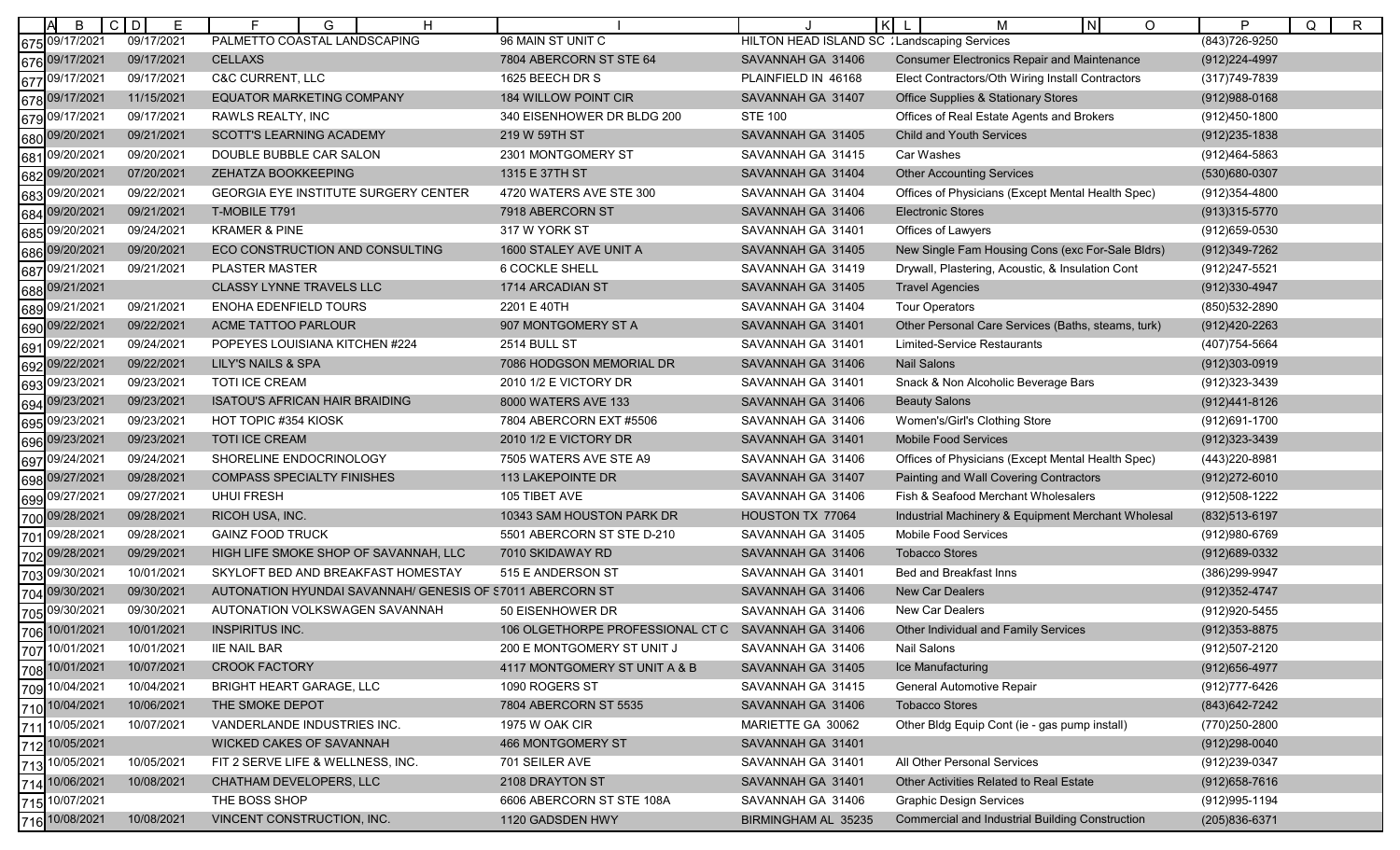| B                         | $C$ $D$<br>E | Е<br>Н<br>G                                               |                                  |                                              | l Kl<br>IN.<br>М<br>O                                  | P<br>Q                         |
|---------------------------|--------------|-----------------------------------------------------------|----------------------------------|----------------------------------------------|--------------------------------------------------------|--------------------------------|
| 675 09/17/2021            | 09/17/2021   | PALMETTO COASTAL LANDSCAPING                              | 96 MAIN ST UNIT C                | HILTON HEAD ISLAND SC : Landscaping Services |                                                        | $\mathsf{R}$<br>(843) 726-9250 |
| 676 09/17/2021            | 09/17/2021   | <b>CELLAXS</b>                                            | 7804 ABERCORN ST STE 64          | SAVANNAH GA 31406                            | <b>Consumer Electronics Repair and Maintenance</b>     | (912) 224-4997                 |
| 09/17/2021<br>677         | 09/17/2021   | <b>C&amp;C CURRENT, LLC</b>                               | 1625 BEECH DR S                  | PLAINFIELD IN 46168                          | Elect Contractors/Oth Wiring Install Contractors       | (317) 749-7839                 |
| 09/17/2021<br>678         | 11/15/2021   | <b>EQUATOR MARKETING COMPANY</b>                          | 184 WILLOW POINT CIR             | SAVANNAH GA 31407                            | <b>Office Supplies &amp; Stationary Stores</b>         | $(912)988-0168$                |
| 09/17/2021<br>679         | 09/17/2021   | RAWLS REALTY, INC                                         | 340 EISENHOWER DR BLDG 200       | <b>STE 100</b>                               | Offices of Real Estate Agents and Brokers              | (912)450-1800                  |
| 680 09/20/2021            | 09/21/2021   | SCOTT'S LEARNING ACADEMY                                  | 219 W 59TH ST                    | SAVANNAH GA 31405                            | <b>Child and Youth Services</b>                        | $(912)235 - 1838$              |
| 09/20/2021<br>681         | 09/20/2021   | DOUBLE BUBBLE CAR SALON                                   | 2301 MONTGOMERY ST               | SAVANNAH GA 31415                            | Car Washes                                             | (912)464-5863                  |
| 09/20/2021<br>682         | 07/20/2021   | ZEHATZA BOOKKEEPING                                       | 1315 E 37TH ST                   | SAVANNAH GA 31404                            | <b>Other Accounting Services</b>                       | (530)680-0307                  |
| 09/20/2021<br>683         | 09/22/2021   | GEORGIA EYE INSTITUTE SURGERY CENTER                      | 4720 WATERS AVE STE 300          | SAVANNAH GA 31404                            | Offices of Physicians (Except Mental Health Spec)      | (912) 354-4800                 |
| 09/20/2021<br>684         | 09/21/2021   | T-MOBILE T791                                             | 7918 ABERCORN ST                 | SAVANNAH GA 31406                            | <b>Electronic Stores</b>                               | (913) 315-5770                 |
| )9/20/2021<br>685         | 09/24/2021   | <b>KRAMER &amp; PINE</b>                                  | 317 W YORK ST                    | SAVANNAH GA 31401                            | Offices of Lawyers                                     | (912) 659-0530                 |
| 09/20/2021<br>686         | 09/20/2021   | ECO CONSTRUCTION AND CONSULTING                           | 1600 STALEY AVE UNIT A           | SAVANNAH GA 31405                            | New Single Fam Housing Cons (exc For-Sale Bldrs)       | (912) 349-7262                 |
| 09/21/2021<br>687         | 09/21/2021   | PLASTER MASTER                                            | <b>6 COCKLE SHELL</b>            | SAVANNAH GA 31419                            | Drywall, Plastering, Acoustic, & Insulation Cont       | (912)247-5521                  |
| 09/21/2021<br>688         |              | <b>CLASSY LYNNE TRAVELS LLC</b>                           | 1714 ARCADIAN ST                 | SAVANNAH GA 31405                            | <b>Travel Agencies</b>                                 | (912)330-4947                  |
| 09/21/2021<br>689         | 09/21/2021   | ENOHA EDENFIELD TOURS                                     | 2201 E 40TH                      | SAVANNAH GA 31404                            | <b>Tour Operators</b>                                  | (850) 532-2890                 |
| 09/22/2021<br>690         | 09/22/2021   | ACME TATTOO PARLOUR                                       | 907 MONTGOMERY ST A              | SAVANNAH GA 31401                            | Other Personal Care Services (Baths, steams, turk)     | (912)420-2263                  |
| 09/22/2021<br>691         | 09/24/2021   | POPEYES LOUISIANA KITCHEN #224                            | 2514 BULL ST                     | SAVANNAH GA 31401                            | Limited-Service Restaurants                            | (407) 754-5664                 |
| 09/22/2021<br>692         | 09/22/2021   | LILY'S NAILS & SPA                                        | 7086 HODGSON MEMORIAL DR         | SAVANNAH GA 31406                            | <b>Nail Salons</b>                                     | (912)303-0919                  |
| 09/23/202 <i>*</i><br>693 | 09/23/2021   | TOTI ICE CREAM                                            | 2010 1/2 E VICTORY DR            | SAVANNAH GA 31401                            | Snack & Non Alcoholic Beverage Bars                    | (912)323-3439                  |
| 09/23/2021<br>694         | 09/23/2021   | ISATOU'S AFRICAN HAIR BRAIDING                            | 8000 WATERS AVE 133              | SAVANNAH GA 31406                            | <b>Beauty Salons</b>                                   | (912)441-8126                  |
| )9/23/2021<br>695         | 09/23/2021   | HOT TOPIC #354 KIOSK                                      | 7804 ABERCORN EXT #5506          | SAVANNAH GA 31406                            | Women's/Girl's Clothing Store                          | (912)691-1700                  |
| 09/23/2021<br>696         | 09/23/2021   | <b>TOTI ICE CREAM</b>                                     | 2010 1/2 E VICTORY DR            | SAVANNAH GA 31401                            | <b>Mobile Food Services</b>                            | $(912)323 - 3439$              |
| 09/24/2021<br>697         | 09/24/2021   | SHORELINE ENDOCRINOLOGY                                   | 7505 WATERS AVE STE A9           | SAVANNAH GA 31406                            | Offices of Physicians (Except Mental Health Spec)      | (443) 220-8981                 |
| 09/27/2021<br>698         | 09/28/2021   | <b>COMPASS SPECIALTY FINISHES</b>                         | 113 LAKEPOINTE DR                | SAVANNAH GA 31407                            | Painting and Wall Covering Contractors                 | (912) 272-6010                 |
| )9/27/2021<br>699         | 09/27/2021   | <b>UHUI FRESH</b>                                         | 105 TIBET AVE                    | SAVANNAH GA 31406                            | Fish & Seafood Merchant Wholesalers                    | (912)508-1222                  |
| 09/28/2021<br>700         | 09/28/2021   | RICOH USA, INC.                                           | 10343 SAM HOUSTON PARK DR        | HOUSTON TX 77064                             | Industrial Machinery & Equipment Merchant Wholesal     | (832) 513-6197                 |
| 09/28/2021<br>701         | 09/28/2021   | <b>GAINZ FOOD TRUCK</b>                                   | 5501 ABERCORN ST STE D-210       | SAVANNAH GA 31405                            | Mobile Food Services                                   | (912) 980-6769                 |
| 702 09/28/2021            | 09/29/2021   | HIGH LIFE SMOKE SHOP OF SAVANNAH, LLC                     | 7010 SKIDAWAY RD                 | SAVANNAH GA 31406                            | <b>Tobacco Stores</b>                                  | (912) 689-0332                 |
| 09/30/2021<br>703         | 10/01/2021   | SKYLOFT BED AND BREAKFAST HOMESTAY                        | 515 E ANDERSON ST                | SAVANNAH GA 31401                            | Bed and Breakfast Inns                                 | (386)299-9947                  |
| 09/30/2021<br>704         | 09/30/2021   | AUTONATION HYUNDAI SAVANNAH/ GENESIS OF 57011 ABERCORN ST |                                  | SAVANNAH GA 31406                            | <b>New Car Dealers</b>                                 | (912) 352-4747                 |
| 09/30/2021<br>705         | 09/30/2021   | AUTONATION VOLKSWAGEN SAVANNAH                            | 50 EISENHOWER DR                 | SAVANNAH GA 31406                            | <b>New Car Dealers</b>                                 | (912) 920-5455                 |
| 706 10/01/2021            | 10/01/2021   | <b>INSPIRITUS INC.</b>                                    | 106 OLGETHORPE PROFESSIONAL CT C | SAVANNAH GA 31406                            | <b>Other Individual and Family Services</b>            | (912) 353-8875                 |
| 10/01/2021<br>707         | 10/01/2021   | <b>IIE NAIL BAR</b>                                       | 200 E MONTGOMERY ST UNIT J       | SAVANNAH GA 31406                            | Nail Salons                                            | (912)507-2120                  |
| 10/01/2021<br>708         | 10/07/2021   | <b>CROOK FACTORY</b>                                      | 4117 MONTGOMERY ST UNIT A & B    | SAVANNAH GA 31405                            | Ice Manufacturing                                      | (912) 656-4977                 |
| 10/04/2021<br>709         | 10/04/2021   | BRIGHT HEART GARAGE, LLC                                  | 1090 ROGERS ST                   | SAVANNAH GA 31415                            | General Automotive Repair                              | (912)777-6426                  |
| 710 10/04/2021            | 10/06/2021   | THE SMOKE DEPOT                                           | 7804 ABERCORN ST 5535            | SAVANNAH GA 31406                            | <b>Tobacco Stores</b>                                  | (843) 642 - 7242               |
| 10/05/2021<br>711         | 10/07/2021   | VANDERLANDE INDUSTRIES INC.                               | 1975 W OAK CIR                   | MARIETTE GA 30062                            | Other Bldg Equip Cont (ie - gas pump install)          | (770)250-2800                  |
| 712 10/05/2021            |              | WICKED CAKES OF SAVANNAH                                  | 466 MONTGOMERY ST                | SAVANNAH GA 31401                            |                                                        | $(912)298 - 0040$              |
| 10/05/2021<br>713         | 10/05/2021   | FIT 2 SERVE LIFE & WELLNESS, INC.                         | 701 SEILER AVE                   | SAVANNAH GA 31401                            | All Other Personal Services                            | (912) 239-0347                 |
| 714 10/06/2021            | 10/08/2021   | CHATHAM DEVELOPERS, LLC                                   | 2108 DRAYTON ST                  | SAVANNAH GA 31401                            | Other Activities Related to Real Estate                | $(912)658 - 7616$              |
| 715 10/07/2021            |              | THE BOSS SHOP                                             | 6606 ABERCORN ST STE 108A        | SAVANNAH GA 31406                            | <b>Graphic Design Services</b>                         | (912) 995-1194                 |
| 716 10/08/2021            | 10/08/2021   | VINCENT CONSTRUCTION, INC.                                | 1120 GADSDEN HWY                 | BIRMINGHAM AL 35235                          | <b>Commercial and Industrial Building Construction</b> | (205)836-6371                  |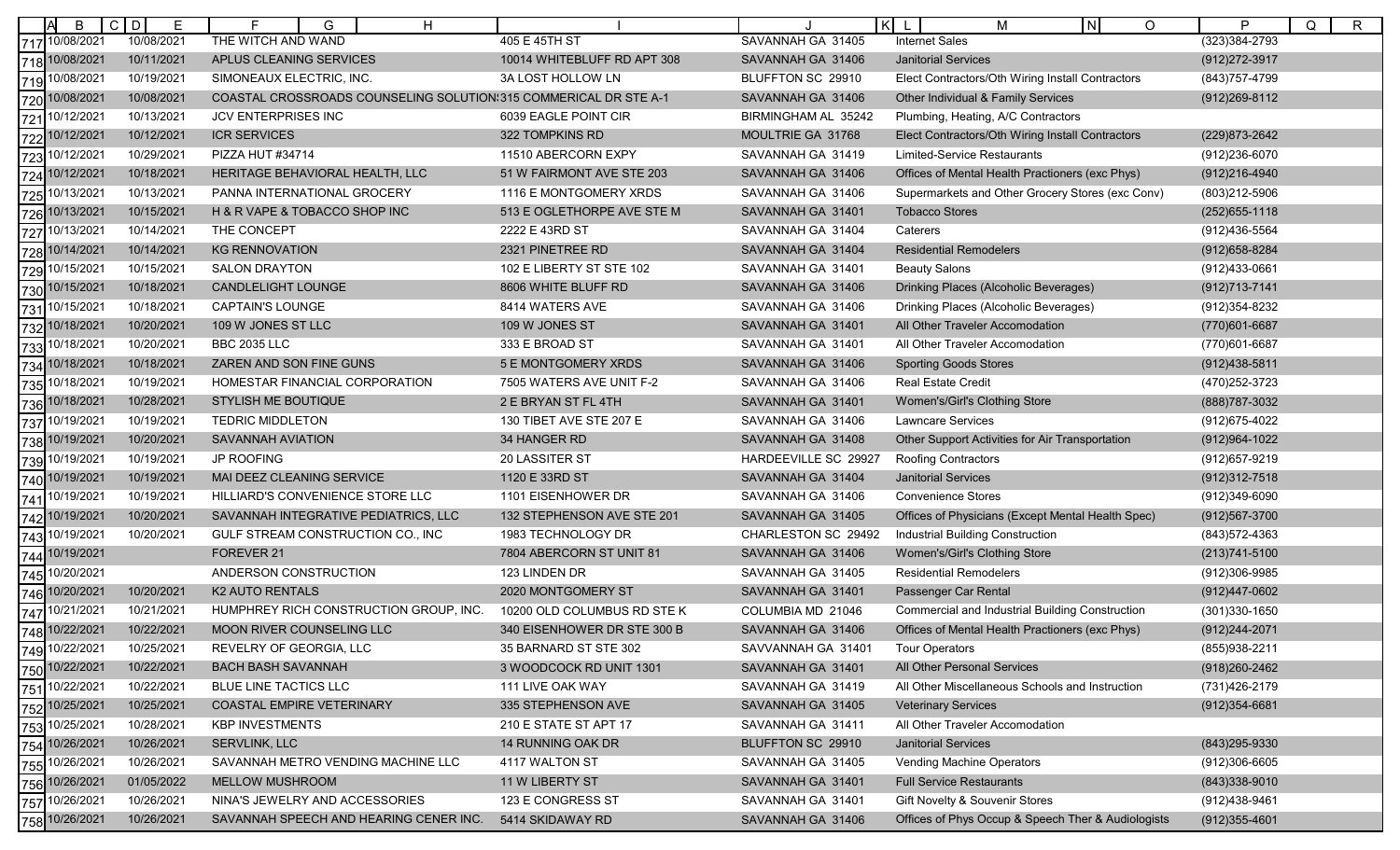|     | B              | $C$ $D$<br>Е | G<br>H<br>Е                                                      |                             |                      | K<br>IN.<br>М<br>$\circ$                               | P<br>Q<br>$\mathsf{R}$ |
|-----|----------------|--------------|------------------------------------------------------------------|-----------------------------|----------------------|--------------------------------------------------------|------------------------|
|     | 717 10/08/2021 | 10/08/2021   | THE WITCH AND WAND                                               | 405 E 45TH ST               | SAVANNAH GA 31405    | <b>Internet Sales</b>                                  | $(323)384 - 2793$      |
|     | 718 10/08/2021 | 10/11/2021   | APLUS CLEANING SERVICES                                          | 10014 WHITEBLUFF RD APT 308 | SAVANNAH GA 31406    | <b>Janitorial Services</b>                             | (912) 272-3917         |
|     | 719 10/08/2021 | 10/19/2021   | SIMONEAUX ELECTRIC, INC.                                         | 3A LOST HOLLOW LN           | BLUFFTON SC 29910    | Elect Contractors/Oth Wiring Install Contractors       | (843) 757-4799         |
| 720 | 10/08/2021     | 10/08/2021   | COASTAL CROSSROADS COUNSELING SOLUTION:315 COMMERICAL DR STE A-1 |                             | SAVANNAH GA 31406    | Other Individual & Family Services                     | (912) 269-8112         |
| 721 | 10/12/2021     | 10/13/2021   | <b>JCV ENTERPRISES INC</b>                                       | 6039 EAGLE POINT CIR        | BIRMINGHAM AL 35242  | Plumbing, Heating, A/C Contractors                     |                        |
| 722 | 10/12/2021     | 10/12/2021   | <b>ICR SERVICES</b>                                              | 322 TOMPKINS RD             | MOULTRIE GA 31768    | Elect Contractors/Oth Wiring Install Contractors       | (229) 873-2642         |
| 723 | 10/12/2021     | 10/29/2021   | PIZZA HUT #34714                                                 | 11510 ABERCORN EXPY         | SAVANNAH GA 31419    | <b>Limited-Service Restaurants</b>                     | (912)236-6070          |
| 724 | 10/12/2021     | 10/18/2021   | HERITAGE BEHAVIORAL HEALTH, LLC                                  | 51 W FAIRMONT AVE STE 203   | SAVANNAH GA 31406    | Offices of Mental Health Practioners (exc Phys)        | (912)216-4940          |
| 725 | 10/13/2021     | 10/13/2021   | PANNA INTERNATIONAL GROCERY                                      | 1116 E MONTGOMERY XRDS      | SAVANNAH GA 31406    | Supermarkets and Other Grocery Stores (exc Conv)       | (803)212-5906          |
|     | 726 10/13/2021 | 10/15/2021   | H & R VAPE & TOBACCO SHOP INC                                    | 513 E OGLETHORPE AVE STE M  | SAVANNAH GA 31401    | <b>Tobacco Stores</b>                                  | $(252)655 - 1118$      |
| 727 | 10/13/2021     | 10/14/2021   | THE CONCEPT                                                      | 2222 E 43RD ST              | SAVANNAH GA 31404    | Caterers                                               | (912)436-5564          |
| 728 | 10/14/2021     | 10/14/2021   | <b>KG RENNOVATION</b>                                            | 2321 PINETREE RD            | SAVANNAH GA 31404    | <b>Residential Remodelers</b>                          | (912) 658-8284         |
| 729 | 10/15/2021     | 10/15/202    | <b>SALON DRAYTON</b>                                             | 102 E LIBERTY ST STE 102    | SAVANNAH GA 31401    | <b>Beauty Salons</b>                                   | (912)433-0661          |
|     | 730 10/15/2021 | 10/18/2021   | CANDLELIGHT LOUNGE                                               | 8606 WHITE BLUFF RD         | SAVANNAH GA 31406    | Drinking Places (Alcoholic Beverages)                  | $(912)713 - 7141$      |
| 731 | 10/15/2021     | 10/18/2021   | <b>CAPTAIN'S LOUNGE</b>                                          | 8414 WATERS AVE             | SAVANNAH GA 31406    | Drinking Places (Alcoholic Beverages)                  | (912) 354-8232         |
| 732 | 10/18/2021     | 10/20/2021   | 109 W JONES ST LLC                                               | 109 W JONES ST              | SAVANNAH GA 31401    | All Other Traveler Accomodation                        | (770)601-6687          |
|     | 733 10/18/2021 | 10/20/2021   | <b>BBC 2035 LLC</b>                                              | 333 E BROAD ST              | SAVANNAH GA 31401    | All Other Traveler Accomodation                        | (770)601-6687          |
| 734 | 10/18/2021     | 10/18/2021   | ZAREN AND SON FINE GUNS                                          | 5 E MONTGOMERY XRDS         | SAVANNAH GA 31406    | <b>Sporting Goods Stores</b>                           | $(912)438 - 5811$      |
| 735 | 10/18/2021     | 10/19/2021   | HOMESTAR FINANCIAL CORPORATION                                   | 7505 WATERS AVE UNIT F-2    | SAVANNAH GA 31406    | <b>Real Estate Credit</b>                              | (470) 252-3723         |
| 736 | 10/18/2021     | 10/28/2021   | STYLISH ME BOUTIQUE                                              | 2 E BRYAN ST FL 4TH         | SAVANNAH GA 31401    | Women's/Girl's Clothing Store                          | (888) 787-3032         |
| 737 | 10/19/2021     | 10/19/2021   | <b>TEDRIC MIDDLETON</b>                                          | 130 TIBET AVE STE 207 E     | SAVANNAH GA 31406    | <b>Lawncare Services</b>                               | (912)675-4022          |
| 738 | 10/19/2021     | 10/20/2021   | <b>SAVANNAH AVIATION</b>                                         | 34 HANGER RD                | SAVANNAH GA 31408    | Other Support Activities for Air Transportation        | (912) 964-1022         |
| 739 | 10/19/2021     | 10/19/2021   | JP ROOFING                                                       | 20 LASSITER ST              | HARDEEVILLE SC 29927 | <b>Roofing Contractors</b>                             | (912) 657-9219         |
|     | 740 10/19/2021 | 10/19/2021   | MAI DEEZ CLEANING SERVICE                                        | 1120 E 33RD ST              | SAVANNAH GA 31404    | <b>Janitorial Services</b>                             | $(912)312 - 7518$      |
| 741 | 10/19/2021     | 10/19/2021   | HILLIARD'S CONVENIENCE STORE LLC                                 | 1101 EISENHOWER DR          | SAVANNAH GA 31406    | <b>Convenience Stores</b>                              | (912)349-6090          |
| 742 | 10/19/2021     | 10/20/2021   | SAVANNAH INTEGRATIVE PEDIATRICS, LLC                             | 132 STEPHENSON AVE STE 201  | SAVANNAH GA 31405    | Offices of Physicians (Except Mental Health Spec)      | (912) 567-3700         |
| 743 | 10/19/2021     | 10/20/2021   | GULF STREAM CONSTRUCTION CO., INC                                | 1983 TECHNOLOGY DR          | CHARLESTON SC 29492  | Industrial Building Construction                       | (843) 572-4363         |
|     | 744 10/19/2021 |              | FOREVER 21                                                       | 7804 ABERCORN ST UNIT 81    | SAVANNAH GA 31406    | Women's/Girl's Clothing Store                          | $(213)741 - 5100$      |
| 745 | 10/20/2021     |              | ANDERSON CONSTRUCTION                                            | 123 LINDEN DR               | SAVANNAH GA 31405    | <b>Residential Remodelers</b>                          | (912)306-9985          |
| 746 | 10/20/2021     | 10/20/2021   | <b>K2 AUTO RENTALS</b>                                           | 2020 MONTGOMERY ST          | SAVANNAH GA 31401    | Passenger Car Rental                                   | (912)447-0602          |
|     | 747 10/21/2021 | 10/21/2021   | HUMPHREY RICH CONSTRUCTION GROUP, INC.                           | 10200 OLD COLUMBUS RD STE K | COLUMBIA MD 21046    | <b>Commercial and Industrial Building Construction</b> | (301) 330-1650         |
|     | 748 10/22/2021 | 10/22/2021   | <b>MOON RIVER COUNSELING LLC</b>                                 | 340 EISENHOWER DR STE 300 B | SAVANNAH GA 31406    | Offices of Mental Health Practioners (exc Phys)        | (912) 244-2071         |
|     | 749 10/22/2021 | 10/25/2021   | REVELRY OF GEORGIA, LLC                                          | 35 BARNARD ST STE 302       | SAVVANNAH GA 31401   | <b>Tour Operators</b>                                  | (855)938-2211          |
|     | 750 10/22/2021 | 10/22/2021   | <b>BACH BASH SAVANNAH</b>                                        | 3 WOODCOCK RD UNIT 1301     | SAVANNAH GA 31401    | All Other Personal Services                            | (918) 260-2462         |
|     | 751 10/22/2021 | 10/22/2021   | BLUE LINE TACTICS LLC                                            | 111 LIVE OAK WAY            | SAVANNAH GA 31419    | All Other Miscellaneous Schools and Instruction        | (731)426-2179          |
| 752 | 10/25/2021     | 10/25/2021   | COASTAL EMPIRE VETERINARY                                        | 335 STEPHENSON AVE          | SAVANNAH GA 31405    | <b>Veterinary Services</b>                             | $(912)354 - 6681$      |
| 753 | 10/25/2021     | 10/28/2021   | <b>KBP INVESTMENTS</b>                                           | 210 E STATE ST APT 17       | SAVANNAH GA 31411    | All Other Traveler Accomodation                        |                        |
|     | 754 10/26/2021 | 10/26/2021   | SERVLINK, LLC                                                    | 14 RUNNING OAK DR           | BLUFFTON SC 29910    | <b>Janitorial Services</b>                             | (843) 295-9330         |
|     | 755 10/26/2021 | 10/26/2021   | SAVANNAH METRO VENDING MACHINE LLC                               | 4117 WALTON ST              | SAVANNAH GA 31405    | <b>Vending Machine Operators</b>                       | (912)306-6605          |
|     | 756 10/26/2021 | 01/05/2022   | MELLOW MUSHROOM                                                  | 11 W LIBERTY ST             | SAVANNAH GA 31401    | <b>Full Service Restaurants</b>                        | $(843)338-9010$        |
|     | 757 10/26/2021 | 10/26/2021   | NINA'S JEWELRY AND ACCESSORIES                                   | 123 E CONGRESS ST           | SAVANNAH GA 31401    | Gift Novelty & Souvenir Stores                         | (912)438-9461          |
|     | 758 10/26/2021 | 10/26/2021   | SAVANNAH SPEECH AND HEARING CENER INC.                           | 5414 SKIDAWAY RD            | SAVANNAH GA 31406    | Offices of Phys Occup & Speech Ther & Audiologists     | $(912)355 - 4601$      |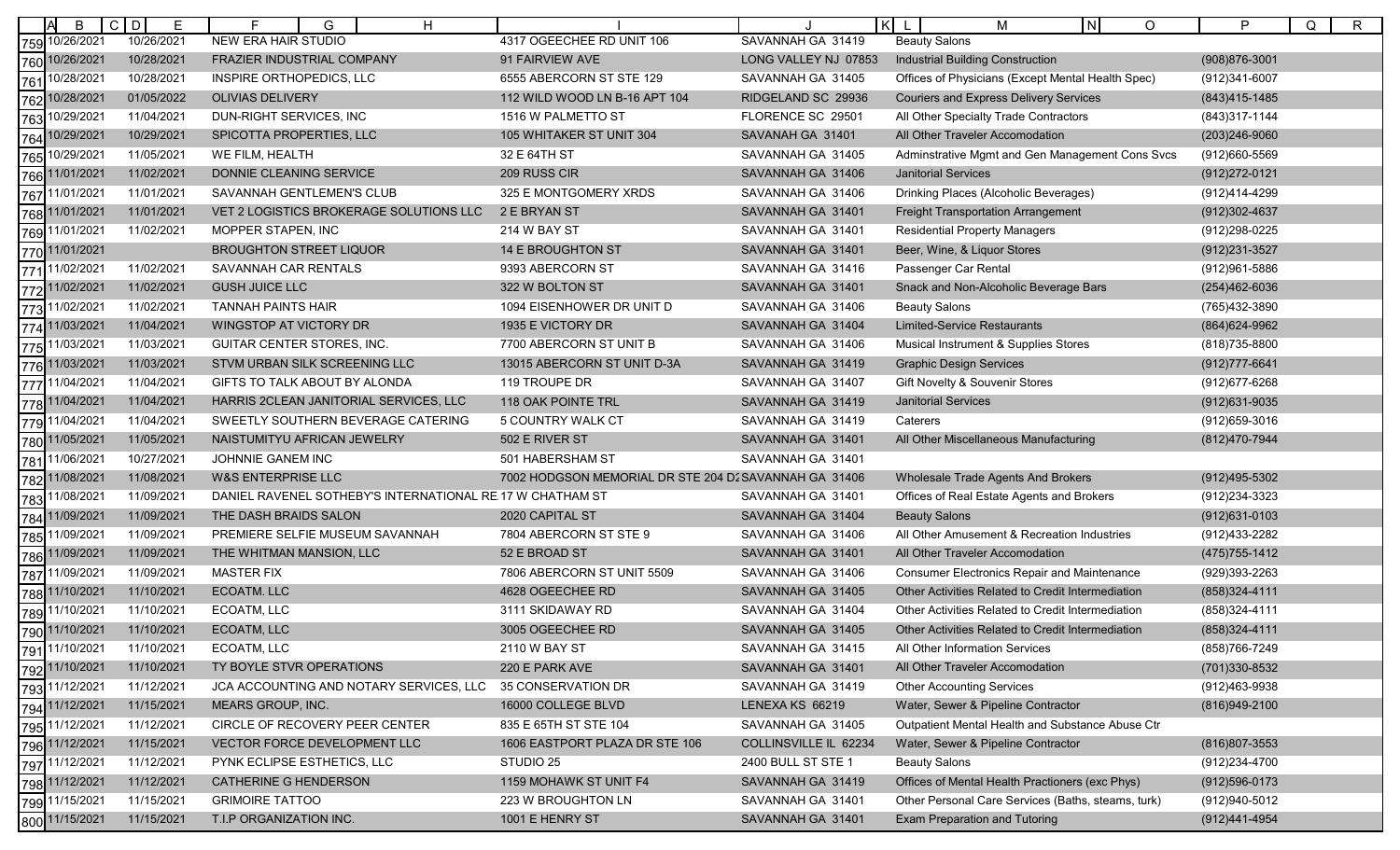|     | B              | C D<br>Е   | H<br>G                                                    |                                                       |                       | $\lfloor N \rfloor$<br>K<br>М<br>$\circ$           | P<br>Q<br>R       |
|-----|----------------|------------|-----------------------------------------------------------|-------------------------------------------------------|-----------------------|----------------------------------------------------|-------------------|
| 759 | 10/26/2021     | 10/26/2021 | NEW ERA HAIR STUDIO                                       | 4317 OGEECHEE RD UNIT 106                             | SAVANNAH GA 31419     | <b>Beauty Salons</b>                               |                   |
| 760 | 10/26/2021     | 10/28/2021 | FRAZIER INDUSTRIAL COMPANY                                | 91 FAIRVIEW AVE                                       | LONG VALLEY NJ 07853  | <b>Industrial Building Construction</b>            | $(908)876 - 3001$ |
| 761 | 10/28/2021     | 10/28/2021 | INSPIRE ORTHOPEDICS, LLC                                  | 6555 ABERCORN ST STE 129                              | SAVANNAH GA 31405     | Offices of Physicians (Except Mental Health Spec)  | (912)341-6007     |
| 762 | 10/28/2021     | 01/05/2022 | <b>OLIVIAS DELIVERY</b>                                   | 112 WILD WOOD LN B-16 APT 104                         | RIDGELAND SC 29936    | <b>Couriers and Express Delivery Services</b>      | (843)415-1485     |
| 763 | 10/29/2021     | 11/04/2021 | DUN-RIGHT SERVICES, INC                                   | 1516 W PALMETTO ST                                    | FLORENCE SC 29501     | All Other Specialty Trade Contractors              | (843) 317-1144    |
| 764 | 10/29/2021     | 10/29/2021 | SPICOTTA PROPERTIES, LLC                                  | 105 WHITAKER ST UNIT 304                              | SAVANAH GA 31401      | All Other Traveler Accomodation                    | (203) 246-9060    |
| 765 | 10/29/2021     | 11/05/2021 | WE FILM, HEALTH                                           | 32 E 64TH ST                                          | SAVANNAH GA 31405     | Adminstrative Mgmt and Gen Management Cons Svcs    | (912)660-5569     |
|     | 766 11/01/2021 | 11/02/2021 | DONNIE CLEANING SERVICE                                   | 209 RUSS CIR                                          | SAVANNAH GA 31406     | <b>Janitorial Services</b>                         | (912) 272-0121    |
| 767 | 11/01/2021     | 11/01/2021 | SAVANNAH GENTLEMEN'S CLUB                                 | 325 E MONTGOMERY XRDS                                 | SAVANNAH GA 31406     | Drinking Places (Alcoholic Beverages)              | (912)414-4299     |
|     | 768 11/01/2021 | 11/01/2021 | VET 2 LOGISTICS BROKERAGE SOLUTIONS LLC                   | 2 E BRYAN ST                                          | SAVANNAH GA 31401     | <b>Freight Transportation Arrangement</b>          | (912)302-4637     |
| 769 | 11/01/2021     | 11/02/2021 | MOPPER STAPEN, INC                                        | 214 W BAY ST                                          | SAVANNAH GA 31401     | <b>Residential Property Managers</b>               | (912)298-0225     |
|     | 770 11/01/2021 |            | <b>BROUGHTON STREET LIQUOR</b>                            | 14 E BROUGHTON ST                                     | SAVANNAH GA 31401     | Beer, Wine, & Liquor Stores                        | $(912)231 - 3527$ |
| 771 | 11/02/2021     | 11/02/2021 | SAVANNAH CAR RENTALS                                      | 9393 ABERCORN ST                                      | SAVANNAH GA 31416     | Passenger Car Rental                               | (912) 961-5886    |
|     | 772 11/02/2021 | 11/02/2021 | <b>GUSH JUICE LLC</b>                                     | 322 W BOLTON ST                                       | SAVANNAH GA 31401     | Snack and Non-Alcoholic Beverage Bars              | (254)462-6036     |
| 773 | 11/02/2021     | 11/02/2021 | <b>TANNAH PAINTS HAIR</b>                                 | 1094 EISENHOWER DR UNIT D                             | SAVANNAH GA 31406     | <b>Beauty Salons</b>                               | (765)432-3890     |
|     | 774 11/03/2021 | 11/04/2021 | WINGSTOP AT VICTORY DR                                    | 1935 E VICTORY DR                                     | SAVANNAH GA 31404     | Limited-Service Restaurants                        | (864) 624-9962    |
|     | 775 11/03/2021 | 11/03/202  | GUITAR CENTER STORES, INC.                                | 7700 ABERCORN ST UNIT B                               | SAVANNAH GA 31406     | Musical Instrument & Supplies Stores               | (818) 735-8800    |
|     | 776 11/03/2021 | 11/03/2021 | STVM URBAN SILK SCREENING LLC                             | 13015 ABERCORN ST UNIT D-3A                           | SAVANNAH GA 31419     | <b>Graphic Design Services</b>                     | (912) 777-6641    |
| 777 | 11/04/2021     | 11/04/2021 | GIFTS TO TALK ABOUT BY ALONDA                             | 119 TROUPE DR                                         | SAVANNAH GA 31407     | Gift Novelty & Souvenir Stores                     | (912) 677-6268    |
|     | 778 11/04/2021 | 11/04/2021 | HARRIS 2CLEAN JANITORIAL SERVICES, LLC                    | 118 OAK POINTE TRL                                    | SAVANNAH GA 31419     | <b>Janitorial Services</b>                         | (912) 631-9035    |
| 779 | 11/04/2021     | 11/04/2021 | SWEETLY SOUTHERN BEVERAGE CATERING                        | 5 COUNTRY WALK CT                                     | SAVANNAH GA 31419     | Caterers                                           | (912) 659-3016    |
| 780 | 11/05/2021     | 11/05/2021 | NAISTUMITYU AFRICAN JEWELRY                               | 502 E RIVER ST                                        | SAVANNAH GA 31401     | All Other Miscellaneous Manufacturing              | (812)470-7944     |
| 781 | 11/06/2021     | 10/27/2021 | JOHNNIE GANEM INC                                         | 501 HABERSHAM ST                                      | SAVANNAH GA 31401     |                                                    |                   |
|     | 782 11/08/2021 | 11/08/2021 | W&S ENTERPRISE LLC                                        | 7002 HODGSON MEMORIAL DR STE 204 D2 SAVANNAH GA 31406 |                       | Wholesale Trade Agents And Brokers                 | (912)495-5302     |
| 783 | 11/08/2021     | 11/09/2021 | DANIEL RAVENEL SOTHEBY'S INTERNATIONAL RE 17 W CHATHAM ST |                                                       | SAVANNAH GA 31401     | Offices of Real Estate Agents and Brokers          | (912) 234-3323    |
|     | 784 11/09/2021 | 11/09/2021 | THE DASH BRAIDS SALON                                     | 2020 CAPITAL ST                                       | SAVANNAH GA 31404     | <b>Beauty Salons</b>                               | $(912)631 - 0103$ |
| 785 | 11/09/2021     | 11/09/202  | PREMIERE SELFIE MUSEUM SAVANNAH                           | 7804 ABERCORN ST STE 9                                | SAVANNAH GA 31406     | All Other Amusement & Recreation Industries        | (912)433-2282     |
|     | 786 11/09/2021 | 11/09/2021 | THE WHITMAN MANSION, LLC                                  | 52 E BROAD ST                                         | SAVANNAH GA 31401     | All Other Traveler Accomodation                    | (475) 755-1412    |
| 787 | 11/09/2021     | 11/09/2021 | <b>MASTER FIX</b>                                         | 7806 ABERCORN ST UNIT 5509                            | SAVANNAH GA 31406     | <b>Consumer Electronics Repair and Maintenance</b> | (929)393-2263     |
| 788 | 11/10/2021     | 11/10/2021 | <b>ECOATM. LLC</b>                                        | 4628 OGEECHEE RD                                      | SAVANNAH GA 31405     | Other Activities Related to Credit Intermediation  | (858) 324-4111    |
| 789 | 11/10/2021     | 11/10/2021 | ECOATM, LLC                                               | 3111 SKIDAWAY RD                                      | SAVANNAH GA 31404     | Other Activities Related to Credit Intermediation  | (858)324-4111     |
|     | 790 11/10/2021 | 11/10/2021 | <b>ECOATM, LLC</b>                                        | 3005 OGEECHEE RD                                      | SAVANNAH GA 31405     | Other Activities Related to Credit Intermediation  | (858) 324-4111    |
|     | 791 11/10/2021 | 11/10/2021 | ECOATM, LLC                                               | 2110 W BAY ST                                         | SAVANNAH GA 31415     | All Other Information Services                     | (858) 766-7249    |
|     | 792 11/10/2021 | 11/10/2021 | TY BOYLE STVR OPERATIONS                                  | 220 E PARK AVE                                        | SAVANNAH GA 31401     | All Other Traveler Accomodation                    | (701)330-8532     |
|     | 793 11/12/2021 | 11/12/2021 | JCA ACCOUNTING AND NOTARY SERVICES, LLC                   | 35 CONSERVATION DR                                    | SAVANNAH GA 31419     | <b>Other Accounting Services</b>                   | (912)463-9938     |
|     | 794 11/12/2021 | 11/15/2021 | <b>MEARS GROUP, INC.</b>                                  | 16000 COLLEGE BLVD                                    | LENEXA KS 66219       | Water, Sewer & Pipeline Contractor                 | (816)949-2100     |
| 795 | 11/12/2021     | 11/12/2021 | CIRCLE OF RECOVERY PEER CENTER                            | 835 E 65TH ST STE 104                                 | SAVANNAH GA 31405     | Outpatient Mental Health and Substance Abuse Ctr   |                   |
|     | 796 11/12/2021 | 11/15/2021 | VECTOR FORCE DEVELOPMENT LLC                              | 1606 EASTPORT PLAZA DR STE 106                        | COLLINSVILLE IL 62234 | Water, Sewer & Pipeline Contractor                 | (816) 807-3553    |
|     | 797 11/12/2021 | 11/12/2021 | PYNK ECLIPSE ESTHETICS, LLC                               | STUDIO 25                                             | 2400 BULL ST STE 1    | <b>Beauty Salons</b>                               | (912)234-4700     |
|     | 798 11/12/2021 | 11/12/2021 | <b>CATHERINE G HENDERSON</b>                              | 1159 MOHAWK ST UNIT F4                                | SAVANNAH GA 31419     | Offices of Mental Health Practioners (exc Phys)    | $(912)596 - 0173$ |
|     | 799 11/15/2021 | 11/15/2021 | <b>GRIMOIRE TATTOO</b>                                    | 223 W BROUGHTON LN                                    | SAVANNAH GA 31401     | Other Personal Care Services (Baths, steams, turk) | (912) 940-5012    |
|     | 800 11/15/2021 | 11/15/2021 | T.I.P ORGANIZATION INC.                                   | 1001 E HENRY ST                                       | SAVANNAH GA 31401     | <b>Exam Preparation and Tutoring</b>               | (912)441-4954     |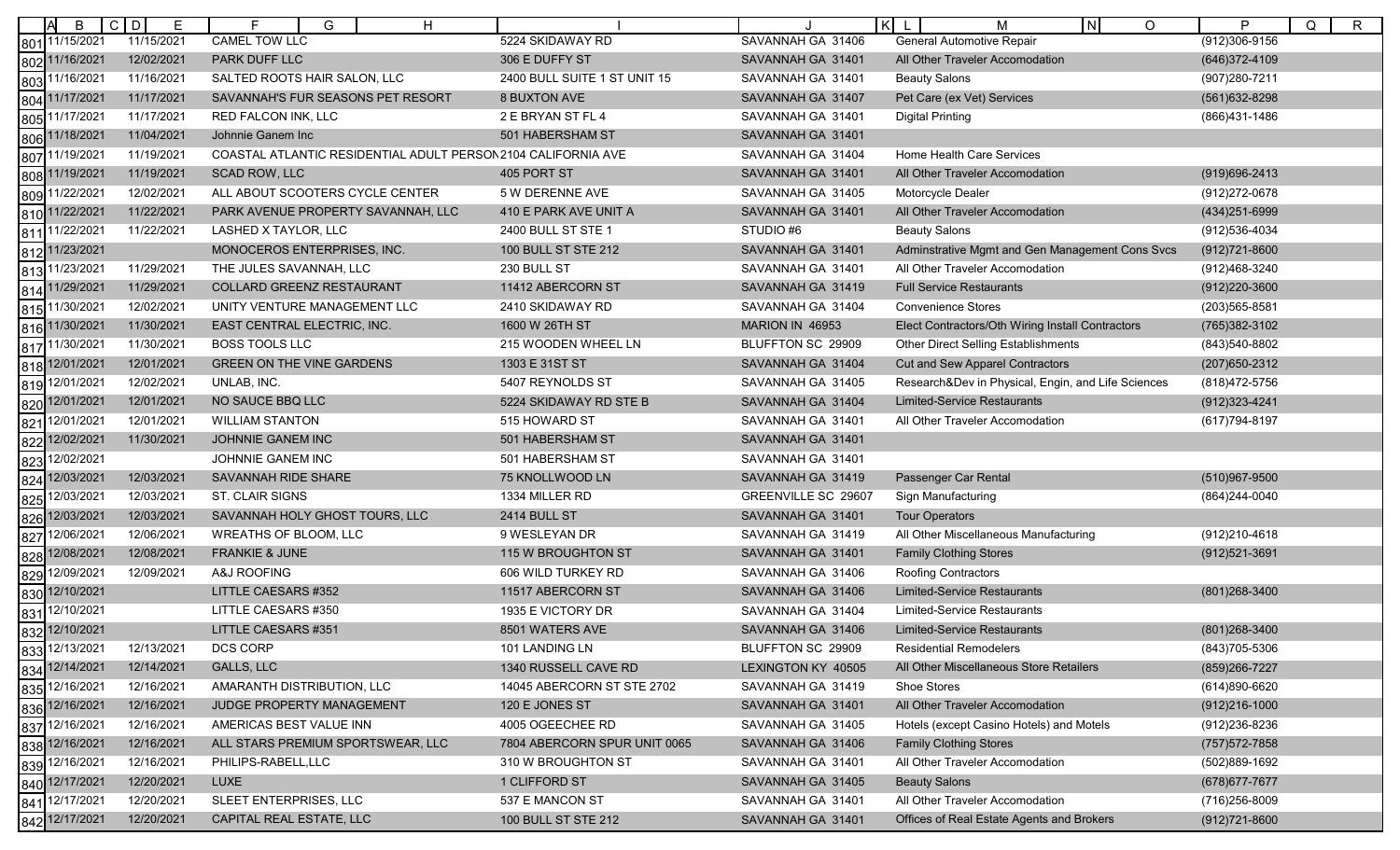|                 | B                                | $C$ $D$<br>Е | F<br>G<br>H                                                  |                              |                     | lĸI<br>IN.<br>М<br>O                               | P<br>Q<br>$\mathsf{R}$ |
|-----------------|----------------------------------|--------------|--------------------------------------------------------------|------------------------------|---------------------|----------------------------------------------------|------------------------|
| 801             | 11/15/2021                       | 11/15/2021   | <b>CAMEL TOW LLC</b>                                         | 5224 SKIDAWAY RD             | SAVANNAH GA 31406   | General Automotive Repair                          | (912)306-9156          |
|                 | 802 11/16/2021                   | 12/02/2021   | PARK DUFF LLC                                                | 306 E DUFFY ST               | SAVANNAH GA 31401   | All Other Traveler Accomodation                    | (646) 372-4109         |
| 803             | 11/16/2021                       | 11/16/2021   | SALTED ROOTS HAIR SALON, LLC                                 | 2400 BULL SUITE 1 ST UNIT 15 | SAVANNAH GA 31401   | <b>Beauty Salons</b>                               | (907) 280-7211         |
| 804             | 11/17/2021                       | 11/17/2021   | SAVANNAH'S FUR SEASONS PET RESORT                            | <b>8 BUXTON AVE</b>          | SAVANNAH GA 31407   | Pet Care (ex Vet) Services                         | $(561)632 - 8298$      |
| 805             | 1/17/2021                        | 11/17/2021   | RED FALCON INK, LLC                                          | 2 E BRYAN ST FL 4            | SAVANNAH GA 31401   | <b>Digital Printing</b>                            | (866)431-1486          |
|                 | 806 11/18/2021                   | 11/04/2021   | Johnnie Ganem Inc                                            | 501 HABERSHAM ST             | SAVANNAH GA 31401   |                                                    |                        |
| 807             | 11/19/2021                       | 11/19/2021   | COASTAL ATLANTIC RESIDENTIAL ADULT PERSON2104 CALIFORNIA AVE |                              | SAVANNAH GA 31404   | <b>Home Health Care Services</b>                   |                        |
| 808             | 11/19/2021                       | 11/19/2021   | <b>SCAD ROW, LLC</b>                                         | 405 PORT ST                  | SAVANNAH GA 31401   | All Other Traveler Accomodation                    | $(919)696 - 2413$      |
| 809             | 11/22/2021                       | 12/02/2021   | ALL ABOUT SCOOTERS CYCLE CENTER                              | 5 W DERENNE AVE              | SAVANNAH GA 31405   | Motorcycle Dealer                                  | (912) 272-0678         |
|                 | 810 11/22/2021                   | 11/22/2021   | PARK AVENUE PROPERTY SAVANNAH, LLC                           | 410 E PARK AVE UNIT A        | SAVANNAH GA 31401   | All Other Traveler Accomodation                    | (434) 251-6999         |
| 81 <sup>°</sup> | 11/22/2021                       | 11/22/2021   | LASHED X TAYLOR, LLC                                         | 2400 BULL ST STE 1           | STUDIO#6            | <b>Beauty Salons</b>                               | (912) 536-4034         |
| 812             | 11/23/2021                       |              | MONOCEROS ENTERPRISES, INC.                                  | 100 BULL ST STE 212          | SAVANNAH GA 31401   | Adminstrative Mgmt and Gen Management Cons Svcs    | (912) 721-8600         |
| 813             | 11/23/2021                       | 11/29/2021   | THE JULES SAVANNAH, LLC                                      | 230 BULL ST                  | SAVANNAH GA 31401   | All Other Traveler Accomodation                    | (912)468-3240          |
| 814             | 11/29/2021                       | 11/29/2021   | <b>COLLARD GREENZ RESTAURANT</b>                             | 11412 ABERCORN ST            | SAVANNAH GA 31419   | <b>Full Service Restaurants</b>                    | (912)220-3600          |
| 815             | 11/30/2021                       | 12/02/2021   | UNITY VENTURE MANAGEMENT LLC                                 | 2410 SKIDAWAY RD             | SAVANNAH GA 31404   | <b>Convenience Stores</b>                          | (203) 565-8581         |
| 816             | 11/30/2021                       | 11/30/2021   | EAST CENTRAL ELECTRIC, INC.                                  | 1600 W 26TH ST               | MARION IN 46953     | Elect Contractors/Oth Wiring Install Contractors   | (765) 382-3102         |
| 817             | 11/30/2021                       | 11/30/2021   | <b>BOSS TOOLS LLC</b>                                        | 215 WOODEN WHEEL LN          | BLUFFTON SC 29909   | Other Direct Selling Establishments                | (843) 540-8802         |
| 818             | 12/01/2021                       | 12/01/2021   | GREEN ON THE VINE GARDENS                                    | 1303 E 31ST ST               | SAVANNAH GA 31404   | <b>Cut and Sew Apparel Contractors</b>             | (207) 650-2312         |
| 819             | 12/01/2021                       | 12/02/2021   | UNLAB, INC.                                                  | 5407 REYNOLDS ST             | SAVANNAH GA 31405   | Research&Dev in Physical, Engin, and Life Sciences | (818) 472-5756         |
|                 | 820 12/01/2021                   | 12/01/2021   | NO SAUCE BBQ LLC                                             | 5224 SKIDAWAY RD STE B       | SAVANNAH GA 31404   | <b>Limited-Service Restaurants</b>                 | (912) 323-4241         |
| 821             | 12/01/2021                       | 12/01/2021   | <b>WILLIAM STANTON</b>                                       | 515 HOWARD ST                | SAVANNAH GA 31401   | All Other Traveler Accomodation                    | (617) 794-8197         |
| 822             | 12/02/2021                       | 11/30/2021   | JOHNNIE GANEM INC                                            | 501 HABERSHAM ST             | SAVANNAH GA 31401   |                                                    |                        |
| 823             | 12/02/2021                       |              | JOHNNIE GANEM INC                                            | 501 HABERSHAM ST             | SAVANNAH GA 31401   |                                                    |                        |
| 824             | 12/03/2021                       | 12/03/2021   | SAVANNAH RIDE SHARE                                          | 75 KNOLLWOOD LN              | SAVANNAH GA 31419   | Passenger Car Rental                               | (510)967-9500          |
|                 | 12/03/2021                       | 12/03/2021   | ST. CLAIR SIGNS                                              | 1334 MILLER RD               | GREENVILLE SC 29607 | Sign Manufacturing                                 | (864) 244-0040         |
| 825<br>826      | 12/03/2021                       | 12/03/2021   | SAVANNAH HOLY GHOST TOURS, LLC                               | <b>2414 BULL ST</b>          | SAVANNAH GA 31401   | <b>Tour Operators</b>                              |                        |
| 827             | 12/06/2021                       | 12/06/2021   | <b>WREATHS OF BLOOM, LLC</b>                                 | 9 WESLEYAN DR                | SAVANNAH GA 31419   | All Other Miscellaneous Manufacturing              | (912)210-4618          |
| 828             | 12/08/2021                       | 12/08/2021   | FRANKIE & JUNE                                               | 115 W BROUGHTON ST           | SAVANNAH GA 31401   | <b>Family Clothing Stores</b>                      | $(912)521 - 3691$      |
| 829             | 12/09/2021                       | 12/09/2021   | A&J ROOFING                                                  | 606 WILD TURKEY RD           | SAVANNAH GA 31406   | <b>Roofing Contractors</b>                         |                        |
| 830             | 12/10/2021                       |              | LITTLE CAESARS #352                                          | 11517 ABERCORN ST            | SAVANNAH GA 31406   | <b>Limited-Service Restaurants</b>                 | (801) 268-3400         |
| 831             | 12/10/2021                       |              | LITTLE CAESARS #350                                          | 1935 E VICTORY DR            | SAVANNAH GA 31404   | Limited-Service Restaurants                        |                        |
|                 | 832 12/10/2021                   |              | LITTLE CAESARS #351                                          | 8501 WATERS AVE              | SAVANNAH GA 31406   | <b>Limited-Service Restaurants</b>                 | (801) 268-3400         |
|                 | 833 12/13/2021<br>834 12/14/2021 | 12/13/2021   | DCS CORP                                                     | 101 LANDING LN               | BLUFFTON SC 29909   | <b>Residential Remodelers</b>                      | (843) 705-5306         |
|                 |                                  | 12/14/2021   | GALLS, LLC                                                   | 1340 RUSSELL CAVE RD         | LEXINGTON KY 40505  | All Other Miscellaneous Store Retailers            | (859) 266-7227         |
| 835             | 12/16/2021                       | 12/16/2021   | AMARANTH DISTRIBUTION, LLC                                   | 14045 ABERCORN ST STE 2702   | SAVANNAH GA 31419   | Shoe Stores                                        | (614)890-6620          |
|                 | 836 12/16/2021                   | 12/16/2021   | JUDGE PROPERTY MANAGEMENT                                    | 120 E JONES ST               | SAVANNAH GA 31401   | All Other Traveler Accomodation                    | $(912)216 - 1000$      |
| 837             | 12/16/2021                       | 12/16/2021   | AMERICAS BEST VALUE INN                                      | 4005 OGEECHEE RD             | SAVANNAH GA 31405   | Hotels (except Casino Hotels) and Motels           | (912) 236-8236         |
|                 |                                  | 12/16/2021   | ALL STARS PREMIUM SPORTSWEAR, LLC                            | 7804 ABERCORN SPUR UNIT 0065 | SAVANNAH GA 31406   | <b>Family Clothing Stores</b>                      | (757) 572-7858         |
|                 | 838 12/16/2021<br>839 12/16/2021 | 12/16/2021   | PHILIPS-RABELL,LLC                                           | 310 W BROUGHTON ST           | SAVANNAH GA 31401   | All Other Traveler Accomodation                    | (502)889-1692          |
|                 |                                  | 12/20/2021   | <b>LUXE</b>                                                  | 1 CLIFFORD ST                | SAVANNAH GA 31405   | <b>Beauty Salons</b>                               | (678) 677-7677         |
|                 | 840 12/17/2021<br>841 12/17/2021 | 12/20/2021   | SLEET ENTERPRISES, LLC                                       | 537 E MANCON ST              | SAVANNAH GA 31401   | All Other Traveler Accomodation                    | (716) 256-8009         |
|                 | 842 12/17/2021                   | 12/20/2021   | CAPITAL REAL ESTATE, LLC                                     | 100 BULL ST STE 212          | SAVANNAH GA 31401   | Offices of Real Estate Agents and Brokers          | $(912)721 - 8600$      |